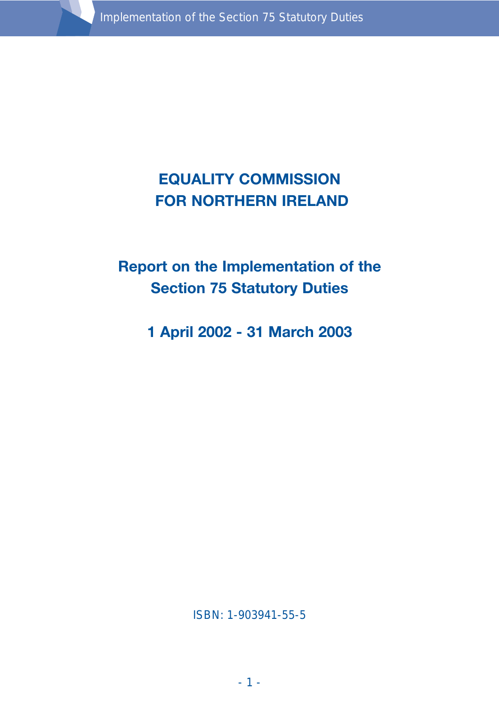

# **EQUALITY COMMISSION FOR NORTHERN IRELAND**

# **Report on the Implementation of the Section 75 Statutory Duties**

**1 April 2002 - 31 March 2003**

ISBN: 1-903941-55-5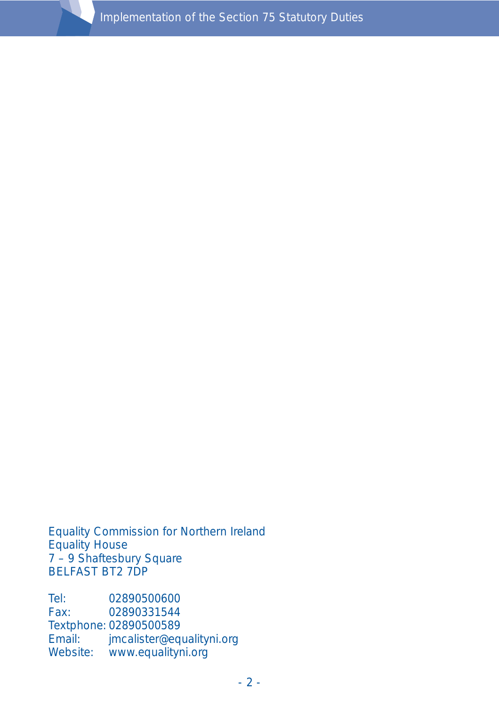Equality Commission for Northern Ireland Equality House 7 – 9 Shaftesbury Square BELFAST BT2 7DP

Tel: 02890500600<br>Fax: 02890331544 02890331544 Textphone: 02890500589 Email: jmcalister@equalityni.org Website: www.equalityni.org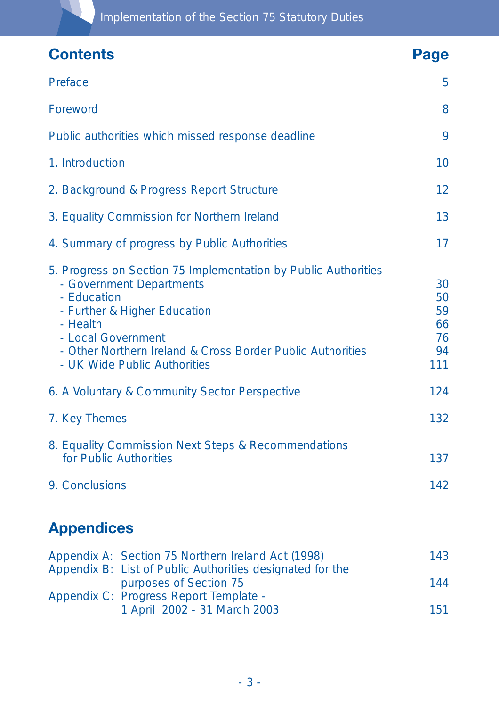| <b>Contents</b>                                                                                                                                                                                                                                                           |                                                                                                                                           | Page                                    |
|---------------------------------------------------------------------------------------------------------------------------------------------------------------------------------------------------------------------------------------------------------------------------|-------------------------------------------------------------------------------------------------------------------------------------------|-----------------------------------------|
| Preface                                                                                                                                                                                                                                                                   |                                                                                                                                           | 5                                       |
| Foreword                                                                                                                                                                                                                                                                  |                                                                                                                                           | 8                                       |
| Public authorities which missed response deadline                                                                                                                                                                                                                         |                                                                                                                                           | 9                                       |
| 1. Introduction                                                                                                                                                                                                                                                           |                                                                                                                                           | 10                                      |
| 2. Background & Progress Report Structure                                                                                                                                                                                                                                 |                                                                                                                                           | 12                                      |
| 3. Equality Commission for Northern Ireland                                                                                                                                                                                                                               |                                                                                                                                           | 13                                      |
| 4. Summary of progress by Public Authorities                                                                                                                                                                                                                              |                                                                                                                                           | 17                                      |
| 5. Progress on Section 75 Implementation by Public Authorities<br>- Government Departments<br>- Education<br>- Further & Higher Education<br>- Health<br>- Local Government<br>- Other Northern Ireland & Cross Border Public Authorities<br>- UK Wide Public Authorities |                                                                                                                                           | 30<br>50<br>59<br>66<br>76<br>94<br>111 |
| 6. A Voluntary & Community Sector Perspective                                                                                                                                                                                                                             |                                                                                                                                           | 124                                     |
| 7. Key Themes                                                                                                                                                                                                                                                             |                                                                                                                                           | 132                                     |
| 8. Equality Commission Next Steps & Recommendations<br>for Public Authorities                                                                                                                                                                                             |                                                                                                                                           | 137                                     |
| 9. Conclusions                                                                                                                                                                                                                                                            |                                                                                                                                           | 142                                     |
| <b>Appendices</b>                                                                                                                                                                                                                                                         |                                                                                                                                           |                                         |
|                                                                                                                                                                                                                                                                           | Appendix A: Section 75 Northern Ireland Act (1998)<br>Appendix B: List of Public Authorities designated for the<br>purposes of Section 75 | 143                                     |
|                                                                                                                                                                                                                                                                           |                                                                                                                                           | 144                                     |
|                                                                                                                                                                                                                                                                           | Appendix C: Progress Report Template -<br>1 April 2002 - 31 March 2003                                                                    | 151                                     |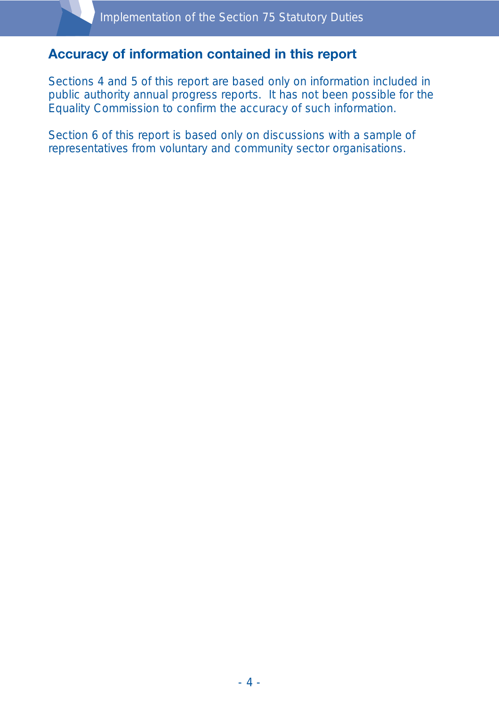### **Accuracy of information contained in this report**

Sections 4 and 5 of this report are based only on information included in public authority annual progress reports. It has not been possible for the Equality Commission to confirm the accuracy of such information.

Section 6 of this report is based only on discussions with a sample of representatives from voluntary and community sector organisations.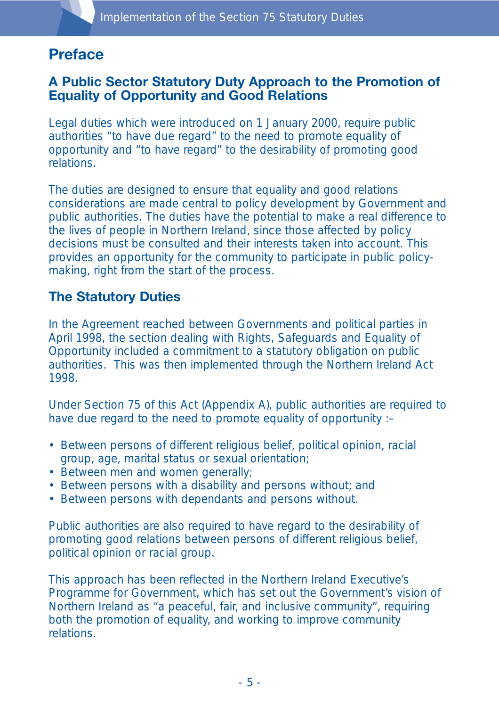# **Preface**

#### **A Public Sector Statutory Duty Approach to the Promotion of Equality of Opportunity and Good Relations**

Legal duties which were introduced on 1 January 2000, require public authorities "to have due regard" to the need to promote equality of opportunity and "to have regard" to the desirability of promoting good relations.

The duties are designed to ensure that equality and good relations considerations are made central to policy development by Government and public authorities. The duties have the potential to make a real difference to the lives of people in Northern Ireland, since those affected by policy decisions must be consulted and their interests taken into account. This provides an opportunity for the community to participate in public policymaking, right from the start of the process.

#### **The Statutory Duties**

In the Agreement reached between Governments and political parties in April 1998, the section dealing with Rights, Safeguards and Equality of Opportunity included a commitment to a statutory obligation on public authorities. This was then implemented through the Northern Ireland Act 1998.

Under Section 75 of this Act (Appendix A), public authorities are required to have due regard to the need to promote equality of opportunity :–

- Between persons of different religious belief, political opinion, racial group, age, marital status or sexual orientation;
- Between men and women generally;
- Between persons with a disability and persons without; and
- Between persons with dependants and persons without.

Public authorities are also required to have regard to the desirability of promoting good relations between persons of different religious belief, political opinion or racial group.

This approach has been reflected in the Northern Ireland Executive's Programme for Government, which has set out the Government's vision of Northern Ireland as "a peaceful, fair, and inclusive community", requiring both the promotion of equality, and working to improve community relations.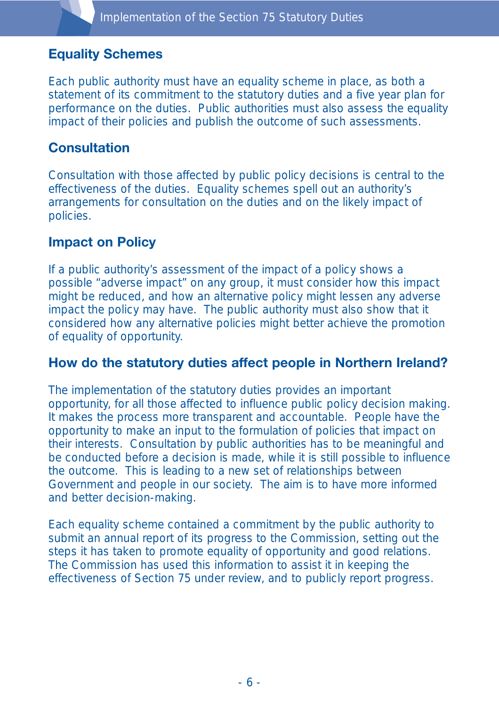#### **Equality Schemes**

Each public authority must have an equality scheme in place, as both a statement of its commitment to the statutory duties and a five year plan for performance on the duties. Public authorities must also assess the equality impact of their policies and publish the outcome of such assessments.

#### **Consultation**

Consultation with those affected by public policy decisions is central to the effectiveness of the duties. Equality schemes spell out an authority's arrangements for consultation on the duties and on the likely impact of policies.

#### **Impact on Policy**

If a public authority's assessment of the impact of a policy shows a possible "adverse impact" on any group, it must consider how this impact might be reduced, and how an alternative policy might lessen any adverse impact the policy may have. The public authority must also show that it considered how any alternative policies might better achieve the promotion of equality of opportunity.

#### **How do the statutory duties affect people in Northern Ireland?**

The implementation of the statutory duties provides an important opportunity, for all those affected to influence public policy decision making. It makes the process more transparent and accountable. People have the opportunity to make an input to the formulation of policies that impact on their interests. Consultation by public authorities has to be meaningful and be conducted before a decision is made, while it is still possible to influence the outcome. This is leading to a new set of relationships between Government and people in our society. The aim is to have more informed and better decision-making.

Each equality scheme contained a commitment by the public authority to submit an annual report of its progress to the Commission, setting out the steps it has taken to promote equality of opportunity and good relations. The Commission has used this information to assist it in keeping the effectiveness of Section 75 under review, and to publicly report progress.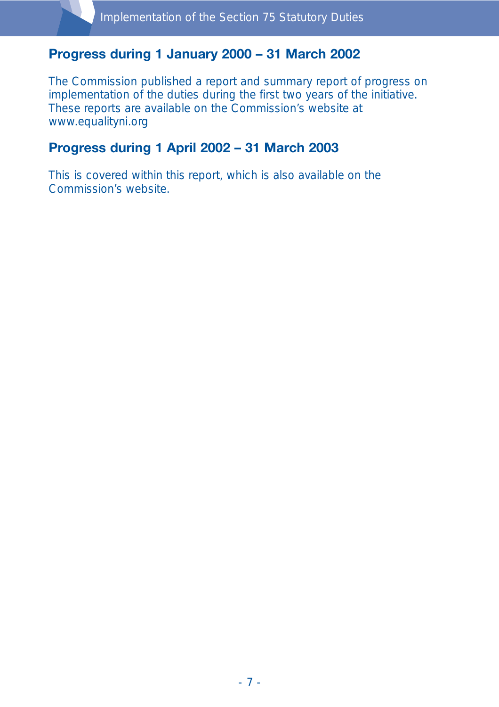### **Progress during 1 January 2000 – 31 March 2002**

The Commission published a report and summary report of progress on implementation of the duties during the first two years of the initiative. These reports are available on the Commission's website at www.equalityni.org

### **Progress during 1 April 2002 – 31 March 2003**

This is covered within this report, which is also available on the Commission's website.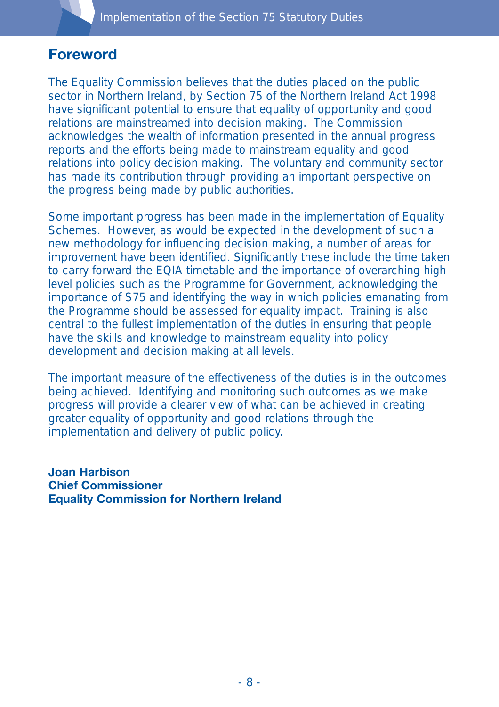## **Foreword**

The Equality Commission believes that the duties placed on the public sector in Northern Ireland, by Section 75 of the Northern Ireland Act 1998 have significant potential to ensure that equality of opportunity and good relations are mainstreamed into decision making. The Commission acknowledges the wealth of information presented in the annual progress reports and the efforts being made to mainstream equality and good relations into policy decision making. The voluntary and community sector has made its contribution through providing an important perspective on the progress being made by public authorities.

Some important progress has been made in the implementation of Equality Schemes. However, as would be expected in the development of such a new methodology for influencing decision making, a number of areas for improvement have been identified. Significantly these include the time taken to carry forward the EQIA timetable and the importance of overarching high level policies such as the Programme for Government, acknowledging the importance of S75 and identifying the way in which policies emanating from the Programme should be assessed for equality impact. Training is also central to the fullest implementation of the duties in ensuring that people have the skills and knowledge to mainstream equality into policy development and decision making at all levels.

The important measure of the effectiveness of the duties is in the outcomes being achieved. Identifying and monitoring such outcomes as we make progress will provide a clearer view of what can be achieved in creating greater equality of opportunity and good relations through the implementation and delivery of public policy.

**Joan Harbison Chief Commissioner Equality Commission for Northern Ireland**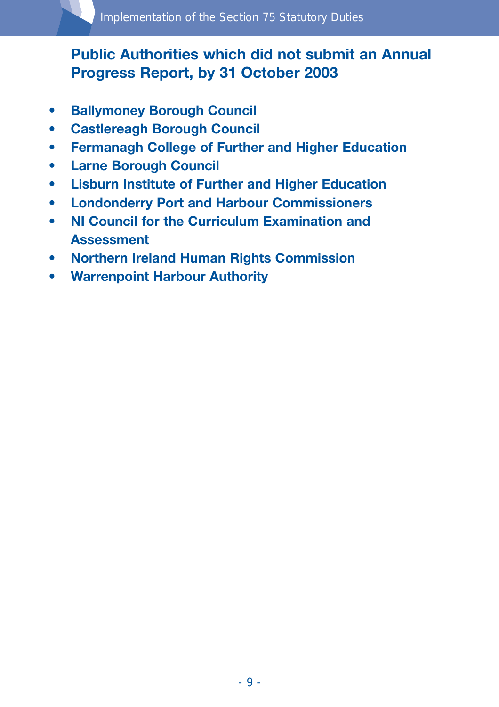# **Public Authorities which did not submit an Annual Progress Report, by 31 October 2003**

- **Ballymoney Borough Council**
- **Castlereagh Borough Council**
- **Fermanagh College of Further and Higher Education**
- **Larne Borough Council**
- **Lisburn Institute of Further and Higher Education**
- **Londonderry Port and Harbour Commissioners**
- **NI Council for the Curriculum Examination and Assessment**
- **Northern Ireland Human Rights Commission**
- **Warrenpoint Harbour Authority**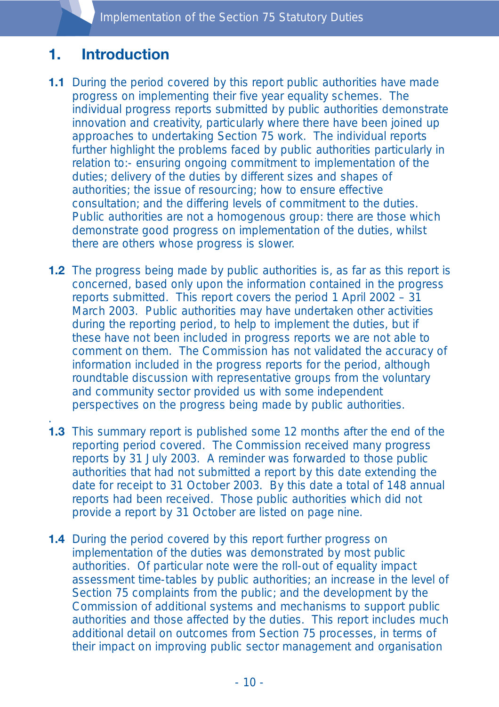Implementation of the Section 75 Statutory Duties

# **1. Introduction**

.

- **1.1** During the period covered by this report public authorities have made progress on implementing their five year equality schemes. The individual progress reports submitted by public authorities demonstrate innovation and creativity, particularly where there have been joined up approaches to undertaking Section 75 work. The individual reports further highlight the problems faced by public authorities particularly in relation to:- ensuring ongoing commitment to implementation of the duties; delivery of the duties by different sizes and shapes of authorities; the issue of resourcing; how to ensure effective consultation; and the differing levels of commitment to the duties. Public authorities are not a homogenous group: there are those which demonstrate good progress on implementation of the duties, whilst there are others whose progress is slower.
- **1.2** The progress being made by public authorities is, as far as this report is concerned, based only upon the information contained in the progress reports submitted. This report covers the period 1 April 2002 – 31 March 2003. Public authorities may have undertaken other activities during the reporting period, to help to implement the duties, but if these have not been included in progress reports we are not able to comment on them. The Commission has not validated the accuracy of information included in the progress reports for the period, although roundtable discussion with representative groups from the voluntary and community sector provided us with some independent perspectives on the progress being made by public authorities.
- **1.3** This summary report is published some 12 months after the end of the reporting period covered. The Commission received many progress reports by 31 July 2003. A reminder was forwarded to those public authorities that had not submitted a report by this date extending the date for receipt to 31 October 2003. By this date a total of 148 annual reports had been received. Those public authorities which did not provide a report by 31 October are listed on page nine.
- **1.4** During the period covered by this report further progress on implementation of the duties was demonstrated by most public authorities. Of particular note were the roll-out of equality impact assessment time-tables by public authorities; an increase in the level of Section 75 complaints from the public; and the development by the Commission of additional systems and mechanisms to support public authorities and those affected by the duties. This report includes much additional detail on outcomes from Section 75 processes, in terms of their impact on improving public sector management and organisation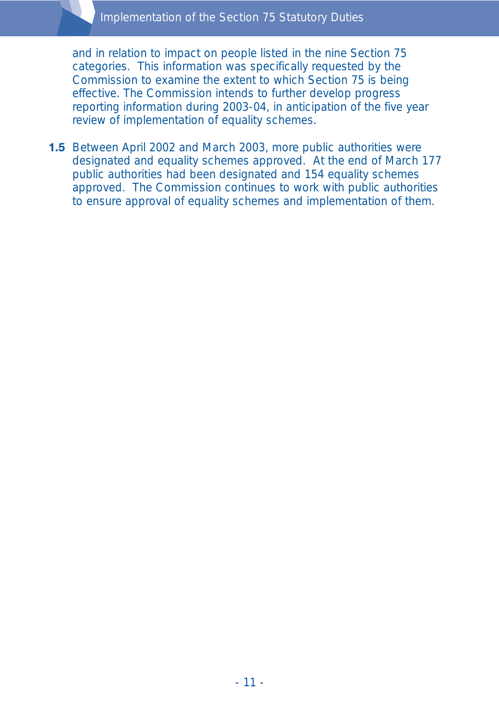and in relation to impact on people listed in the nine Section 75 categories. This information was specifically requested by the Commission to examine the extent to which Section 75 is being effective. The Commission intends to further develop progress reporting information during 2003-04, in anticipation of the five year review of implementation of equality schemes.

**1.5** Between April 2002 and March 2003, more public authorities were designated and equality schemes approved. At the end of March 177 public authorities had been designated and 154 equality schemes approved. The Commission continues to work with public authorities to ensure approval of equality schemes and implementation of them.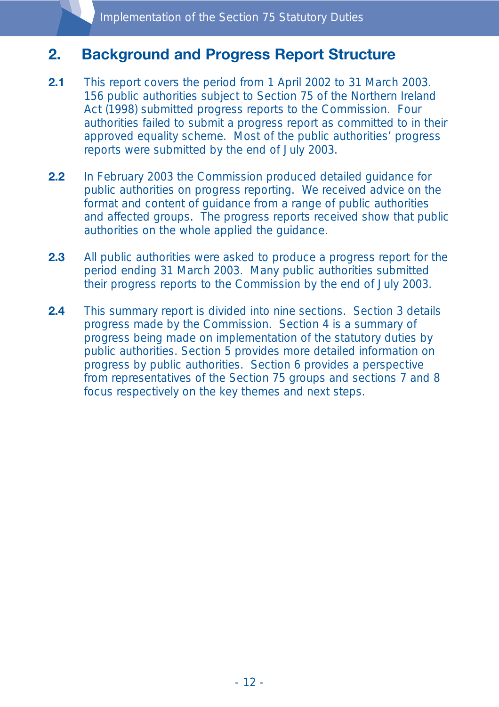# **2. Background and Progress Report Structure**

- **2.1** This report covers the period from 1 April 2002 to 31 March 2003. 156 public authorities subject to Section 75 of the Northern Ireland Act (1998) submitted progress reports to the Commission. Four authorities failed to submit a progress report as committed to in their approved equality scheme. Most of the public authorities' progress reports were submitted by the end of July 2003.
- **2.2** In February 2003 the Commission produced detailed guidance for public authorities on progress reporting. We received advice on the format and content of guidance from a range of public authorities and affected groups. The progress reports received show that public authorities on the whole applied the guidance.
- **2.3** All public authorities were asked to produce a progress report for the period ending 31 March 2003. Many public authorities submitted their progress reports to the Commission by the end of July 2003.
- **2.4** This summary report is divided into nine sections. Section 3 details progress made by the Commission. Section 4 is a summary of progress being made on implementation of the statutory duties by public authorities. Section 5 provides more detailed information on progress by public authorities. Section 6 provides a perspective from representatives of the Section 75 groups and sections 7 and 8 focus respectively on the key themes and next steps.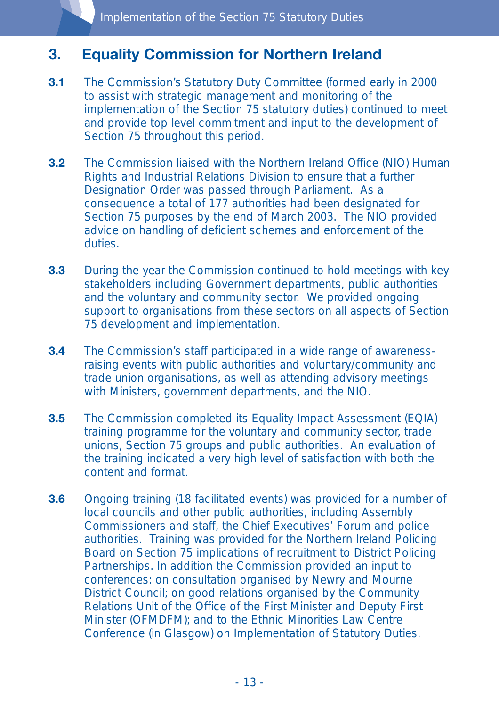# **3. Equality Commission for Northern Ireland**

- **3.1** The Commission's Statutory Duty Committee (formed early in 2000 to assist with strategic management and monitoring of the implementation of the Section 75 statutory duties) continued to meet and provide top level commitment and input to the development of Section 75 throughout this period.
- **3.2** The Commission liaised with the Northern Ireland Office (NIO) Human Rights and Industrial Relations Division to ensure that a further Designation Order was passed through Parliament. As a consequence a total of 177 authorities had been designated for Section 75 purposes by the end of March 2003. The NIO provided advice on handling of deficient schemes and enforcement of the duties.
- **3.3** During the year the Commission continued to hold meetings with key stakeholders including Government departments, public authorities and the voluntary and community sector. We provided ongoing support to organisations from these sectors on all aspects of Section 75 development and implementation.
- **3.4** The Commission's staff participated in a wide range of awarenessraising events with public authorities and voluntary/community and trade union organisations, as well as attending advisory meetings with Ministers, government departments, and the NIO.
- **3.5** The Commission completed its Equality Impact Assessment (EQIA) training programme for the voluntary and community sector, trade unions, Section 75 groups and public authorities. An evaluation of the training indicated a very high level of satisfaction with both the content and format.
- **3.6** Ongoing training (18 facilitated events) was provided for a number of local councils and other public authorities, including Assembly Commissioners and staff, the Chief Executives' Forum and police authorities. Training was provided for the Northern Ireland Policing Board on Section 75 implications of recruitment to District Policing Partnerships. In addition the Commission provided an input to conferences: on consultation organised by Newry and Mourne District Council; on good relations organised by the Community Relations Unit of the Office of the First Minister and Deputy First Minister (OFMDFM); and to the Ethnic Minorities Law Centre Conference (in Glasgow) on Implementation of Statutory Duties.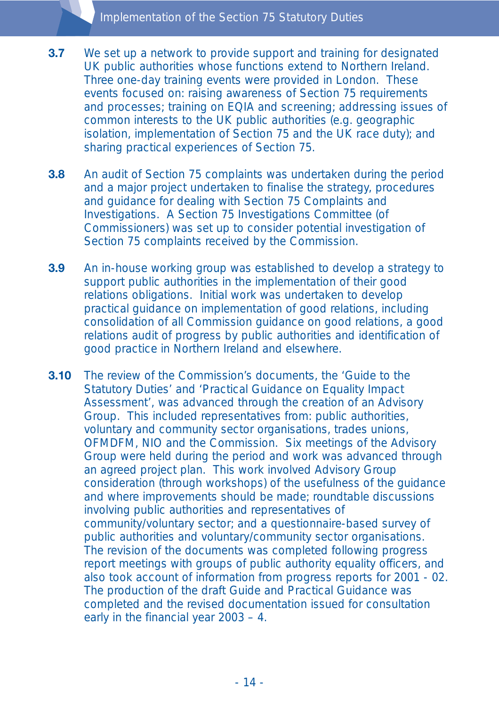- **3.7** We set up a network to provide support and training for designated UK public authorities whose functions extend to Northern Ireland. Three one-day training events were provided in London. These events focused on: raising awareness of Section 75 requirements and processes; training on EQIA and screening; addressing issues of common interests to the UK public authorities (e.g. geographic isolation, implementation of Section 75 and the UK race duty); and sharing practical experiences of Section 75.
- **3.8** An audit of Section 75 complaints was undertaken during the period and a major project undertaken to finalise the strategy, procedures and guidance for dealing with Section 75 Complaints and Investigations. A Section 75 Investigations Committee (of Commissioners) was set up to consider potential investigation of Section 75 complaints received by the Commission.
- **3.9** An in-house working group was established to develop a strategy to support public authorities in the implementation of their good relations obligations. Initial work was undertaken to develop practical guidance on implementation of good relations, including consolidation of all Commission guidance on good relations, a good relations audit of progress by public authorities and identification of good practice in Northern Ireland and elsewhere.
- **3.10** The review of the Commission's documents, the 'Guide to the Statutory Duties' and 'Practical Guidance on Equality Impact Assessment', was advanced through the creation of an Advisory Group. This included representatives from: public authorities, voluntary and community sector organisations, trades unions, OFMDFM, NIO and the Commission. Six meetings of the Advisory Group were held during the period and work was advanced through an agreed project plan. This work involved Advisory Group consideration (through workshops) of the usefulness of the guidance and where improvements should be made; roundtable discussions involving public authorities and representatives of community/voluntary sector; and a questionnaire-based survey of public authorities and voluntary/community sector organisations. The revision of the documents was completed following progress report meetings with groups of public authority equality officers, and also took account of information from progress reports for 2001 - 02. The production of the draft Guide and Practical Guidance was completed and the revised documentation issued for consultation early in the financial year 2003 – 4.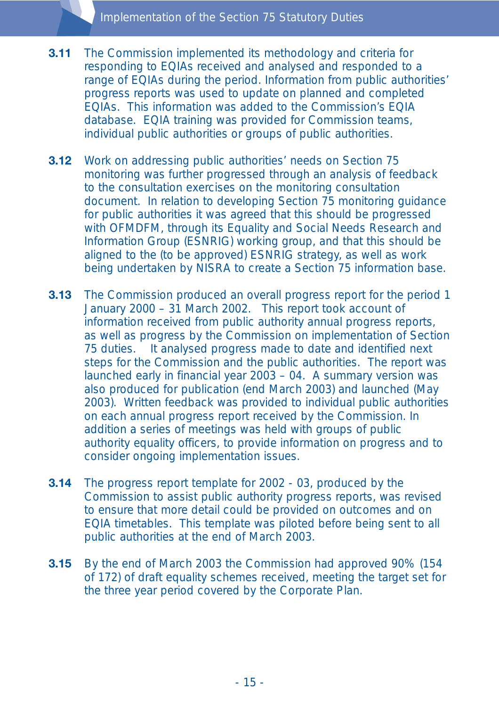- **3.11** The Commission implemented its methodology and criteria for responding to EQIAs received and analysed and responded to a range of EQIAs during the period. Information from public authorities' progress reports was used to update on planned and completed EQIAs. This information was added to the Commission's EQIA database. EQIA training was provided for Commission teams, individual public authorities or groups of public authorities.
- **3.12** Work on addressing public authorities' needs on Section 75 monitoring was further progressed through an analysis of feedback to the consultation exercises on the monitoring consultation document. In relation to developing Section 75 monitoring guidance for public authorities it was agreed that this should be progressed with OFMDFM, through its Equality and Social Needs Research and Information Group (ESNRIG) working group, and that this should be aligned to the (to be approved) ESNRIG strategy, as well as work being undertaken by NISRA to create a Section 75 information base.
- **3.13** The Commission produced an overall progress report for the period 1 January 2000 – 31 March 2002. This report took account of information received from public authority annual progress reports, as well as progress by the Commission on implementation of Section 75 duties. It analysed progress made to date and identified next steps for the Commission and the public authorities. The report was launched early in financial year 2003 – 04. A summary version was also produced for publication (end March 2003) and launched (May 2003). Written feedback was provided to individual public authorities on each annual progress report received by the Commission. In addition a series of meetings was held with groups of public authority equality officers, to provide information on progress and to consider ongoing implementation issues.
- **3.14** The progress report template for 2002 03, produced by the Commission to assist public authority progress reports, was revised to ensure that more detail could be provided on outcomes and on EQIA timetables. This template was piloted before being sent to all public authorities at the end of March 2003.
- **3.15** By the end of March 2003 the Commission had approved 90% (154) of 172) of draft equality schemes received, meeting the target set for the three year period covered by the Corporate Plan.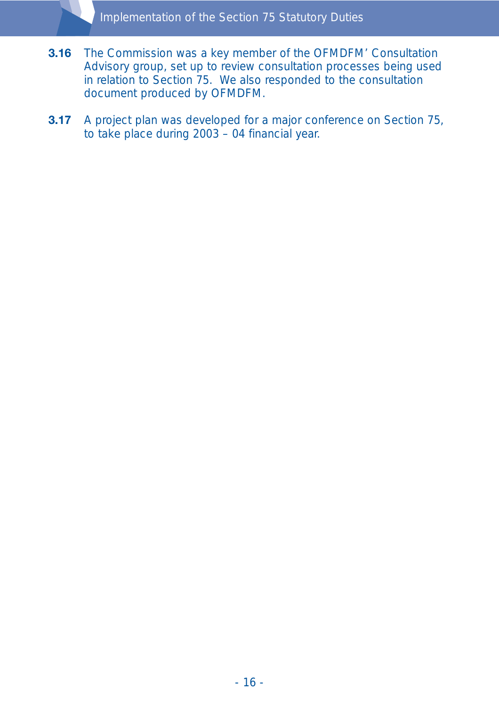- **3.16** The Commission was a key member of the OFMDFM' Consultation Advisory group, set up to review consultation processes being used in relation to Section 75. We also responded to the consultation document produced by OFMDFM.
- **3.17** A project plan was developed for a major conference on Section 75, to take place during 2003 – 04 financial year.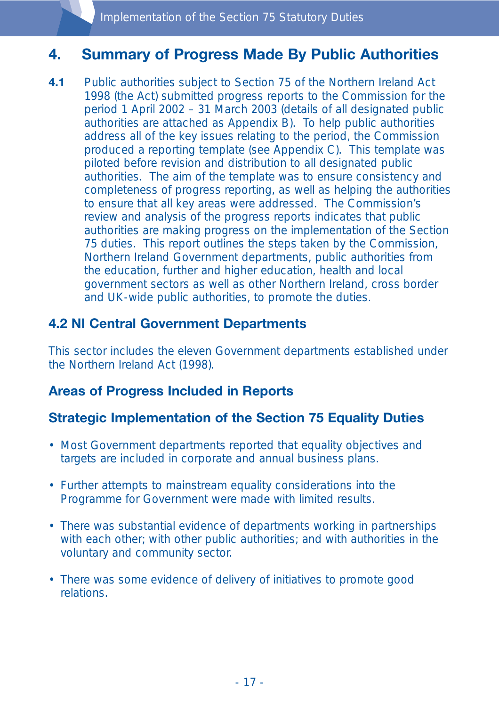# **4. Summary of Progress Made By Public Authorities**

**4.1** Public authorities subject to Section 75 of the Northern Ireland Act 1998 (the Act) submitted progress reports to the Commission for the period 1 April 2002 – 31 March 2003 (details of all designated public authorities are attached as Appendix B). To help public authorities address all of the key issues relating to the period, the Commission produced a reporting template (see Appendix C). This template was piloted before revision and distribution to all designated public authorities. The aim of the template was to ensure consistency and completeness of progress reporting, as well as helping the authorities to ensure that all key areas were addressed. The Commission's review and analysis of the progress reports indicates that public authorities are making progress on the implementation of the Section 75 duties. This report outlines the steps taken by the Commission, Northern Ireland Government departments, public authorities from the education, further and higher education, health and local government sectors as well as other Northern Ireland, cross border and UK-wide public authorities, to promote the duties.

### **4.2 NI Central Government Departments**

This sector includes the eleven Government departments established under the Northern Ireland Act (1998).

### **Areas of Progress Included in Reports**

### **Strategic Implementation of the Section 75 Equality Duties**

- Most Government departments reported that equality objectives and targets are included in corporate and annual business plans.
- Further attempts to mainstream equality considerations into the Programme for Government were made with limited results.
- There was substantial evidence of departments working in partnerships with each other; with other public authorities; and with authorities in the voluntary and community sector.
- There was some evidence of delivery of initiatives to promote good relations.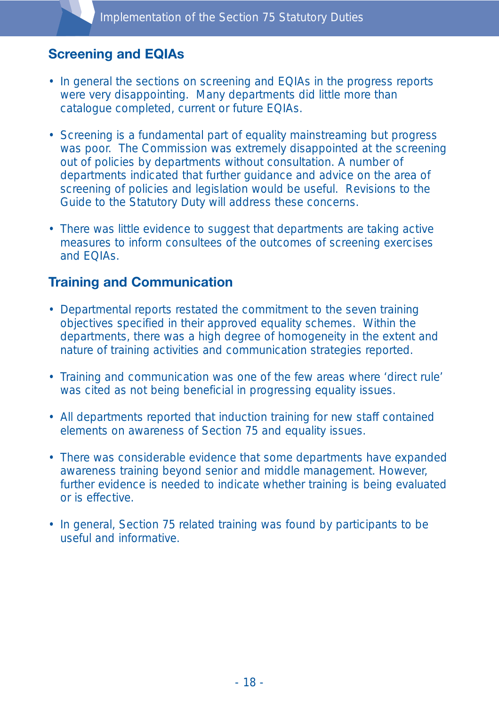## **Screening and EQIAs**

- In general the sections on screening and EQIAs in the progress reports were very disappointing. Many departments did little more than catalogue completed, current or future EQIAs.
- Screening is a fundamental part of equality mainstreaming but progress was poor. The Commission was extremely disappointed at the screening out of policies by departments without consultation. A number of departments indicated that further guidance and advice on the area of screening of policies and legislation would be useful. Revisions to the Guide to the Statutory Duty will address these concerns.
- There was little evidence to suggest that departments are taking active measures to inform consultees of the outcomes of screening exercises and EQIAs.

### **Training and Communication**

- Departmental reports restated the commitment to the seven training objectives specified in their approved equality schemes. Within the departments, there was a high degree of homogeneity in the extent and nature of training activities and communication strategies reported.
- Training and communication was one of the few areas where 'direct rule' was cited as not being beneficial in progressing equality issues.
- All departments reported that induction training for new staff contained elements on awareness of Section 75 and equality issues.
- There was considerable evidence that some departments have expanded awareness training beyond senior and middle management. However, further evidence is needed to indicate whether training is being evaluated or is effective.
- In general, Section 75 related training was found by participants to be useful and informative.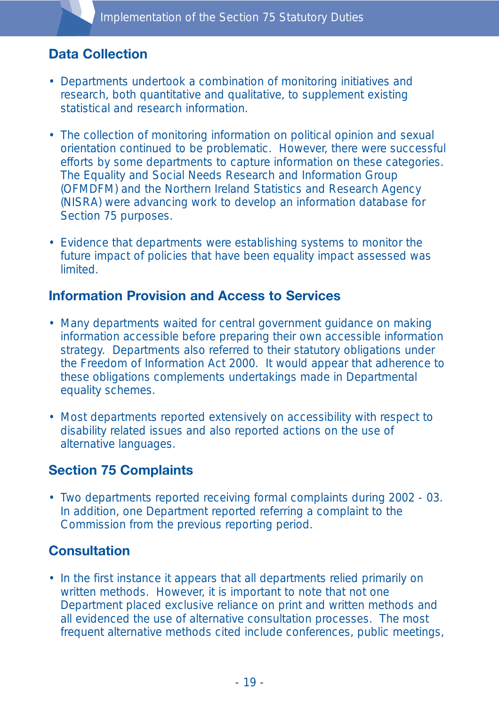## **Data Collection**

- Departments undertook a combination of monitoring initiatives and research, both quantitative and qualitative, to supplement existing statistical and research information.
- The collection of monitoring information on political opinion and sexual orientation continued to be problematic. However, there were successful efforts by some departments to capture information on these categories. The Equality and Social Needs Research and Information Group (OFMDFM) and the Northern Ireland Statistics and Research Agency (NISRA) were advancing work to develop an information database for Section 75 purposes.
- Evidence that departments were establishing systems to monitor the future impact of policies that have been equality impact assessed was **limited**

#### **Information Provision and Access to Services**

- Many departments waited for central government guidance on making information accessible before preparing their own accessible information strategy. Departments also referred to their statutory obligations under the Freedom of Information Act 2000. It would appear that adherence to these obligations complements undertakings made in Departmental equality schemes.
- Most departments reported extensively on accessibility with respect to disability related issues and also reported actions on the use of alternative languages.

## **Section 75 Complaints**

• Two departments reported receiving formal complaints during 2002 - 03. In addition, one Department reported referring a complaint to the Commission from the previous reporting period.

### **Consultation**

• In the first instance it appears that all departments relied primarily on written methods. However, it is important to note that not one Department placed exclusive reliance on print and written methods and all evidenced the use of alternative consultation processes. The most frequent alternative methods cited include conferences, public meetings,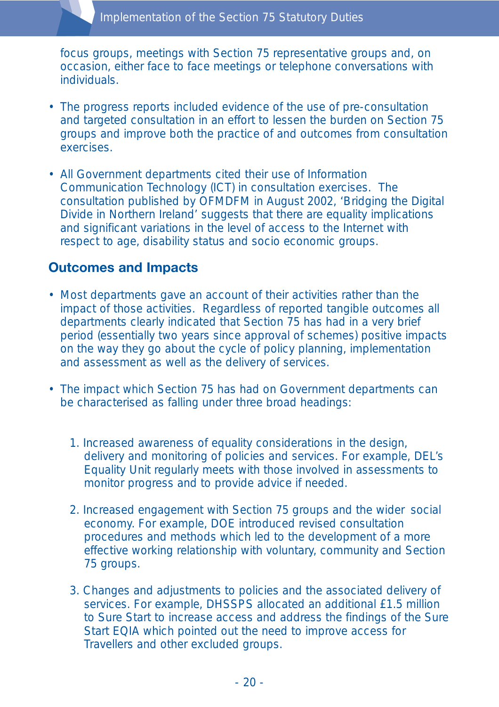focus groups, meetings with Section 75 representative groups and, on occasion, either face to face meetings or telephone conversations with individuals.

- The progress reports included evidence of the use of pre-consultation and targeted consultation in an effort to lessen the burden on Section 75 groups and improve both the practice of and outcomes from consultation exercises.
- All Government departments cited their use of Information Communication Technology (ICT) in consultation exercises. The consultation published by OFMDFM in August 2002, 'Bridging the Digital Divide in Northern Ireland' suggests that there are equality implications and significant variations in the level of access to the Internet with respect to age, disability status and socio economic groups.

#### **Outcomes and Impacts**

- Most departments gave an account of their activities rather than the impact of those activities. Regardless of reported tangible outcomes all departments clearly indicated that Section 75 has had in a very brief period (essentially two years since approval of schemes) positive impacts on the way they go about the cycle of policy planning, implementation and assessment as well as the delivery of services.
- The impact which Section 75 has had on Government departments can be characterised as falling under three broad headings:
	- 1. Increased awareness of equality considerations in the design, delivery and monitoring of policies and services. For example, DEL's Equality Unit regularly meets with those involved in assessments to monitor progress and to provide advice if needed.
	- 2. Increased engagement with Section 75 groups and the wider social economy. For example, DOE introduced revised consultation procedures and methods which led to the development of a more effective working relationship with voluntary, community and Section 75 groups.
	- 3. Changes and adjustments to policies and the associated delivery of services. For example, DHSSPS allocated an additional £1.5 million to Sure Start to increase access and address the findings of the Sure Start EQIA which pointed out the need to improve access for Travellers and other excluded groups.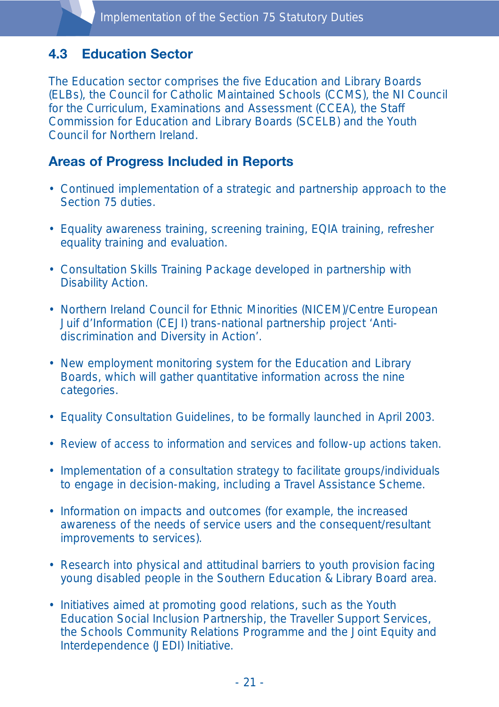### **4.3 Education Sector**

The Education sector comprises the five Education and Library Boards (ELBs), the Council for Catholic Maintained Schools (CCMS), the NI Council for the Curriculum, Examinations and Assessment (CCEA), the Staff Commission for Education and Library Boards (SCELB) and the Youth Council for Northern Ireland.

### **Areas of Progress Included in Reports**

- Continued implementation of a strategic and partnership approach to the Section 75 duties.
- Equality awareness training, screening training, EQIA training, refresher equality training and evaluation.
- Consultation Skills Training Package developed in partnership with Disability Action.
- Northern Ireland Council for Ethnic Minorities (NICEM)/Centre European Juif d'Information (CEJI) trans-national partnership project 'Antidiscrimination and Diversity in Action'.
- New employment monitoring system for the Education and Library Boards, which will gather quantitative information across the nine categories.
- Equality Consultation Guidelines, to be formally launched in April 2003.
- Review of access to information and services and follow-up actions taken.
- Implementation of a consultation strategy to facilitate groups/individuals to engage in decision-making, including a Travel Assistance Scheme.
- Information on impacts and outcomes (for example, the increased awareness of the needs of service users and the consequent/resultant improvements to services).
- Research into physical and attitudinal barriers to youth provision facing young disabled people in the Southern Education & Library Board area.
- Initiatives aimed at promoting good relations, such as the Youth Education Social Inclusion Partnership, the Traveller Support Services, the Schools Community Relations Programme and the Joint Equity and Interdependence (JEDI) Initiative.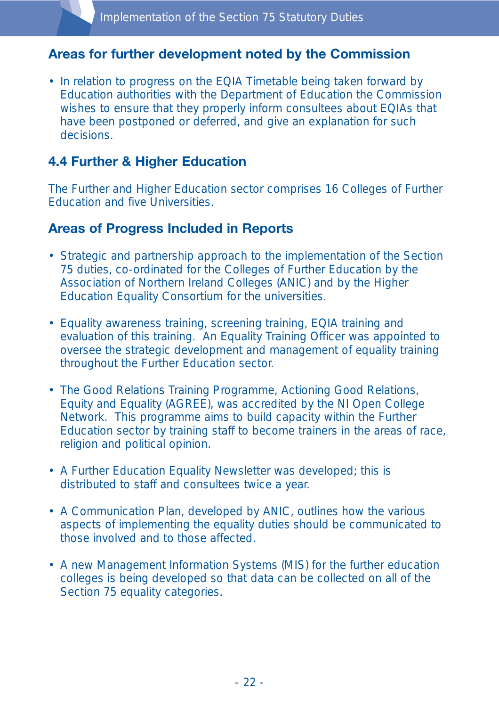#### **Areas for further development noted by the Commission**

• In relation to progress on the EQIA Timetable being taken forward by Education authorities with the Department of Education the Commission wishes to ensure that they properly inform consultees about EQIAs that have been postponed or deferred, and give an explanation for such decisions.

#### **4.4 Further & Higher Education**

The Further and Higher Education sector comprises 16 Colleges of Further Education and five Universities.

#### **Areas of Progress Included in Reports**

- Strategic and partnership approach to the implementation of the Section 75 duties, co-ordinated for the Colleges of Further Education by the Association of Northern Ireland Colleges (ANIC) and by the Higher Education Equality Consortium for the universities.
- Equality awareness training, screening training, EQIA training and evaluation of this training. An Equality Training Officer was appointed to oversee the strategic development and management of equality training throughout the Further Education sector.
- The Good Relations Training Programme, Actioning Good Relations, Equity and Equality (AGREE), was accredited by the NI Open College Network. This programme aims to build capacity within the Further Education sector by training staff to become trainers in the areas of race, religion and political opinion.
- A Further Education Equality Newsletter was developed; this is distributed to staff and consultees twice a year.
- A Communication Plan, developed by ANIC, outlines how the various aspects of implementing the equality duties should be communicated to those involved and to those affected.
- A new Management Information Systems (MIS) for the further education colleges is being developed so that data can be collected on all of the Section 75 equality categories.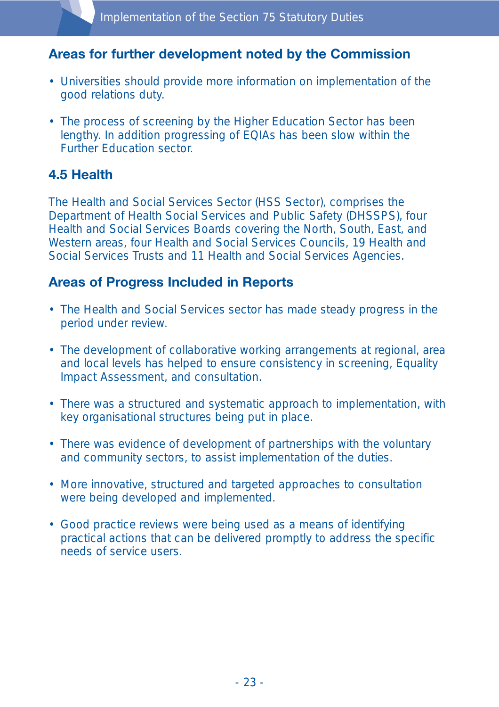#### **Areas for further development noted by the Commission**

- Universities should provide more information on implementation of the good relations duty.
- The process of screening by the Higher Education Sector has been lengthy. In addition progressing of EQIAs has been slow within the Further Education sector.

### **4.5 Health**

The Health and Social Services Sector (HSS Sector), comprises the Department of Health Social Services and Public Safety (DHSSPS), four Health and Social Services Boards covering the North, South, East, and Western areas, four Health and Social Services Councils, 19 Health and Social Services Trusts and 11 Health and Social Services Agencies.

#### **Areas of Progress Included in Reports**

- The Health and Social Services sector has made steady progress in the period under review.
- The development of collaborative working arrangements at regional, area and local levels has helped to ensure consistency in screening, Equality Impact Assessment, and consultation.
- There was a structured and systematic approach to implementation, with key organisational structures being put in place.
- There was evidence of development of partnerships with the voluntary and community sectors, to assist implementation of the duties.
- More innovative, structured and targeted approaches to consultation were being developed and implemented.
- Good practice reviews were being used as a means of identifying practical actions that can be delivered promptly to address the specific needs of service users.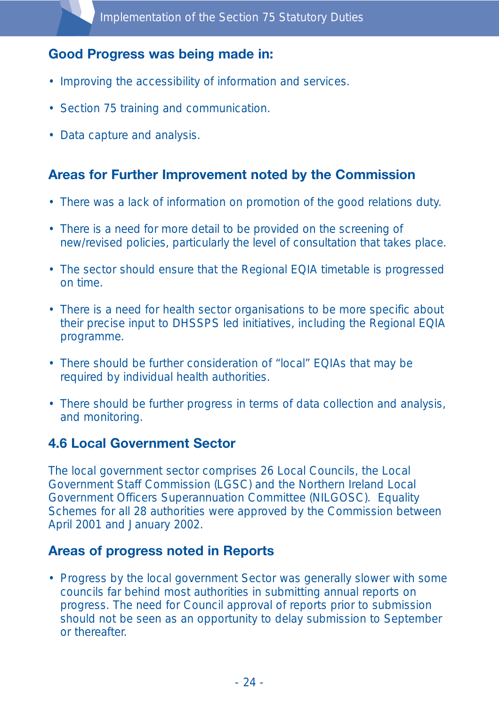## **Good Progress was being made in:**

- Improving the accessibility of information and services.
- Section 75 training and communication.
- Data capture and analysis.

### **Areas for Further Improvement noted by the Commission**

- There was a lack of information on promotion of the good relations duty.
- There is a need for more detail to be provided on the screening of new/revised policies, particularly the level of consultation that takes place.
- The sector should ensure that the Regional EQIA timetable is progressed on time.
- There is a need for health sector organisations to be more specific about their precise input to DHSSPS led initiatives, including the Regional EQIA programme.
- There should be further consideration of "local" EQIAs that may be required by individual health authorities.
- There should be further progress in terms of data collection and analysis, and monitoring.

#### **4.6 Local Government Sector**

The local government sector comprises 26 Local Councils, the Local Government Staff Commission (LGSC) and the Northern Ireland Local Government Officers Superannuation Committee (NILGOSC). Equality Schemes for all 28 authorities were approved by the Commission between April 2001 and January 2002.

#### **Areas of progress noted in Reports**

• Progress by the local government Sector was generally slower with some councils far behind most authorities in submitting annual reports on progress. The need for Council approval of reports prior to submission should not be seen as an opportunity to delay submission to September or thereafter.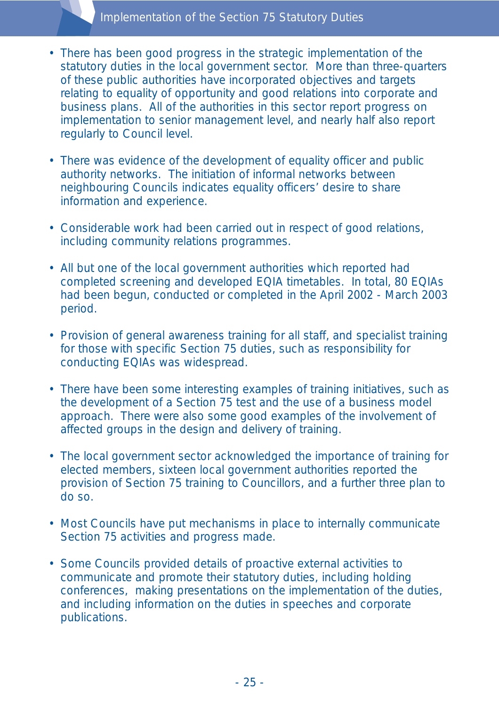#### Implementation of the Section 75 Statutory Duties

- There has been good progress in the strategic implementation of the statutory duties in the local government sector. More than three-quarters of these public authorities have incorporated objectives and targets relating to equality of opportunity and good relations into corporate and business plans. All of the authorities in this sector report progress on implementation to senior management level, and nearly half also report regularly to Council level.
- There was evidence of the development of equality officer and public authority networks. The initiation of informal networks between neighbouring Councils indicates equality officers' desire to share information and experience.
- Considerable work had been carried out in respect of good relations, including community relations programmes.
- All but one of the local government authorities which reported had completed screening and developed EQIA timetables. In total, 80 EQIAs had been begun, conducted or completed in the April 2002 - March 2003 period.
- Provision of general awareness training for all staff, and specialist training for those with specific Section 75 duties, such as responsibility for conducting EQIAs was widespread.
- There have been some interesting examples of training initiatives, such as the development of a Section 75 test and the use of a business model approach. There were also some good examples of the involvement of affected groups in the design and delivery of training.
- The local government sector acknowledged the importance of training for elected members, sixteen local government authorities reported the provision of Section 75 training to Councillors, and a further three plan to do so.
- Most Councils have put mechanisms in place to internally communicate Section 75 activities and progress made.
- Some Councils provided details of proactive external activities to communicate and promote their statutory duties, including holding conferences, making presentations on the implementation of the duties, and including information on the duties in speeches and corporate publications.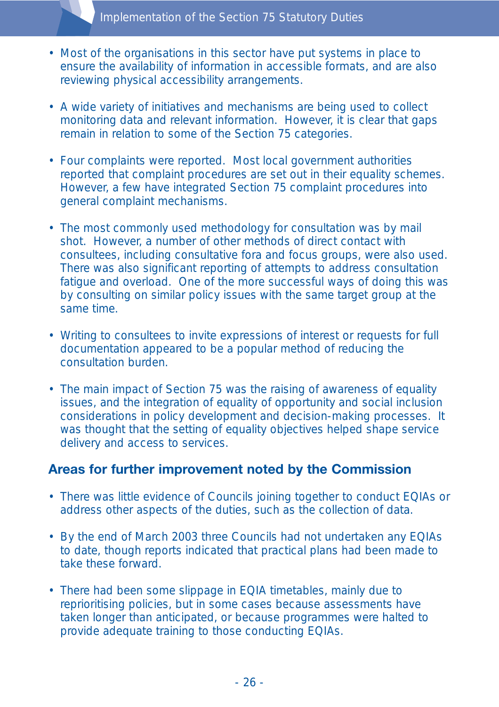- Most of the organisations in this sector have put systems in place to ensure the availability of information in accessible formats, and are also reviewing physical accessibility arrangements.
- A wide variety of initiatives and mechanisms are being used to collect monitoring data and relevant information. However, it is clear that gaps remain in relation to some of the Section 75 categories.
- Four complaints were reported. Most local government authorities reported that complaint procedures are set out in their equality schemes. However, a few have integrated Section 75 complaint procedures into general complaint mechanisms.
- The most commonly used methodology for consultation was by mail shot. However, a number of other methods of direct contact with consultees, including consultative fora and focus groups, were also used. There was also significant reporting of attempts to address consultation fatigue and overload. One of the more successful ways of doing this was by consulting on similar policy issues with the same target group at the same time.
- Writing to consultees to invite expressions of interest or requests for full documentation appeared to be a popular method of reducing the consultation burden.
- The main impact of Section 75 was the raising of awareness of equality issues, and the integration of equality of opportunity and social inclusion considerations in policy development and decision-making processes. It was thought that the setting of equality objectives helped shape service delivery and access to services.

#### **Areas for further improvement noted by the Commission**

- There was little evidence of Councils joining together to conduct EQIAs or address other aspects of the duties, such as the collection of data.
- By the end of March 2003 three Councils had not undertaken any EQIAs to date, though reports indicated that practical plans had been made to take these forward.
- There had been some slippage in EQIA timetables, mainly due to reprioritising policies, but in some cases because assessments have taken longer than anticipated, or because programmes were halted to provide adequate training to those conducting EQIAs.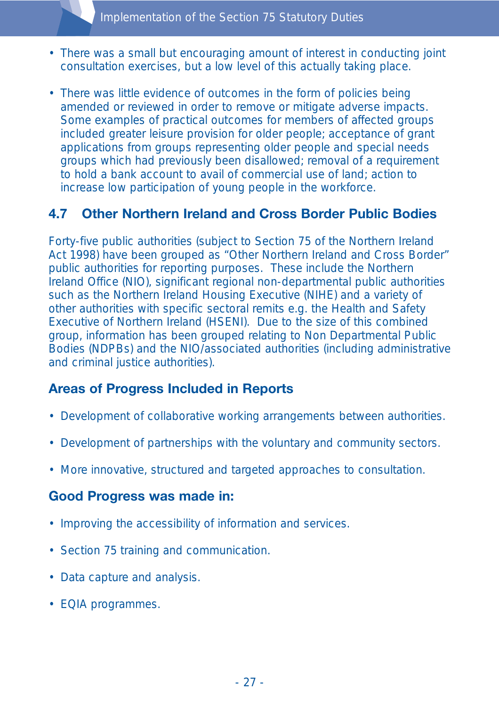- There was a small but encouraging amount of interest in conducting joint consultation exercises, but a low level of this actually taking place.
- There was little evidence of outcomes in the form of policies being amended or reviewed in order to remove or mitigate adverse impacts. Some examples of practical outcomes for members of affected groups included greater leisure provision for older people; acceptance of grant applications from groups representing older people and special needs groups which had previously been disallowed; removal of a requirement to hold a bank account to avail of commercial use of land; action to increase low participation of young people in the workforce.

#### **4.7 Other Northern Ireland and Cross Border Public Bodies**

Forty-five public authorities (subject to Section 75 of the Northern Ireland Act 1998) have been grouped as "Other Northern Ireland and Cross Border" public authorities for reporting purposes. These include the Northern Ireland Office (NIO), significant regional non-departmental public authorities such as the Northern Ireland Housing Executive (NIHE) and a variety of other authorities with specific sectoral remits e.g. the Health and Safety Executive of Northern Ireland (HSENI). Due to the size of this combined group, information has been grouped relating to Non Departmental Public Bodies (NDPBs) and the NIO/associated authorities (including administrative and criminal justice authorities).

#### **Areas of Progress Included in Reports**

- Development of collaborative working arrangements between authorities.
- Development of partnerships with the voluntary and community sectors.
- More innovative, structured and targeted approaches to consultation.

#### **Good Progress was made in:**

- Improving the accessibility of information and services.
- Section 75 training and communication.
- Data capture and analysis.
- EQIA programmes.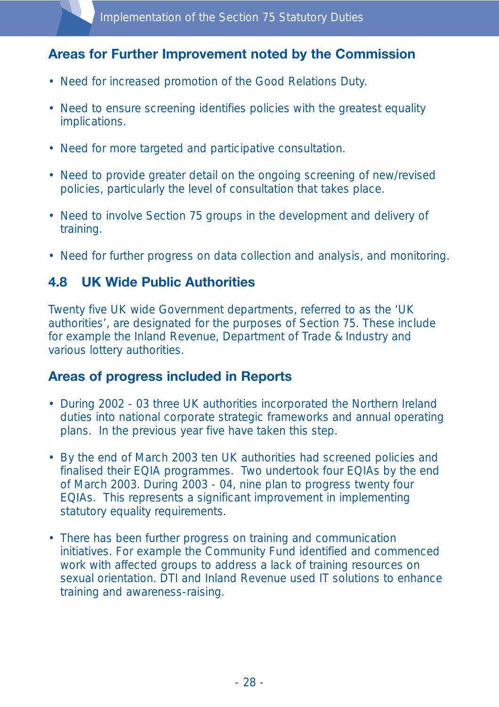## **Areas for Further Improvement noted by the Commission**

- Need for increased promotion of the Good Relations Duty.
- Need to ensure screening identifies policies with the greatest equality implications.
- Need for more targeted and participative consultation.
- Need to provide greater detail on the ongoing screening of new/revised policies, particularly the level of consultation that takes place.
- Need to involve Section 75 groups in the development and delivery of training.
- Need for further progress on data collection and analysis, and monitoring.

### **4.8 UK Wide Public Authorities**

Twenty five UK wide Government departments, referred to as the 'UK authorities', are designated for the purposes of Section 75. These include for example the Inland Revenue, Department of Trade & Industry and various lottery authorities.

### **Areas of progress included in Reports**

- During 2002 03 three UK authorities incorporated the Northern Ireland duties into national corporate strategic frameworks and annual operating plans. In the previous year five have taken this step.
- By the end of March 2003 ten UK authorities had screened policies and finalised their EQIA programmes. Two undertook four EQIAs by the end of March 2003. During 2003 - 04, nine plan to progress twenty four EQIAs. This represents a significant improvement in implementing statutory equality requirements.
- There has been further progress on training and communication initiatives. For example the Community Fund identified and commenced work with affected groups to address a lack of training resources on sexual orientation. DTI and Inland Revenue used IT solutions to enhance training and awareness-raising.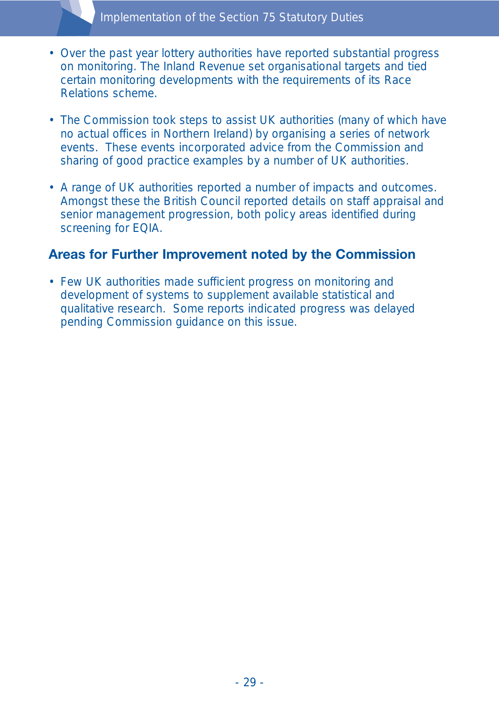- Over the past year lottery authorities have reported substantial progress on monitoring. The Inland Revenue set organisational targets and tied certain monitoring developments with the requirements of its Race Relations scheme.
- The Commission took steps to assist UK authorities (many of which have no actual offices in Northern Ireland) by organising a series of network events. These events incorporated advice from the Commission and sharing of good practice examples by a number of UK authorities.
- A range of UK authorities reported a number of impacts and outcomes. Amongst these the British Council reported details on staff appraisal and senior management progression, both policy areas identified during screening for EQIA.

#### **Areas for Further Improvement noted by the Commission**

• Few UK authorities made sufficient progress on monitoring and development of systems to supplement available statistical and qualitative research. Some reports indicated progress was delayed pending Commission guidance on this issue.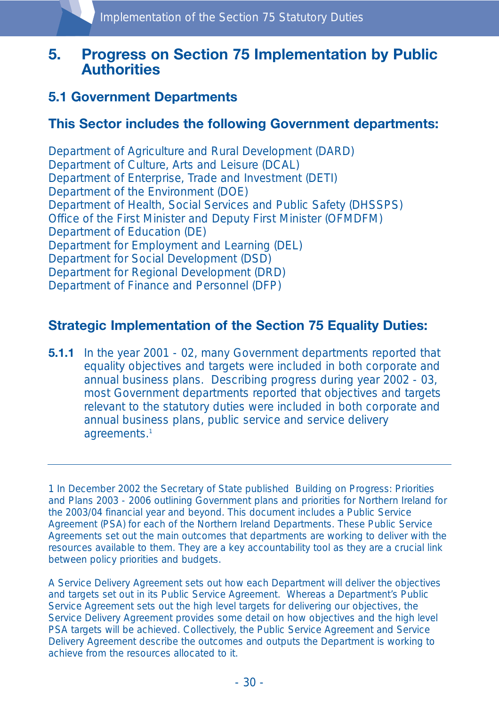## **5. Progress on Section 75 Implementation by Public Authorities**

#### **5.1 Government Departments**

#### **This Sector includes the following Government departments:**

Department of Agriculture and Rural Development (DARD) Department of Culture, Arts and Leisure (DCAL) Department of Enterprise, Trade and Investment (DETI) Department of the Environment (DOE) Department of Health, Social Services and Public Safety (DHSSPS) Office of the First Minister and Deputy First Minister (OFMDFM) Department of Education (DE) Department for Employment and Learning (DEL) Department for Social Development (DSD) Department for Regional Development (DRD) Department of Finance and Personnel (DFP)

#### **Strategic Implementation of the Section 75 Equality Duties:**

**5.1.1** In the year 2001 - 02, many Government departments reported that equality objectives and targets were included in both corporate and annual business plans. Describing progress during year 2002 - 03, most Government departments reported that objectives and targets relevant to the statutory duties were included in both corporate and annual business plans, public service and service delivery agreements.<sup>1</sup>

1 In December 2002 the Secretary of State published Building on Progress: Priorities and Plans 2003 - 2006 outlining Government plans and priorities for Northern Ireland for the 2003/04 financial year and beyond. This document includes a Public Service Agreement (PSA) for each of the Northern Ireland Departments. These Public Service Agreements set out the main outcomes that departments are working to deliver with the resources available to them. They are a key accountability tool as they are a crucial link between policy priorities and budgets.

A Service Delivery Agreement sets out how each Department will deliver the objectives and targets set out in its Public Service Agreement. Whereas a Department's Public Service Agreement sets out the high level targets for delivering our objectives, the Service Delivery Agreement provides some detail on how objectives and the high level PSA targets will be achieved. Collectively, the Public Service Agreement and Service Delivery Agreement describe the outcomes and outputs the Department is working to achieve from the resources allocated to it.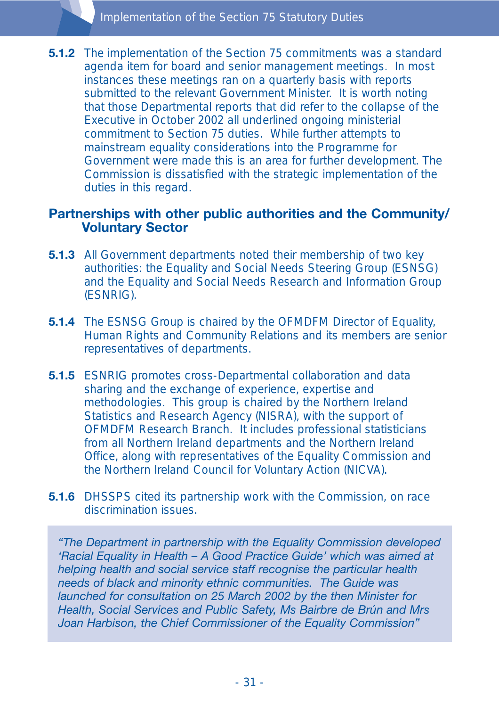**5.1.2** The implementation of the Section 75 commitments was a standard agenda item for board and senior management meetings. In most instances these meetings ran on a quarterly basis with reports submitted to the relevant Government Minister. It is worth noting that those Departmental reports that did refer to the collapse of the Executive in October 2002 all underlined ongoing ministerial commitment to Section 75 duties. While further attempts to mainstream equality considerations into the Programme for Government were made this is an area for further development. The Commission is dissatisfied with the strategic implementation of the duties in this regard.

#### **Partnerships with other public authorities and the Community/ Voluntary Sector**

- **5.1.3** All Government departments noted their membership of two key authorities: the Equality and Social Needs Steering Group (ESNSG) and the Equality and Social Needs Research and Information Group (ESNRIG).
- **5.1.4** The ESNSG Group is chaired by the OFMDFM Director of Equality, Human Rights and Community Relations and its members are senior representatives of departments.
- **5.1.5** ESNRIG promotes cross-Departmental collaboration and data sharing and the exchange of experience, expertise and methodologies. This group is chaired by the Northern Ireland Statistics and Research Agency (NISRA), with the support of OFMDFM Research Branch. It includes professional statisticians from all Northern Ireland departments and the Northern Ireland Office, along with representatives of the Equality Commission and the Northern Ireland Council for Voluntary Action (NICVA).
- **5.1.6** DHSSPS cited its partnership work with the Commission, on race discrimination issues.

*"The Department in partnership with the Equality Commission developed 'Racial Equality in Health – A Good Practice Guide' which was aimed at helping health and social service staff recognise the particular health needs of black and minority ethnic communities. The Guide was launched for consultation on 25 March 2002 by the then Minister for Health, Social Services and Public Safety, Ms Bairbre de Brún and Mrs Joan Harbison, the Chief Commissioner of the Equality Commission"*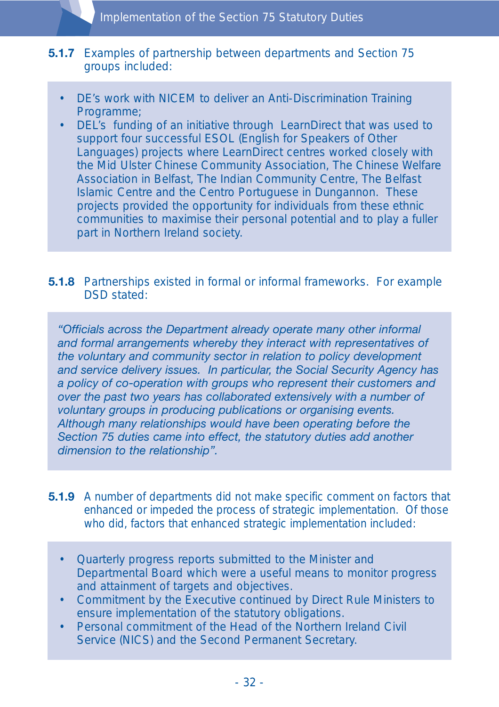#### **5.1.7** Examples of partnership between departments and Section 75 groups included:

- DE's work with NICEM to deliver an Anti-Discrimination Training Programme;
- DEL's funding of an initiative through LearnDirect that was used to support four successful ESOL (English for Speakers of Other Languages) projects where LearnDirect centres worked closely with the Mid Ulster Chinese Community Association, The Chinese Welfare Association in Belfast, The Indian Community Centre, The Belfast Islamic Centre and the Centro Portuguese in Dungannon. These projects provided the opportunity for individuals from these ethnic communities to maximise their personal potential and to play a fuller part in Northern Ireland society.

#### **5.1.8** Partnerships existed in formal or informal frameworks. For example DSD stated:

*"Officials across the Department already operate many other informal and formal arrangements whereby they interact with representatives of the voluntary and community sector in relation to policy development and service delivery issues. In particular, the Social Security Agency has a policy of co-operation with groups who represent their customers and over the past two years has collaborated extensively with a number of voluntary groups in producing publications or organising events. Although many relationships would have been operating before the Section 75 duties came into effect, the statutory duties add another dimension to the relationship".*

- **5.1.9** A number of departments did not make specific comment on factors that enhanced or impeded the process of strategic implementation. Of those who did, factors that enhanced strategic implementation included:
	- Quarterly progress reports submitted to the Minister and Departmental Board which were a useful means to monitor progress and attainment of targets and objectives.
	- Commitment by the Executive continued by Direct Rule Ministers to ensure implementation of the statutory obligations.
	- Personal commitment of the Head of the Northern Ireland Civil Service (NICS) and the Second Permanent Secretary.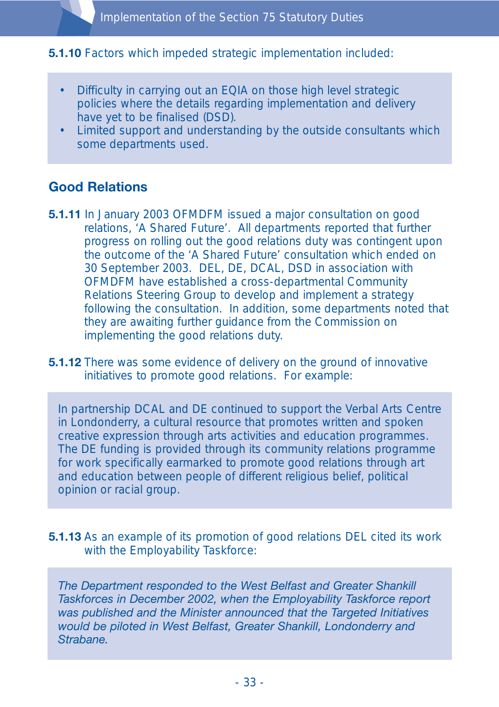#### **5.1.10** Factors which impeded strategic implementation included:

- Difficulty in carrying out an EQIA on those high level strategic policies where the details regarding implementation and delivery have yet to be finalised (DSD).
- Limited support and understanding by the outside consultants which some departments used.

#### **Good Relations**

- **5.1.11** In January 2003 OFMDFM issued a major consultation on good relations, 'A Shared Future'. All departments reported that further progress on rolling out the good relations duty was contingent upon the outcome of the 'A Shared Future' consultation which ended on 30 September 2003. DEL, DE, DCAL, DSD in association with OFMDFM have established a cross-departmental Community Relations Steering Group to develop and implement a strategy following the consultation. In addition, some departments noted that they are awaiting further guidance from the Commission on implementing the good relations duty.
- **5.1.12** There was some evidence of delivery on the ground of innovative initiatives to promote good relations. For example:

In partnership DCAL and DE continued to support the Verbal Arts Centre in Londonderry, a cultural resource that promotes written and spoken creative expression through arts activities and education programmes. The DE funding is provided through its community relations programme for work specifically earmarked to promote good relations through art and education between people of different religious belief, political opinion or racial group.

**5.1.13** As an example of its promotion of good relations DEL cited its work with the Employability Taskforce:

*The Department responded to the West Belfast and Greater Shankill Taskforces in December 2002, when the Employability Taskforce report was published and the Minister announced that the Targeted Initiatives would be piloted in West Belfast, Greater Shankill, Londonderry and Strabane.*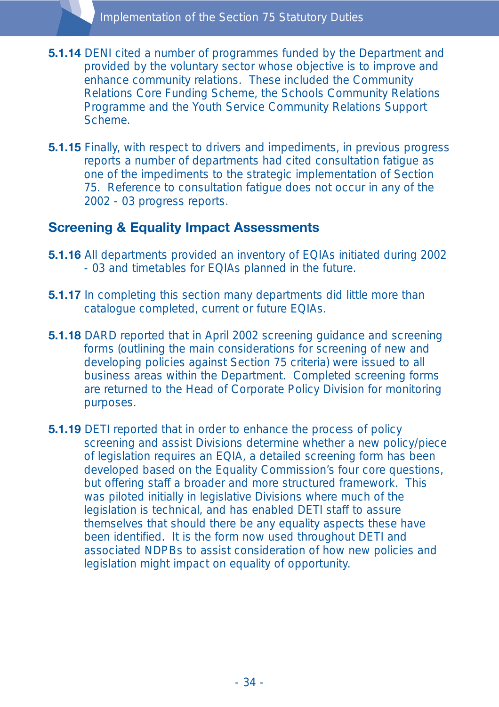- **5.1.14** DENI cited a number of programmes funded by the Department and provided by the voluntary sector whose objective is to improve and enhance community relations. These included the Community Relations Core Funding Scheme, the Schools Community Relations Programme and the Youth Service Community Relations Support Scheme.
- **5.1.15** Finally, with respect to drivers and impediments, in previous progress reports a number of departments had cited consultation fatigue as one of the impediments to the strategic implementation of Section 75. Reference to consultation fatigue does not occur in any of the 2002 - 03 progress reports.

#### **Screening & Equality Impact Assessments**

- **5.1.16** All departments provided an inventory of EQIAs initiated during 2002 - 03 and timetables for EQIAs planned in the future.
- **5.1.17** In completing this section many departments did little more than catalogue completed, current or future EQIAs.
- **5.1.18** DARD reported that in April 2002 screening guidance and screening forms (outlining the main considerations for screening of new and developing policies against Section 75 criteria) were issued to all business areas within the Department. Completed screening forms are returned to the Head of Corporate Policy Division for monitoring purposes.
- **5.1.19** DETI reported that in order to enhance the process of policy screening and assist Divisions determine whether a new policy/piece of legislation requires an EQIA, a detailed screening form has been developed based on the Equality Commission's four core questions, but offering staff a broader and more structured framework. This was piloted initially in legislative Divisions where much of the legislation is technical, and has enabled DETI staff to assure themselves that should there be any equality aspects these have been identified. It is the form now used throughout DETI and associated NDPBs to assist consideration of how new policies and legislation might impact on equality of opportunity.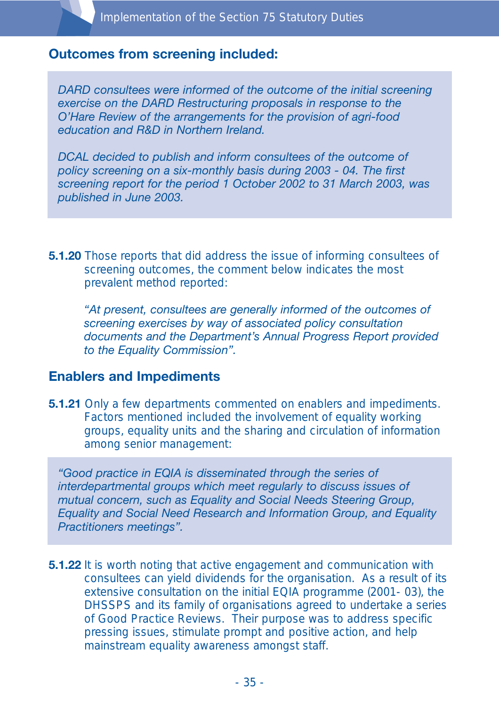#### **Outcomes from screening included:**

*DARD consultees were informed of the outcome of the initial screening exercise on the DARD Restructuring proposals in response to the O'Hare Review of the arrangements for the provision of agri-food education and R&D in Northern Ireland.*

*DCAL decided to publish and inform consultees of the outcome of policy screening on a six-monthly basis during 2003 - 04. The first screening report for the period 1 October 2002 to 31 March 2003, was published in June 2003.*

**5.1.20** Those reports that did address the issue of informing consultees of screening outcomes, the comment below indicates the most prevalent method reported:

*"At present, consultees are generally informed of the outcomes of screening exercises by way of associated policy consultation documents and the Department's Annual Progress Report provided to the Equality Commission".* 

#### **Enablers and Impediments**

**5.1.21** Only a few departments commented on enablers and impediments. Factors mentioned included the involvement of equality working groups, equality units and the sharing and circulation of information among senior management:

*"Good practice in EQIA is disseminated through the series of interdepartmental groups which meet regularly to discuss issues of mutual concern, such as Equality and Social Needs Steering Group, Equality and Social Need Research and Information Group, and Equality Practitioners meetings".*

**5.1.22** It is worth noting that active engagement and communication with consultees can yield dividends for the organisation. As a result of its extensive consultation on the initial EQIA programme (2001- 03), the DHSSPS and its family of organisations agreed to undertake a series of Good Practice Reviews. Their purpose was to address specific pressing issues, stimulate prompt and positive action, and help mainstream equality awareness amongst staff.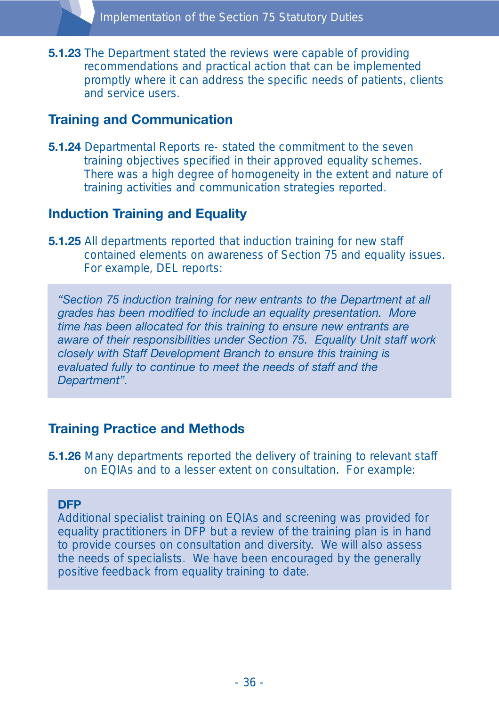**5.1.23** The Department stated the reviews were capable of providing recommendations and practical action that can be implemented promptly where it can address the specific needs of patients, clients and service users.

#### **Training and Communication**

**5.1.24** Departmental Reports re- stated the commitment to the seven training objectives specified in their approved equality schemes. There was a high degree of homogeneity in the extent and nature of training activities and communication strategies reported.

#### **Induction Training and Equality**

**5.1.25** All departments reported that induction training for new staff contained elements on awareness of Section 75 and equality issues. For example, DEL reports:

*"Section 75 induction training for new entrants to the Department at all grades has been modified to include an equality presentation. More time has been allocated for this training to ensure new entrants are aware of their responsibilities under Section 75. Equality Unit staff work closely with Staff Development Branch to ensure this training is evaluated fully to continue to meet the needs of staff and the Department".*

#### **Training Practice and Methods**

**5.1.26** Many departments reported the delivery of training to relevant staff on EQIAs and to a lesser extent on consultation. For example:

#### **DFP**

Additional specialist training on EQIAs and screening was provided for equality practitioners in DFP but a review of the training plan is in hand to provide courses on consultation and diversity. We will also assess the needs of specialists. We have been encouraged by the generally positive feedback from equality training to date.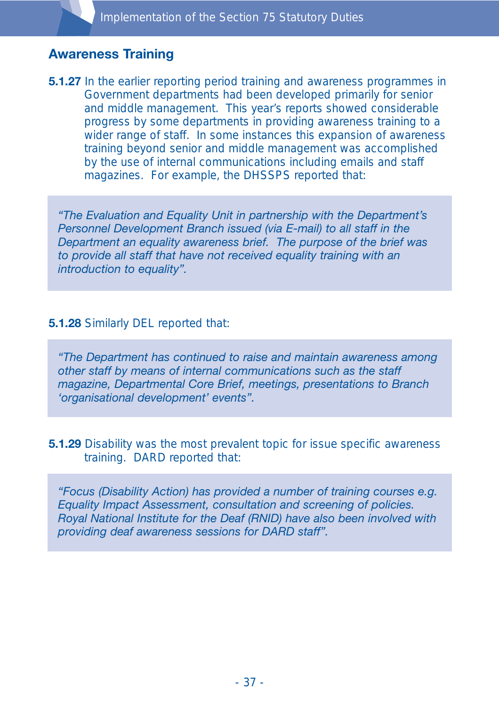### **Awareness Training**

**5.1.27** In the earlier reporting period training and awareness programmes in Government departments had been developed primarily for senior and middle management. This year's reports showed considerable progress by some departments in providing awareness training to a wider range of staff. In some instances this expansion of awareness training beyond senior and middle management was accomplished by the use of internal communications including emails and staff magazines. For example, the DHSSPS reported that:

*"The Evaluation and Equality Unit in partnership with the Department's Personnel Development Branch issued (via E-mail) to all staff in the Department an equality awareness brief. The purpose of the brief was to provide all staff that have not received equality training with an introduction to equality".*

#### **5.1.28** Similarly DEL reported that:

*"The Department has continued to raise and maintain awareness among other staff by means of internal communications such as the staff magazine, Departmental Core Brief, meetings, presentations to Branch 'organisational development' events".*

**5.1.29** Disability was the most prevalent topic for issue specific awareness training. DARD reported that:

*"Focus (Disability Action) has provided a number of training courses e.g. Equality Impact Assessment, consultation and screening of policies. Royal National Institute for the Deaf (RNID) have also been involved with providing deaf awareness sessions for DARD staff".*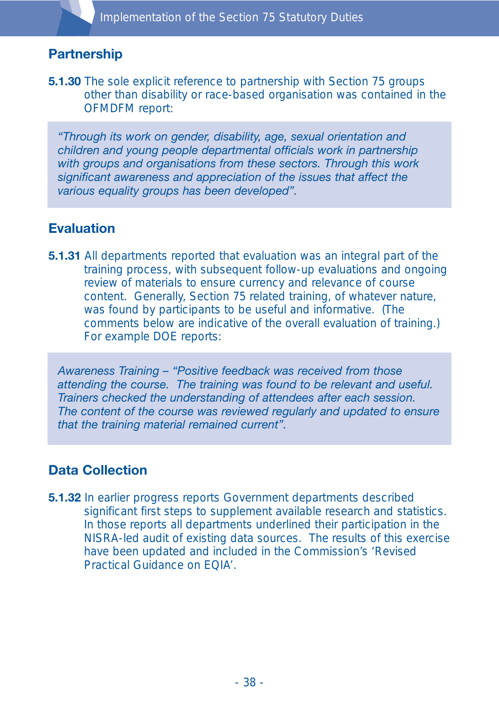# **Partnership**

**5.1.30** The sole explicit reference to partnership with Section 75 groups other than disability or race-based organisation was contained in the OFMDFM report:

*"Through its work on gender, disability, age, sexual orientation and children and young people departmental officials work in partnership with groups and organisations from these sectors. Through this work significant awareness and appreciation of the issues that affect the various equality groups has been developed".*

### **Evaluation**

**5.1.31** All departments reported that evaluation was an integral part of the training process, with subsequent follow-up evaluations and ongoing review of materials to ensure currency and relevance of course content. Generally, Section 75 related training, of whatever nature, was found by participants to be useful and informative. (The comments below are indicative of the overall evaluation of training.) For example DOE reports:

*Awareness Training – "Positive feedback was received from those attending the course. The training was found to be relevant and useful. Trainers checked the understanding of attendees after each session. The content of the course was reviewed regularly and updated to ensure that the training material remained current".*

# **Data Collection**

**5.1.32** In earlier progress reports Government departments described significant first steps to supplement available research and statistics. In those reports all departments underlined their participation in the NISRA-led audit of existing data sources. The results of this exercise have been updated and included in the Commission's 'Revised Practical Guidance on EQIA'.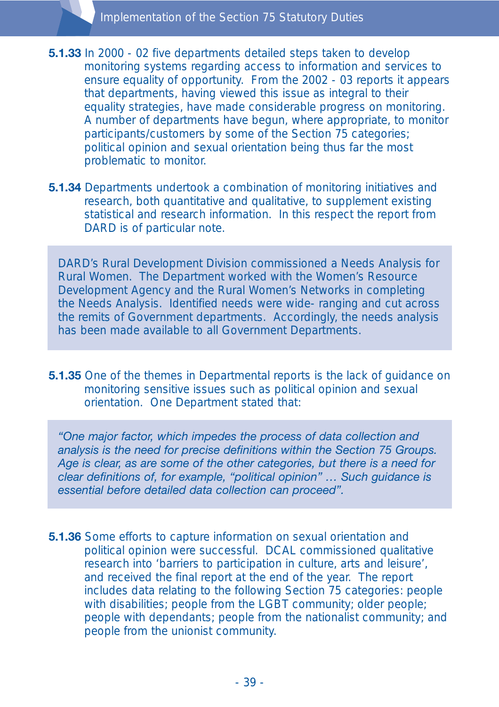**5.1.33** In 2000 - 02 five departments detailed steps taken to develop monitoring systems regarding access to information and services to ensure equality of opportunity. From the 2002 - 03 reports it appears that departments, having viewed this issue as integral to their equality strategies, have made considerable progress on monitoring. A number of departments have begun, where appropriate, to monitor participants/customers by some of the Section 75 categories; political opinion and sexual orientation being thus far the most problematic to monitor.

**5.1.34** Departments undertook a combination of monitoring initiatives and research, both quantitative and qualitative, to supplement existing statistical and research information. In this respect the report from DARD is of particular note.

DARD's Rural Development Division commissioned a Needs Analysis for Rural Women. The Department worked with the Women's Resource Development Agency and the Rural Women's Networks in completing the Needs Analysis. Identified needs were wide- ranging and cut across the remits of Government departments. Accordingly, the needs analysis has been made available to all Government Departments.

**5.1.35** One of the themes in Departmental reports is the lack of guidance on monitoring sensitive issues such as political opinion and sexual orientation. One Department stated that:

*"One major factor, which impedes the process of data collection and analysis is the need for precise definitions within the Section 75 Groups. Age is clear, as are some of the other categories, but there is a need for clear definitions of, for example, "political opinion" … Such guidance is essential before detailed data collection can proceed".*

**5.1.36** Some efforts to capture information on sexual orientation and political opinion were successful. DCAL commissioned qualitative research into 'barriers to participation in culture, arts and leisure', and received the final report at the end of the year. The report includes data relating to the following Section 75 categories: people with disabilities; people from the LGBT community; older people; people with dependants; people from the nationalist community; and people from the unionist community.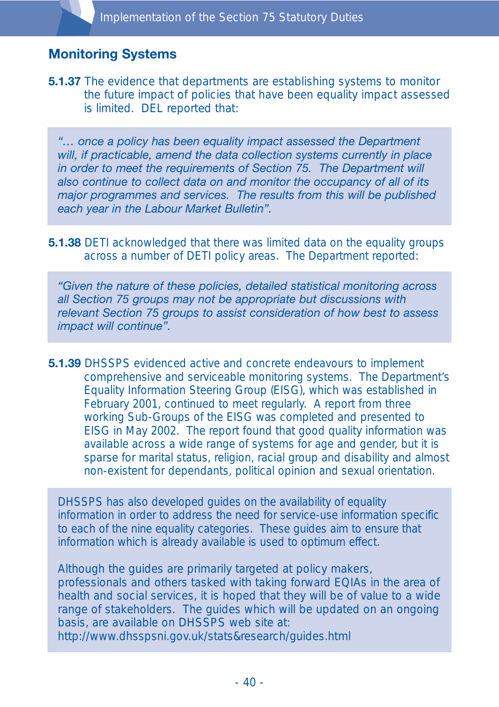# **Monitoring Systems**

**5.1.37** The evidence that departments are establishing systems to monitor the future impact of policies that have been equality impact assessed is limited. DEL reported that:

*"… once a policy has been equality impact assessed the Department will, if practicable, amend the data collection systems currently in place in order to meet the requirements of Section 75. The Department will also continue to collect data on and monitor the occupancy of all of its major programmes and services. The results from this will be published each year in the Labour Market Bulletin".*

**5.1.38** DETI acknowledged that there was limited data on the equality groups across a number of DETI policy areas. The Department reported:

*"Given the nature of these policies, detailed statistical monitoring across all Section 75 groups may not be appropriate but discussions with relevant Section 75 groups to assist consideration of how best to assess impact will continue".*

**5.1.39** DHSSPS evidenced active and concrete endeavours to implement comprehensive and serviceable monitoring systems. The Department's Equality Information Steering Group (EISG), which was established in February 2001, continued to meet regularly. A report from three working Sub-Groups of the EISG was completed and presented to EISG in May 2002. The report found that good quality information was available across a wide range of systems for age and gender, but it is sparse for marital status, religion, racial group and disability and almost non-existent for dependants, political opinion and sexual orientation.

DHSSPS has also developed guides on the availability of equality information in order to address the need for service-use information specific to each of the nine equality categories. These guides aim to ensure that information which is already available is used to optimum effect.

Although the guides are primarily targeted at policy makers, professionals and others tasked with taking forward EQIAs in the area of health and social services, it is hoped that they will be of value to a wide range of stakeholders. The guides which will be updated on an ongoing basis, are available on DHSSPS web site at: http://www.dhsspsni.gov.uk/stats&research/guides.html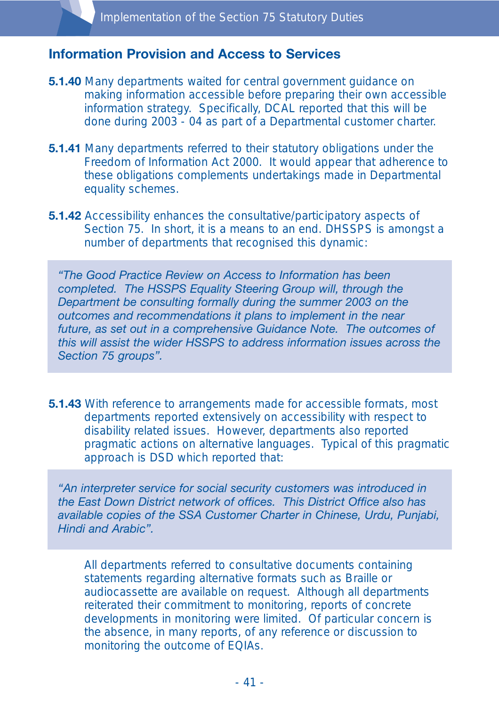#### **Information Provision and Access to Services**

- **5.1.40** Many departments waited for central government guidance on making information accessible before preparing their own accessible information strategy. Specifically, DCAL reported that this will be done during 2003 - 04 as part of a Departmental customer charter.
- **5.1.41** Many departments referred to their statutory obligations under the Freedom of Information Act 2000. It would appear that adherence to these obligations complements undertakings made in Departmental equality schemes.
- **5.1.42** Accessibility enhances the consultative/participatory aspects of Section 75. In short, it is a means to an end. DHSSPS is amongst a number of departments that recognised this dynamic:

*"The Good Practice Review on Access to Information has been completed. The HSSPS Equality Steering Group will, through the Department be consulting formally during the summer 2003 on the outcomes and recommendations it plans to implement in the near future, as set out in a comprehensive Guidance Note. The outcomes of this will assist the wider HSSPS to address information issues across the Section 75 groups".*

**5.1.43** With reference to arrangements made for accessible formats, most departments reported extensively on accessibility with respect to disability related issues. However, departments also reported pragmatic actions on alternative languages. Typical of this pragmatic approach is DSD which reported that:

*"An interpreter service for social security customers was introduced in the East Down District network of offices. This District Office also has available copies of the SSA Customer Charter in Chinese, Urdu, Punjabi, Hindi and Arabic".*

All departments referred to consultative documents containing statements regarding alternative formats such as Braille or audiocassette are available on request. Although all departments reiterated their commitment to monitoring, reports of concrete developments in monitoring were limited. Of particular concern is the absence, in many reports, of any reference or discussion to monitoring the outcome of EQIAs.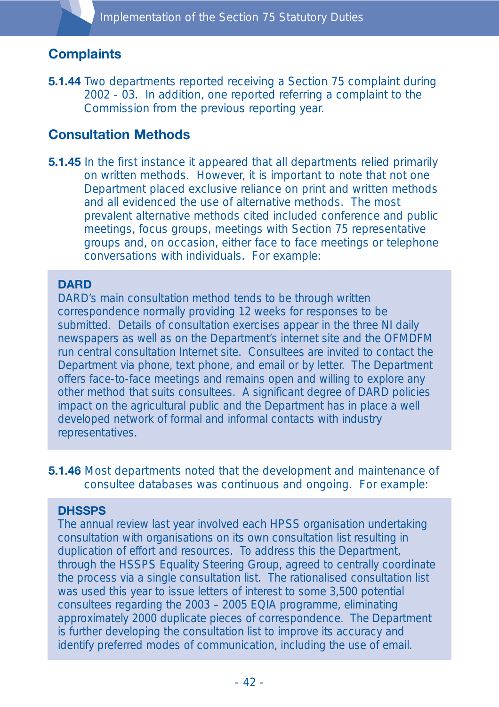# **Complaints**

**5.1.44** Two departments reported receiving a Section 75 complaint during 2002 - 03. In addition, one reported referring a complaint to the Commission from the previous reporting year.

### **Consultation Methods**

**5.1.45** In the first instance it appeared that all departments relied primarily on written methods. However, it is important to note that not one Department placed exclusive reliance on print and written methods and all evidenced the use of alternative methods. The most prevalent alternative methods cited included conference and public meetings, focus groups, meetings with Section 75 representative groups and, on occasion, either face to face meetings or telephone conversations with individuals. For example:

#### **DARD**

DARD's main consultation method tends to be through written correspondence normally providing 12 weeks for responses to be submitted. Details of consultation exercises appear in the three NI daily newspapers as well as on the Department's internet site and the OFMDFM run central consultation Internet site. Consultees are invited to contact the Department via phone, text phone, and email or by letter. The Department offers face-to-face meetings and remains open and willing to explore any other method that suits consultees. A significant degree of DARD policies impact on the agricultural public and the Department has in place a well developed network of formal and informal contacts with industry representatives.

**5.1.46** Most departments noted that the development and maintenance of consultee databases was continuous and ongoing. For example:

#### **DHSSPS**

The annual review last year involved each HPSS organisation undertaking consultation with organisations on its own consultation list resulting in duplication of effort and resources. To address this the Department, through the HSSPS Equality Steering Group, agreed to centrally coordinate the process via a single consultation list. The rationalised consultation list was used this year to issue letters of interest to some 3,500 potential consultees regarding the 2003 – 2005 EQIA programme, eliminating approximately 2000 duplicate pieces of correspondence. The Department is further developing the consultation list to improve its accuracy and identify preferred modes of communication, including the use of email.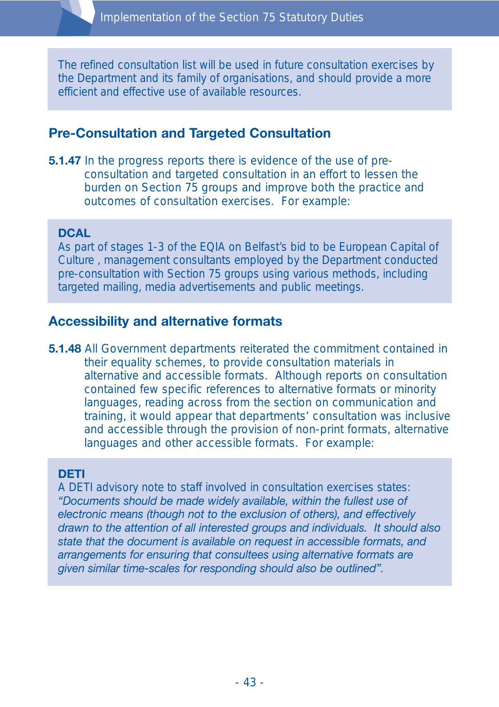The refined consultation list will be used in future consultation exercises by the Department and its family of organisations, and should provide a more efficient and effective use of available resources.

## **Pre-Consultation and Targeted Consultation**

**5.1.47** In the progress reports there is evidence of the use of preconsultation and targeted consultation in an effort to lessen the burden on Section 75 groups and improve both the practice and outcomes of consultation exercises. For example:

#### **DCAL**

As part of stages 1-3 of the EQIA on Belfast's bid to be European Capital of Culture , management consultants employed by the Department conducted pre-consultation with Section 75 groups using various methods, including targeted mailing, media advertisements and public meetings.

### **Accessibility and alternative formats**

**5.1.48** All Government departments reiterated the commitment contained in their equality schemes, to provide consultation materials in alternative and accessible formats. Although reports on consultation contained few specific references to alternative formats or minority languages, reading across from the section on communication and training, it would appear that departments' consultation was inclusive and accessible through the provision of non-print formats, alternative languages and other accessible formats. For example:

#### **DETI**

A DETI advisory note to staff involved in consultation exercises states: *"Documents should be made widely available, within the fullest use of electronic means (though not to the exclusion of others), and effectively drawn to the attention of all interested groups and individuals. It should also state that the document is available on request in accessible formats, and arrangements for ensuring that consultees using alternative formats are given similar time-scales for responding should also be outlined".*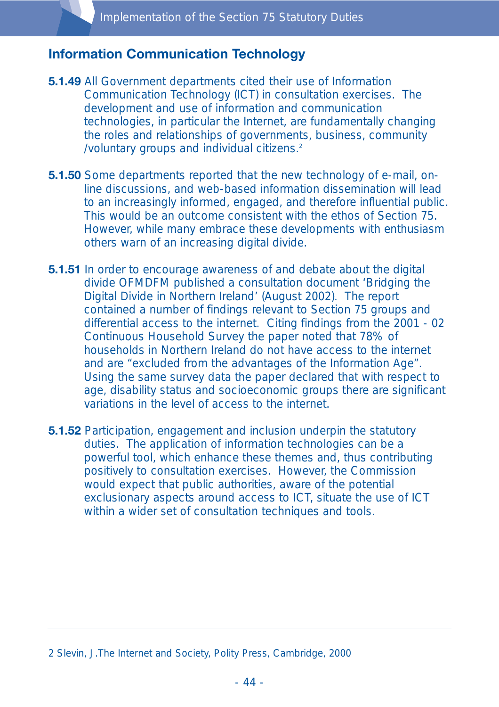### **Information Communication Technology**

- **5.1.49** All Government departments cited their use of Information Communication Technology (ICT) in consultation exercises. The development and use of information and communication technologies, in particular the Internet, are fundamentally changing the roles and relationships of governments, business, community /voluntary groups and individual citizens.2
- **5.1.50** Some departments reported that the new technology of e-mail, online discussions, and web-based information dissemination will lead to an increasingly informed, engaged, and therefore influential public. This would be an outcome consistent with the ethos of Section 75. However, while many embrace these developments with enthusiasm others warn of an increasing digital divide.
- **5.1.51** In order to encourage awareness of and debate about the digital divide OFMDFM published a consultation document 'Bridging the Digital Divide in Northern Ireland' (August 2002). The report contained a number of findings relevant to Section 75 groups and differential access to the internet. Citing findings from the 2001 - 02 Continuous Household Survey the paper noted that 78% of households in Northern Ireland do not have access to the internet and are "excluded from the advantages of the Information Age". Using the same survey data the paper declared that with respect to age, disability status and socioeconomic groups there are significant variations in the level of access to the internet.
- **5.1.52** Participation, engagement and inclusion underpin the statutory duties. The application of information technologies can be a powerful tool, which enhance these themes and, thus contributing positively to consultation exercises. However, the Commission would expect that public authorities, aware of the potential exclusionary aspects around access to ICT, situate the use of ICT within a wider set of consultation techniques and tools.

<sup>2</sup> Slevin, J.The Internet and Society, Polity Press, Cambridge, 2000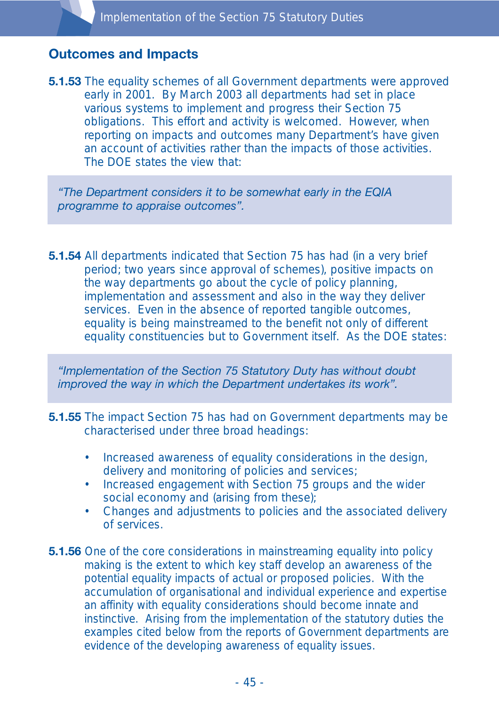### **Outcomes and Impacts**

**5.1.53** The equality schemes of all Government departments were approved early in 2001. By March 2003 all departments had set in place various systems to implement and progress their Section 75 obligations. This effort and activity is welcomed. However, when reporting on impacts and outcomes many Department's have given an account of activities rather than the impacts of those activities. The DOE states the view that:

*"The Department considers it to be somewhat early in the EQIA programme to appraise outcomes".*

**5.1.54** All departments indicated that Section 75 has had (in a very brief period; two years since approval of schemes), positive impacts on the way departments go about the cycle of policy planning, implementation and assessment and also in the way they deliver services. Even in the absence of reported tangible outcomes, equality is being mainstreamed to the benefit not only of different equality constituencies but to Government itself. As the DOE states:

*"Implementation of the Section 75 Statutory Duty has without doubt improved the way in which the Department undertakes its work".*

- **5.1.55** The impact Section 75 has had on Government departments may be characterised under three broad headings:
	- Increased awareness of equality considerations in the design, delivery and monitoring of policies and services;
	- Increased engagement with Section 75 groups and the wider social economy and (arising from these);
	- Changes and adjustments to policies and the associated delivery of services.
- **5.1.56** One of the core considerations in mainstreaming equality into policy making is the extent to which key staff develop an awareness of the potential equality impacts of actual or proposed policies. With the accumulation of organisational and individual experience and expertise an affinity with equality considerations should become innate and instinctive. Arising from the implementation of the statutory duties the examples cited below from the reports of Government departments are evidence of the developing awareness of equality issues.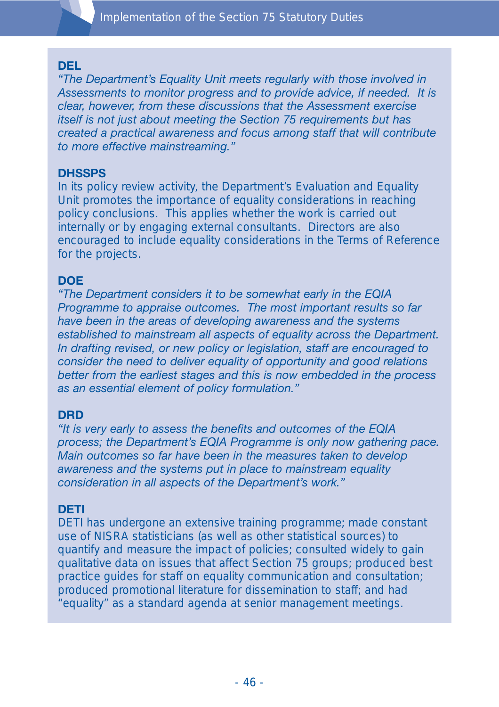

#### **DEL**

*"The Department's Equality Unit meets regularly with those involved in Assessments to monitor progress and to provide advice, if needed. It is clear, however, from these discussions that the Assessment exercise itself is not just about meeting the Section 75 requirements but has created a practical awareness and focus among staff that will contribute to more effective mainstreaming."*

#### **DHSSPS**

In its policy review activity, the Department's Evaluation and Equality Unit promotes the importance of equality considerations in reaching policy conclusions. This applies whether the work is carried out internally or by engaging external consultants. Directors are also encouraged to include equality considerations in the Terms of Reference for the projects.

#### **DOE**

*"The Department considers it to be somewhat early in the EQIA Programme to appraise outcomes. The most important results so far have been in the areas of developing awareness and the systems established to mainstream all aspects of equality across the Department. In drafting revised, or new policy or legislation, staff are encouraged to consider the need to deliver equality of opportunity and good relations better from the earliest stages and this is now embedded in the process as an essential element of policy formulation."*

#### **DRD**

*"It is very early to assess the benefits and outcomes of the EQIA process; the Department's EQIA Programme is only now gathering pace. Main outcomes so far have been in the measures taken to develop awareness and the systems put in place to mainstream equality consideration in all aspects of the Department's work."*

#### **DETI**

DETI has undergone an extensive training programme; made constant use of NISRA statisticians (as well as other statistical sources) to quantify and measure the impact of policies; consulted widely to gain qualitative data on issues that affect Section 75 groups; produced best practice guides for staff on equality communication and consultation; produced promotional literature for dissemination to staff; and had "equality" as a standard agenda at senior management meetings.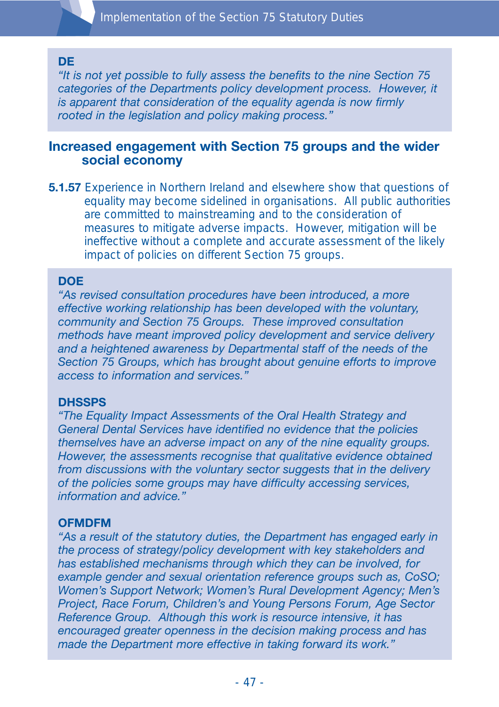#### **DE**

*"It is not yet possible to fully assess the benefits to the nine Section 75 categories of the Departments policy development process. However, it is apparent that consideration of the equality agenda is now firmly rooted in the legislation and policy making process."*

### **Increased engagement with Section 75 groups and the wider social economy**

**5.1.57** Experience in Northern Ireland and elsewhere show that questions of equality may become sidelined in organisations. All public authorities are committed to mainstreaming and to the consideration of measures to mitigate adverse impacts. However, mitigation will be ineffective without a complete and accurate assessment of the likely impact of policies on different Section 75 groups.

#### **DOE**

*"As revised consultation procedures have been introduced, a more effective working relationship has been developed with the voluntary, community and Section 75 Groups. These improved consultation methods have meant improved policy development and service delivery and a heightened awareness by Departmental staff of the needs of the Section 75 Groups, which has brought about genuine efforts to improve access to information and services."*

#### **DHSSPS**

*"The Equality Impact Assessments of the Oral Health Strategy and General Dental Services have identified no evidence that the policies themselves have an adverse impact on any of the nine equality groups. However, the assessments recognise that qualitative evidence obtained from discussions with the voluntary sector suggests that in the delivery of the policies some groups may have difficulty accessing services, information and advice."*

#### **OFMDFM**

*"As a result of the statutory duties, the Department has engaged early in the process of strategy/policy development with key stakeholders and has established mechanisms through which they can be involved, for example gender and sexual orientation reference groups such as, CoSO; Women's Support Network; Women's Rural Development Agency; Men's Project, Race Forum, Children's and Young Persons Forum, Age Sector Reference Group. Although this work is resource intensive, it has encouraged greater openness in the decision making process and has made the Department more effective in taking forward its work."*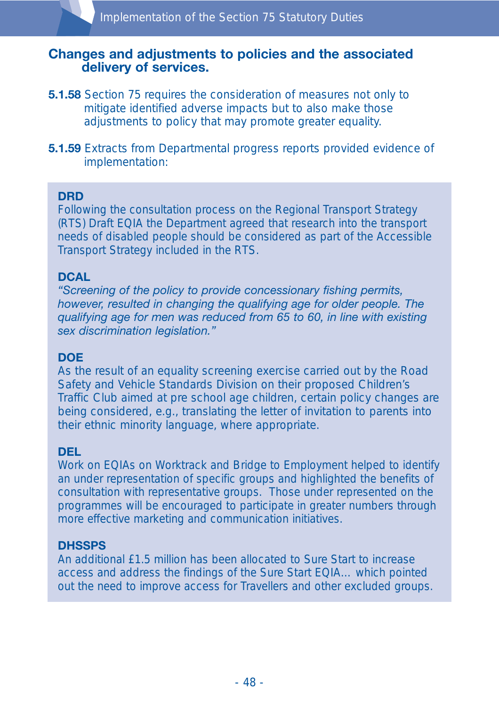#### **Changes and adjustments to policies and the associated delivery of services.**

- **5.1.58** Section 75 requires the consideration of measures not only to mitigate identified adverse impacts but to also make those adjustments to policy that may promote greater equality.
- **5.1.59** Extracts from Departmental progress reports provided evidence of implementation:

#### **DRD**

Following the consultation process on the Regional Transport Strategy (RTS) Draft EQIA the Department agreed that research into the transport needs of disabled people should be considered as part of the Accessible Transport Strategy included in the RTS.

#### **DCAL**

*"Screening of the policy to provide concessionary fishing permits, however, resulted in changing the qualifying age for older people. The qualifying age for men was reduced from 65 to 60, in line with existing sex discrimination legislation."*

#### **DOE**

As the result of an equality screening exercise carried out by the Road Safety and Vehicle Standards Division on their proposed Children's Traffic Club aimed at pre school age children, certain policy changes are being considered, e.g., translating the letter of invitation to parents into their ethnic minority language, where appropriate.

#### **DEL**

Work on EQIAs on Worktrack and Bridge to Employment helped to identify an under representation of specific groups and highlighted the benefits of consultation with representative groups. Those under represented on the programmes will be encouraged to participate in greater numbers through more effective marketing and communication initiatives.

#### **DHSSPS**

An additional £1.5 million has been allocated to Sure Start to increase access and address the findings of the Sure Start EQIA… which pointed out the need to improve access for Travellers and other excluded groups.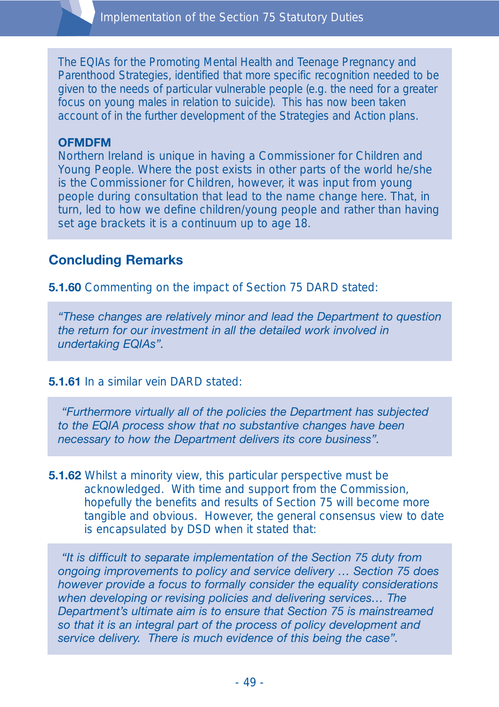The EQIAs for the Promoting Mental Health and Teenage Pregnancy and Parenthood Strategies, identified that more specific recognition needed to be given to the needs of particular vulnerable people (e.g. the need for a greater focus on young males in relation to suicide). This has now been taken account of in the further development of the Strategies and Action plans.

#### **OFMDFM**

Northern Ireland is unique in having a Commissioner for Children and Young People. Where the post exists in other parts of the world he/she is the Commissioner for Children, however, it was input from young people during consultation that lead to the name change here. That, in turn, led to how we define children/young people and rather than having set age brackets it is a continuum up to age 18.

### **Concluding Remarks**

**5.1.60** Commenting on the impact of Section 75 DARD stated:

*"These changes are relatively minor and lead the Department to question the return for our investment in all the detailed work involved in undertaking EQIAs".*

#### **5.1.61** In a similar vein DARD stated:

*"Furthermore virtually all of the policies the Department has subjected to the EQIA process show that no substantive changes have been necessary to how the Department delivers its core business".*

**5.1.62** Whilst a minority view, this particular perspective must be acknowledged. With time and support from the Commission, hopefully the benefits and results of Section 75 will become more tangible and obvious. However, the general consensus view to date is encapsulated by DSD when it stated that:

*"It is difficult to separate implementation of the Section 75 duty from ongoing improvements to policy and service delivery … Section 75 does however provide a focus to formally consider the equality considerations when developing or revising policies and delivering services… The Department's ultimate aim is to ensure that Section 75 is mainstreamed so that it is an integral part of the process of policy development and service delivery. There is much evidence of this being the case".*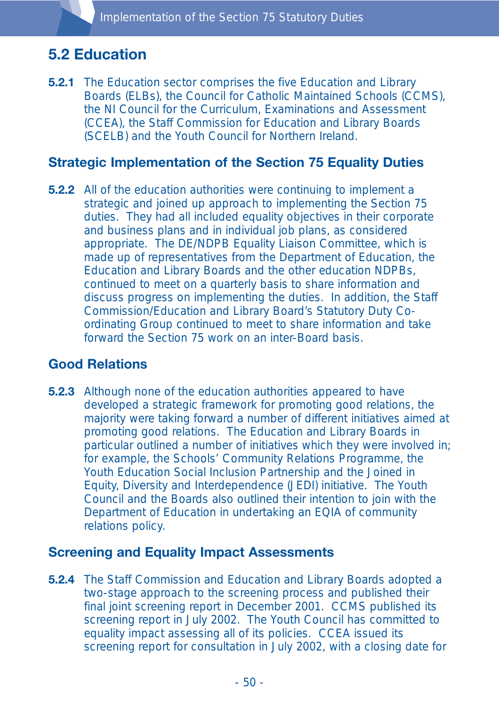# **5.2 Education**

**5.2.1** The Education sector comprises the five Education and Library Boards (ELBs), the Council for Catholic Maintained Schools (CCMS), the NI Council for the Curriculum, Examinations and Assessment (CCEA), the Staff Commission for Education and Library Boards (SCELB) and the Youth Council for Northern Ireland.

### **Strategic Implementation of the Section 75 Equality Duties**

**5.2.2** All of the education authorities were continuing to implement a strategic and joined up approach to implementing the Section 75 duties. They had all included equality objectives in their corporate and business plans and in individual job plans, as considered appropriate. The DE/NDPB Equality Liaison Committee, which is made up of representatives from the Department of Education, the Education and Library Boards and the other education NDPBs, continued to meet on a quarterly basis to share information and discuss progress on implementing the duties. In addition, the Staff Commission/Education and Library Board's Statutory Duty Coordinating Group continued to meet to share information and take forward the Section 75 work on an inter-Board basis.

# **Good Relations**

**5.2.3** Although none of the education authorities appeared to have developed a strategic framework for promoting good relations, the majority were taking forward a number of different initiatives aimed at promoting good relations. The Education and Library Boards in particular outlined a number of initiatives which they were involved in; for example, the Schools' Community Relations Programme, the Youth Education Social Inclusion Partnership and the Joined in Equity, Diversity and Interdependence (JEDI) initiative. The Youth Council and the Boards also outlined their intention to join with the Department of Education in undertaking an EQIA of community relations policy.

#### **Screening and Equality Impact Assessments**

**5.2.4** The Staff Commission and Education and Library Boards adopted a two-stage approach to the screening process and published their final joint screening report in December 2001. CCMS published its screening report in July 2002. The Youth Council has committed to equality impact assessing all of its policies. CCEA issued its screening report for consultation in July 2002, with a closing date for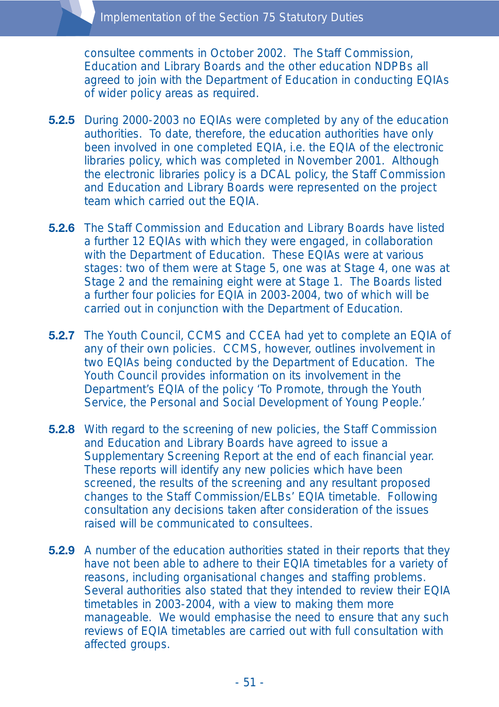consultee comments in October 2002. The Staff Commission, Education and Library Boards and the other education NDPBs all agreed to join with the Department of Education in conducting EQIAs of wider policy areas as required.

- **5.2.5** During 2000-2003 no EQIAs were completed by any of the education authorities. To date, therefore, the education authorities have only been involved in one completed EQIA, i.e. the EQIA of the electronic libraries policy, which was completed in November 2001. Although the electronic libraries policy is a DCAL policy, the Staff Commission and Education and Library Boards were represented on the project team which carried out the EQIA.
- **5.2.6** The Staff Commission and Education and Library Boards have listed a further 12 EQIAs with which they were engaged, in collaboration with the Department of Education. These EQIAs were at various stages: two of them were at Stage 5, one was at Stage 4, one was at Stage 2 and the remaining eight were at Stage 1. The Boards listed a further four policies for EQIA in 2003-2004, two of which will be carried out in conjunction with the Department of Education.
- **5.2.7** The Youth Council, CCMS and CCEA had yet to complete an EQIA of any of their own policies. CCMS, however, outlines involvement in two EQIAs being conducted by the Department of Education. The Youth Council provides information on its involvement in the Department's EQIA of the policy 'To Promote, through the Youth Service, the Personal and Social Development of Young People.'
- **5.2.8** With regard to the screening of new policies, the Staff Commission and Education and Library Boards have agreed to issue a Supplementary Screening Report at the end of each financial year. These reports will identify any new policies which have been screened, the results of the screening and any resultant proposed changes to the Staff Commission/ELBs' EQIA timetable. Following consultation any decisions taken after consideration of the issues raised will be communicated to consultees.
- **5.2.9** A number of the education authorities stated in their reports that they have not been able to adhere to their EQIA timetables for a variety of reasons, including organisational changes and staffing problems. Several authorities also stated that they intended to review their EQIA timetables in 2003-2004, with a view to making them more manageable. We would emphasise the need to ensure that any such reviews of EQIA timetables are carried out with full consultation with affected groups.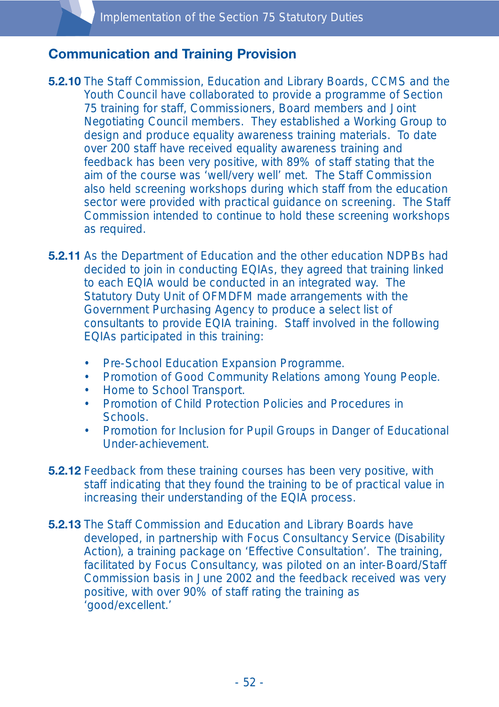### **Communication and Training Provision**

- **5.2.10** The Staff Commission, Education and Library Boards, CCMS and the Youth Council have collaborated to provide a programme of Section 75 training for staff, Commissioners, Board members and Joint Negotiating Council members. They established a Working Group to design and produce equality awareness training materials. To date over 200 staff have received equality awareness training and feedback has been very positive, with 89% of staff stating that the aim of the course was 'well/very well' met. The Staff Commission also held screening workshops during which staff from the education sector were provided with practical guidance on screening. The Staff Commission intended to continue to hold these screening workshops as required.
- **5.2.11** As the Department of Education and the other education NDPBs had decided to join in conducting EQIAs, they agreed that training linked to each EQIA would be conducted in an integrated way. The Statutory Duty Unit of OFMDFM made arrangements with the Government Purchasing Agency to produce a select list of consultants to provide EQIA training. Staff involved in the following EQIAs participated in this training:
	- Pre-School Education Expansion Programme.
	- Promotion of Good Community Relations among Young People.
	- Home to School Transport.
	- Promotion of Child Protection Policies and Procedures in Schools.
	- Promotion for Inclusion for Pupil Groups in Danger of Educational Under-achievement.
- **5.2.12** Feedback from these training courses has been very positive, with staff indicating that they found the training to be of practical value in increasing their understanding of the EQIA process.
- **5.2.13** The Staff Commission and Education and Library Boards have developed, in partnership with Focus Consultancy Service (Disability Action), a training package on 'Effective Consultation'. The training, facilitated by Focus Consultancy, was piloted on an inter-Board/Staff Commission basis in June 2002 and the feedback received was very positive, with over 90% of staff rating the training as 'good/excellent.'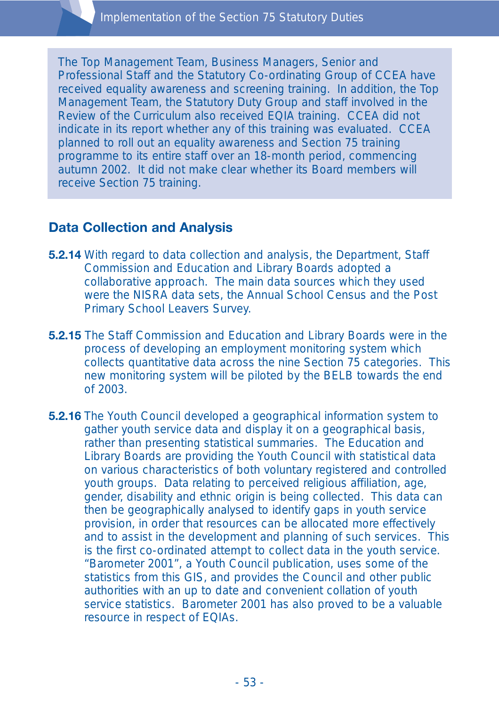The Top Management Team, Business Managers, Senior and Professional Staff and the Statutory Co-ordinating Group of CCEA have received equality awareness and screening training. In addition, the Top Management Team, the Statutory Duty Group and staff involved in the Review of the Curriculum also received EQIA training. CCEA did not indicate in its report whether any of this training was evaluated. CCEA planned to roll out an equality awareness and Section 75 training programme to its entire staff over an 18-month period, commencing autumn 2002. It did not make clear whether its Board members will receive Section 75 training.

### **Data Collection and Analysis**

- **5.2.14** With regard to data collection and analysis, the Department, Staff Commission and Education and Library Boards adopted a collaborative approach. The main data sources which they used were the NISRA data sets, the Annual School Census and the Post Primary School Leavers Survey.
- **5.2.15** The Staff Commission and Education and Library Boards were in the process of developing an employment monitoring system which collects quantitative data across the nine Section 75 categories. This new monitoring system will be piloted by the BELB towards the end of 2003.
- **5.2.16** The Youth Council developed a geographical information system to gather youth service data and display it on a geographical basis, rather than presenting statistical summaries. The Education and Library Boards are providing the Youth Council with statistical data on various characteristics of both voluntary registered and controlled youth groups. Data relating to perceived religious affiliation, age, gender, disability and ethnic origin is being collected. This data can then be geographically analysed to identify gaps in youth service provision, in order that resources can be allocated more effectively and to assist in the development and planning of such services. This is the first co-ordinated attempt to collect data in the youth service. "Barometer 2001", a Youth Council publication, uses some of the statistics from this GIS, and provides the Council and other public authorities with an up to date and convenient collation of youth service statistics. Barometer 2001 has also proved to be a valuable resource in respect of EQIAs.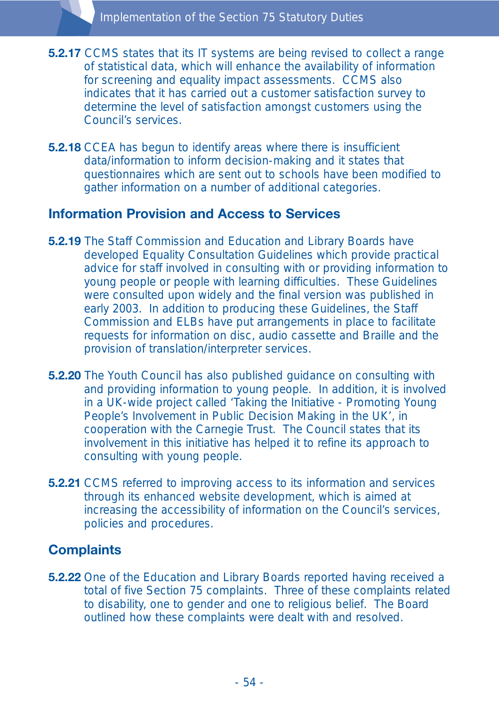- **5.2.17** CCMS states that its IT systems are being revised to collect a range of statistical data, which will enhance the availability of information for screening and equality impact assessments. CCMS also indicates that it has carried out a customer satisfaction survey to determine the level of satisfaction amongst customers using the Council's services.
- **5.2.18** CCEA has begun to identify areas where there is insufficient data/information to inform decision-making and it states that questionnaires which are sent out to schools have been modified to gather information on a number of additional categories.

### **Information Provision and Access to Services**

- **5.2.19** The Staff Commission and Education and Library Boards have developed Equality Consultation Guidelines which provide practical advice for staff involved in consulting with or providing information to young people or people with learning difficulties. These Guidelines were consulted upon widely and the final version was published in early 2003. In addition to producing these Guidelines, the Staff Commission and ELBs have put arrangements in place to facilitate requests for information on disc, audio cassette and Braille and the provision of translation/interpreter services.
- **5.2.20** The Youth Council has also published guidance on consulting with and providing information to young people. In addition, it is involved in a UK-wide project called 'Taking the Initiative - Promoting Young People's Involvement in Public Decision Making in the UK', in cooperation with the Carnegie Trust. The Council states that its involvement in this initiative has helped it to refine its approach to consulting with young people.
- **5.2.21** CCMS referred to improving access to its information and services through its enhanced website development, which is aimed at increasing the accessibility of information on the Council's services, policies and procedures.

### **Complaints**

**5.2.22** One of the Education and Library Boards reported having received a total of five Section 75 complaints. Three of these complaints related to disability, one to gender and one to religious belief. The Board outlined how these complaints were dealt with and resolved.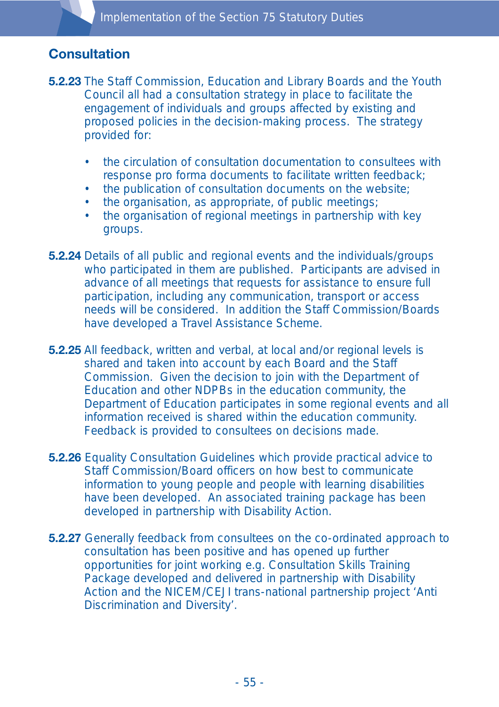# **Consultation**

- **5.2.23** The Staff Commission, Education and Library Boards and the Youth Council all had a consultation strategy in place to facilitate the engagement of individuals and groups affected by existing and proposed policies in the decision-making process. The strategy provided for:
	- the circulation of consultation documentation to consultees with response pro forma documents to facilitate written feedback;
	- the publication of consultation documents on the website;
	- the organisation, as appropriate, of public meetings;
	- the organisation of regional meetings in partnership with key groups.
- **5.2.24** Details of all public and regional events and the individuals/groups who participated in them are published. Participants are advised in advance of all meetings that requests for assistance to ensure full participation, including any communication, transport or access needs will be considered. In addition the Staff Commission/Boards have developed a Travel Assistance Scheme.
- **5.2.25** All feedback, written and verbal, at local and/or regional levels is shared and taken into account by each Board and the Staff Commission. Given the decision to join with the Department of Education and other NDPBs in the education community, the Department of Education participates in some regional events and all information received is shared within the education community. Feedback is provided to consultees on decisions made.
- **5.2.26** Equality Consultation Guidelines which provide practical advice to Staff Commission/Board officers on how best to communicate information to young people and people with learning disabilities have been developed. An associated training package has been developed in partnership with Disability Action.
- **5.2.27** Generally feedback from consultees on the co-ordinated approach to consultation has been positive and has opened up further opportunities for joint working e.g. Consultation Skills Training Package developed and delivered in partnership with Disability Action and the NICEM/CEJI trans-national partnership project 'Anti Discrimination and Diversity'.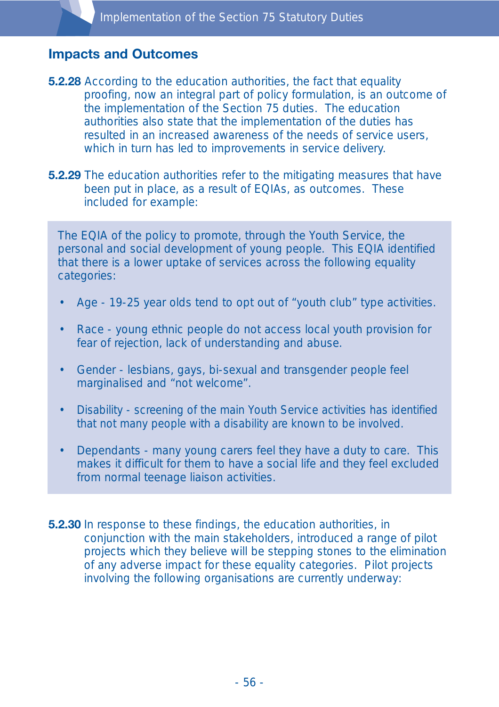### **Impacts and Outcomes**

- **5.2.28** According to the education authorities, the fact that equality proofing, now an integral part of policy formulation, is an outcome of the implementation of the Section 75 duties. The education authorities also state that the implementation of the duties has resulted in an increased awareness of the needs of service users, which in turn has led to improvements in service delivery.
- **5.2.29** The education authorities refer to the mitigating measures that have been put in place, as a result of EQIAs, as outcomes. These included for example:

The EQIA of the policy to promote, through the Youth Service, the personal and social development of young people. This EQIA identified that there is a lower uptake of services across the following equality categories:

- Age 19-25 year olds tend to opt out of "youth club" type activities.
- Race young ethnic people do not access local youth provision for fear of rejection, lack of understanding and abuse.
- Gender lesbians, gays, bi-sexual and transgender people feel marginalised and "not welcome".
- Disability screening of the main Youth Service activities has identified that not many people with a disability are known to be involved.
- Dependants many young carers feel they have a duty to care. This makes it difficult for them to have a social life and they feel excluded from normal teenage liaison activities.
- **5.2.30** In response to these findings, the education authorities, in conjunction with the main stakeholders, introduced a range of pilot projects which they believe will be stepping stones to the elimination of any adverse impact for these equality categories. Pilot projects involving the following organisations are currently underway: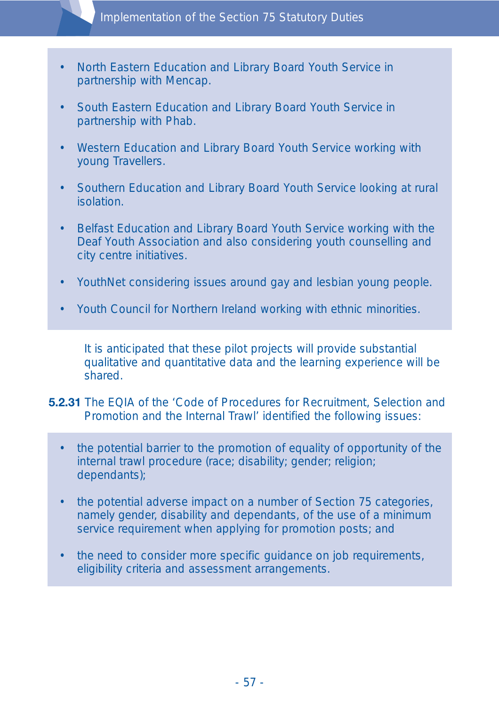Implementation of the Section 75 Statutory Duties

- North Eastern Education and Library Board Youth Service in partnership with Mencap.
- South Eastern Education and Library Board Youth Service in partnership with Phab.
- Western Education and Library Board Youth Service working with young Travellers.
- Southern Education and Library Board Youth Service looking at rural isolation.
- Belfast Education and Library Board Youth Service working with the Deaf Youth Association and also considering youth counselling and city centre initiatives.
- YouthNet considering issues around gay and lesbian young people.
- Youth Council for Northern Ireland working with ethnic minorities.

It is anticipated that these pilot projects will provide substantial qualitative and quantitative data and the learning experience will be shared.

**5.2.31** The EQIA of the 'Code of Procedures for Recruitment, Selection and Promotion and the Internal Trawl' identified the following issues:

- the potential barrier to the promotion of equality of opportunity of the internal trawl procedure (race; disability; gender; religion; dependants);
- the potential adverse impact on a number of Section 75 categories, namely gender, disability and dependants, of the use of a minimum service requirement when applying for promotion posts; and
- the need to consider more specific guidance on job requirements, eligibility criteria and assessment arrangements.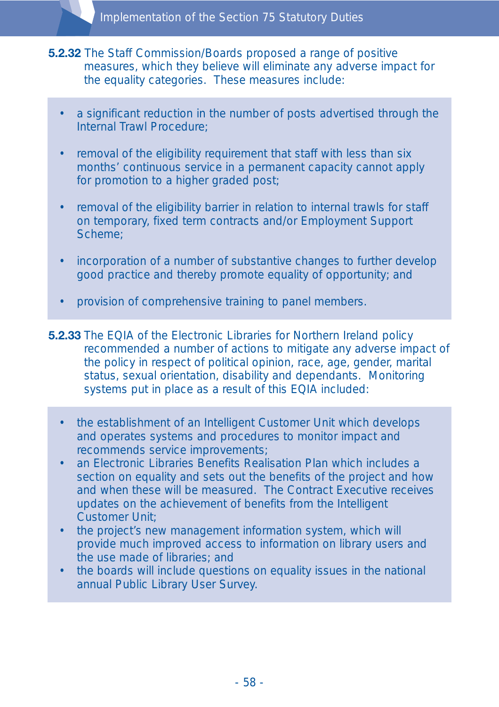- **5.2.32** The Staff Commission/Boards proposed a range of positive measures, which they believe will eliminate any adverse impact for the equality categories. These measures include:
	- a significant reduction in the number of posts advertised through the Internal Trawl Procedure;
	- removal of the eligibility requirement that staff with less than six months' continuous service in a permanent capacity cannot apply for promotion to a higher graded post;
	- removal of the eligibility barrier in relation to internal trawls for staff on temporary, fixed term contracts and/or Employment Support Scheme;
	- incorporation of a number of substantive changes to further develop good practice and thereby promote equality of opportunity; and
	- provision of comprehensive training to panel members.

**5.2.33** The EQIA of the Electronic Libraries for Northern Ireland policy recommended a number of actions to mitigate any adverse impact of the policy in respect of political opinion, race, age, gender, marital status, sexual orientation, disability and dependants. Monitoring systems put in place as a result of this EQIA included:

- the establishment of an Intelligent Customer Unit which develops and operates systems and procedures to monitor impact and recommends service improvements;
- an Electronic Libraries Benefits Realisation Plan which includes a section on equality and sets out the benefits of the project and how and when these will be measured. The Contract Executive receives updates on the achievement of benefits from the Intelligent Customer Unit;
- the project's new management information system, which will provide much improved access to information on library users and the use made of libraries; and
- the boards will include questions on equality issues in the national annual Public Library User Survey.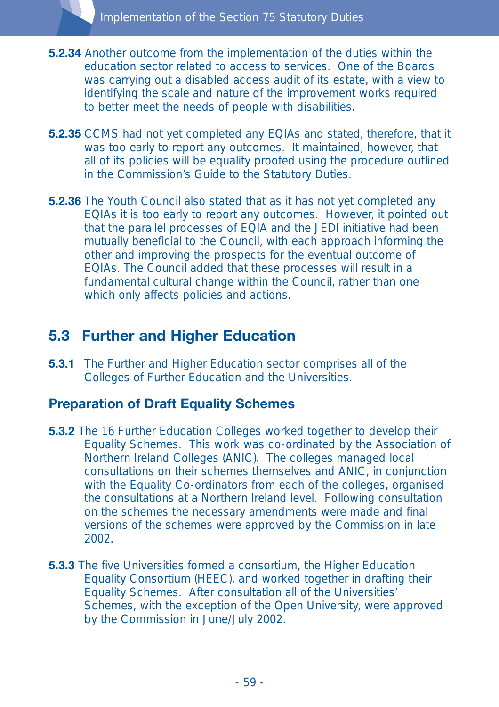- **5.2.34** Another outcome from the implementation of the duties within the education sector related to access to services. One of the Boards was carrying out a disabled access audit of its estate, with a view to identifying the scale and nature of the improvement works required to better meet the needs of people with disabilities.
- **5.2.35** CCMS had not yet completed any EQIAs and stated, therefore, that it was too early to report any outcomes. It maintained, however, that all of its policies will be equality proofed using the procedure outlined in the Commission's Guide to the Statutory Duties.
- **5.2.36** The Youth Council also stated that as it has not yet completed any EQIAs it is too early to report any outcomes. However, it pointed out that the parallel processes of EQIA and the JEDI initiative had been mutually beneficial to the Council, with each approach informing the other and improving the prospects for the eventual outcome of EQIAs. The Council added that these processes will result in a fundamental cultural change within the Council, rather than one which only affects policies and actions.

# **5.3 Further and Higher Education**

**5.3.1** The Further and Higher Education sector comprises all of the Colleges of Further Education and the Universities.

#### **Preparation of Draft Equality Schemes**

- **5.3.2** The 16 Further Education Colleges worked together to develop their Equality Schemes. This work was co-ordinated by the Association of Northern Ireland Colleges (ANIC). The colleges managed local consultations on their schemes themselves and ANIC, in conjunction with the Equality Co-ordinators from each of the colleges, organised the consultations at a Northern Ireland level. Following consultation on the schemes the necessary amendments were made and final versions of the schemes were approved by the Commission in late 2002.
- **5.3.3** The five Universities formed a consortium, the Higher Education Equality Consortium (HEEC), and worked together in drafting their Equality Schemes. After consultation all of the Universities' Schemes, with the exception of the Open University, were approved by the Commission in June/July 2002.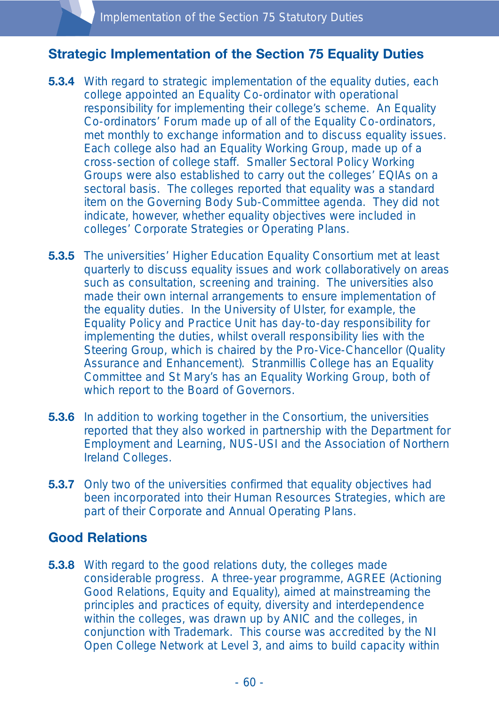## **Strategic Implementation of the Section 75 Equality Duties**

- **5.3.4** With regard to strategic implementation of the equality duties, each college appointed an Equality Co-ordinator with operational responsibility for implementing their college's scheme. An Equality Co-ordinators' Forum made up of all of the Equality Co-ordinators, met monthly to exchange information and to discuss equality issues. Each college also had an Equality Working Group, made up of a cross-section of college staff. Smaller Sectoral Policy Working Groups were also established to carry out the colleges' EQIAs on a sectoral basis. The colleges reported that equality was a standard item on the Governing Body Sub-Committee agenda. They did not indicate, however, whether equality objectives were included in colleges' Corporate Strategies or Operating Plans.
- **5.3.5** The universities' Higher Education Equality Consortium met at least quarterly to discuss equality issues and work collaboratively on areas such as consultation, screening and training. The universities also made their own internal arrangements to ensure implementation of the equality duties. In the University of Ulster, for example, the Equality Policy and Practice Unit has day-to-day responsibility for implementing the duties, whilst overall responsibility lies with the Steering Group, which is chaired by the Pro-Vice-Chancellor (Quality Assurance and Enhancement). Stranmillis College has an Equality Committee and St Mary's has an Equality Working Group, both of which report to the Board of Governors.
- **5.3.6** In addition to working together in the Consortium, the universities reported that they also worked in partnership with the Department for Employment and Learning, NUS-USI and the Association of Northern Ireland Colleges.
- **5.3.7** Only two of the universities confirmed that equality objectives had been incorporated into their Human Resources Strategies, which are part of their Corporate and Annual Operating Plans.

### **Good Relations**

**5.3.8** With regard to the good relations duty, the colleges made considerable progress. A three-year programme, AGREE (Actioning Good Relations, Equity and Equality), aimed at mainstreaming the principles and practices of equity, diversity and interdependence within the colleges, was drawn up by ANIC and the colleges, in conjunction with Trademark. This course was accredited by the NI Open College Network at Level 3, and aims to build capacity within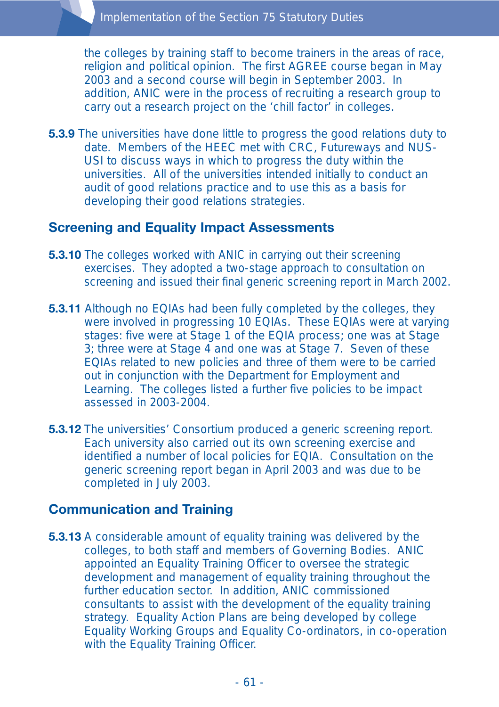the colleges by training staff to become trainers in the areas of race, religion and political opinion. The first AGREE course began in May 2003 and a second course will begin in September 2003. In addition, ANIC were in the process of recruiting a research group to carry out a research project on the 'chill factor' in colleges.

**5.3.9** The universities have done little to progress the good relations duty to date. Members of the HEEC met with CRC, Futureways and NUS-USI to discuss ways in which to progress the duty within the universities. All of the universities intended initially to conduct an audit of good relations practice and to use this as a basis for developing their good relations strategies.

### **Screening and Equality Impact Assessments**

- **5.3.10** The colleges worked with ANIC in carrying out their screening exercises. They adopted a two-stage approach to consultation on screening and issued their final generic screening report in March 2002.
- **5.3.11** Although no EQIAs had been fully completed by the colleges, they were involved in progressing 10 EQIAs. These EQIAs were at varying stages: five were at Stage 1 of the EQIA process; one was at Stage 3; three were at Stage 4 and one was at Stage 7. Seven of these EQIAs related to new policies and three of them were to be carried out in conjunction with the Department for Employment and Learning. The colleges listed a further five policies to be impact assessed in 2003-2004.
- **5.3.12** The universities' Consortium produced a generic screening report. Each university also carried out its own screening exercise and identified a number of local policies for EQIA. Consultation on the generic screening report began in April 2003 and was due to be completed in July 2003.

#### **Communication and Training**

**5.3.13** A considerable amount of equality training was delivered by the colleges, to both staff and members of Governing Bodies. ANIC appointed an Equality Training Officer to oversee the strategic development and management of equality training throughout the further education sector. In addition, ANIC commissioned consultants to assist with the development of the equality training strategy. Equality Action Plans are being developed by college Equality Working Groups and Equality Co-ordinators, in co-operation with the Equality Training Officer.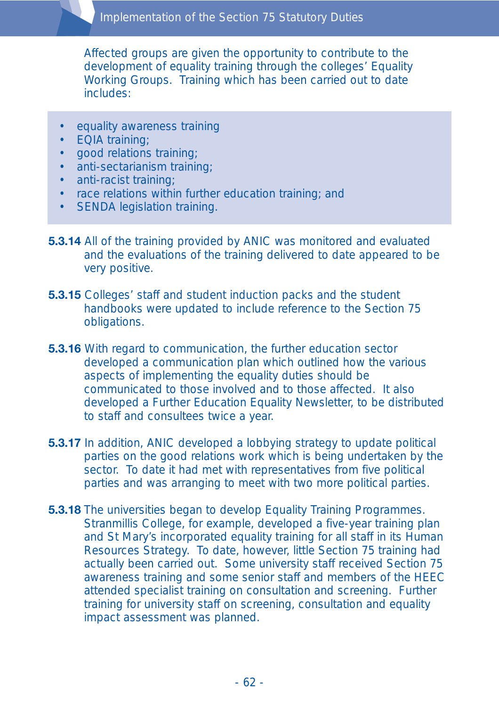Affected groups are given the opportunity to contribute to the development of equality training through the colleges' Equality Working Groups. Training which has been carried out to date includes:

- equality awareness training
- EQIA training;
- good relations training;
- anti-sectarianism training;
- anti-racist training;
- race relations within further education training; and
- SENDA legislation training.
- **5.3.14** All of the training provided by ANIC was monitored and evaluated and the evaluations of the training delivered to date appeared to be very positive.
- **5.3.15** Colleges' staff and student induction packs and the student handbooks were updated to include reference to the Section 75 obligations.
- **5.3.16** With regard to communication, the further education sector developed a communication plan which outlined how the various aspects of implementing the equality duties should be communicated to those involved and to those affected. It also developed a Further Education Equality Newsletter, to be distributed to staff and consultees twice a year.
- **5.3.17** In addition, ANIC developed a lobbying strategy to update political parties on the good relations work which is being undertaken by the sector. To date it had met with representatives from five political parties and was arranging to meet with two more political parties.
- **5.3.18** The universities began to develop Equality Training Programmes. Stranmillis College, for example, developed a five-year training plan and St Mary's incorporated equality training for all staff in its Human Resources Strategy. To date, however, little Section 75 training had actually been carried out. Some university staff received Section 75 awareness training and some senior staff and members of the HEEC attended specialist training on consultation and screening. Further training for university staff on screening, consultation and equality impact assessment was planned.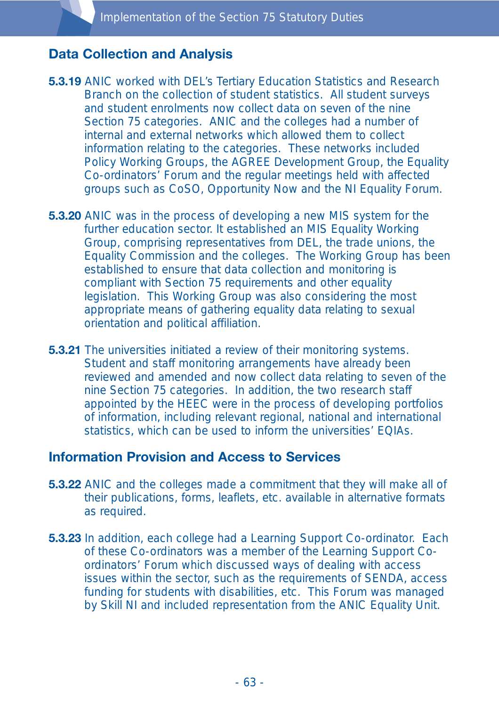### **Data Collection and Analysis**

- **5.3.19** ANIC worked with DEL's Tertiary Education Statistics and Research Branch on the collection of student statistics. All student surveys and student enrolments now collect data on seven of the nine Section 75 categories. ANIC and the colleges had a number of internal and external networks which allowed them to collect information relating to the categories. These networks included Policy Working Groups, the AGREE Development Group, the Equality Co-ordinators' Forum and the regular meetings held with affected groups such as CoSO, Opportunity Now and the NI Equality Forum.
- **5.3.20** ANIC was in the process of developing a new MIS system for the further education sector. It established an MIS Equality Working Group, comprising representatives from DEL, the trade unions, the Equality Commission and the colleges. The Working Group has been established to ensure that data collection and monitoring is compliant with Section 75 requirements and other equality legislation. This Working Group was also considering the most appropriate means of gathering equality data relating to sexual orientation and political affiliation.
- **5.3.21** The universities initiated a review of their monitoring systems. Student and staff monitoring arrangements have already been reviewed and amended and now collect data relating to seven of the nine Section 75 categories. In addition, the two research staff appointed by the HEEC were in the process of developing portfolios of information, including relevant regional, national and international statistics, which can be used to inform the universities' EQIAs.

#### **Information Provision and Access to Services**

- **5.3.22** ANIC and the colleges made a commitment that they will make all of their publications, forms, leaflets, etc. available in alternative formats as required.
- **5.3.23** In addition, each college had a Learning Support Co-ordinator. Each of these Co-ordinators was a member of the Learning Support Coordinators' Forum which discussed ways of dealing with access issues within the sector, such as the requirements of SENDA, access funding for students with disabilities, etc. This Forum was managed by Skill NI and included representation from the ANIC Equality Unit.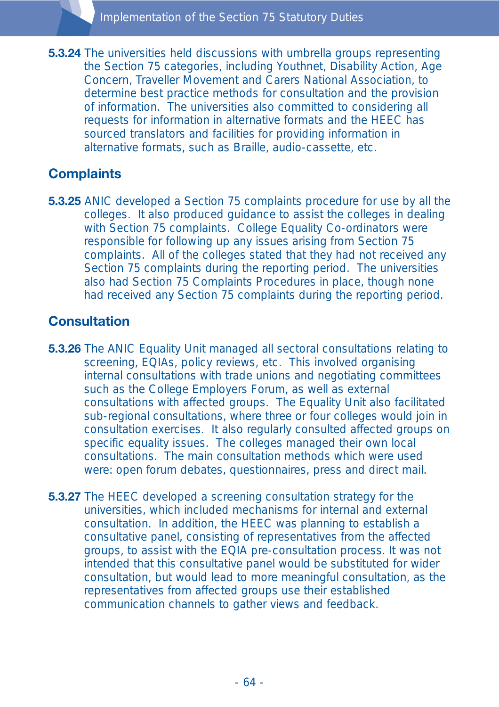**5.3.24** The universities held discussions with umbrella groups representing the Section 75 categories, including Youthnet, Disability Action, Age Concern, Traveller Movement and Carers National Association, to determine best practice methods for consultation and the provision of information. The universities also committed to considering all requests for information in alternative formats and the HEEC has sourced translators and facilities for providing information in alternative formats, such as Braille, audio-cassette, etc.

# **Complaints**

**5.3.25** ANIC developed a Section 75 complaints procedure for use by all the colleges. It also produced guidance to assist the colleges in dealing with Section 75 complaints. College Equality Co-ordinators were responsible for following up any issues arising from Section 75 complaints. All of the colleges stated that they had not received any Section 75 complaints during the reporting period. The universities also had Section 75 Complaints Procedures in place, though none had received any Section 75 complaints during the reporting period.

# **Consultation**

- **5.3.26** The ANIC Equality Unit managed all sectoral consultations relating to screening, EQIAs, policy reviews, etc. This involved organising internal consultations with trade unions and negotiating committees such as the College Employers Forum, as well as external consultations with affected groups. The Equality Unit also facilitated sub-regional consultations, where three or four colleges would join in consultation exercises. It also regularly consulted affected groups on specific equality issues. The colleges managed their own local consultations. The main consultation methods which were used were: open forum debates, questionnaires, press and direct mail.
- **5.3.27** The HEEC developed a screening consultation strategy for the universities, which included mechanisms for internal and external consultation. In addition, the HEEC was planning to establish a consultative panel, consisting of representatives from the affected groups, to assist with the EQIA pre-consultation process. It was not intended that this consultative panel would be substituted for wider consultation, but would lead to more meaningful consultation, as the representatives from affected groups use their established communication channels to gather views and feedback.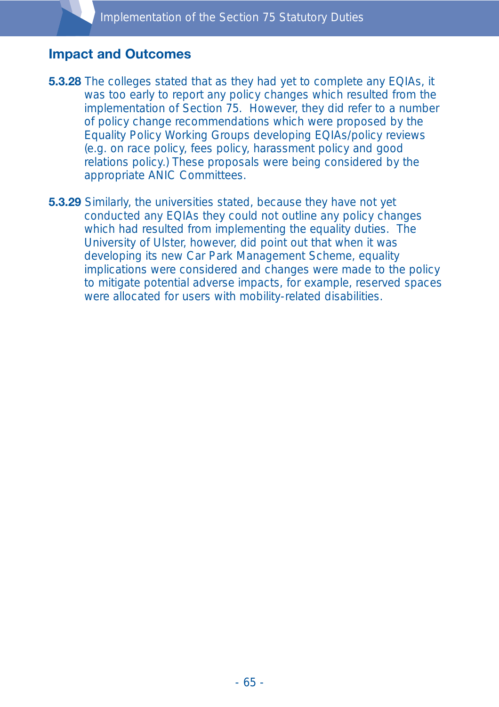#### **Impact and Outcomes**

- **5.3.28** The colleges stated that as they had yet to complete any EQIAs, it was too early to report any policy changes which resulted from the implementation of Section 75. However, they did refer to a number of policy change recommendations which were proposed by the Equality Policy Working Groups developing EQIAs/policy reviews (e.g. on race policy, fees policy, harassment policy and good relations policy.) These proposals were being considered by the appropriate ANIC Committees.
- **5.3.29** Similarly, the universities stated, because they have not yet conducted any EQIAs they could not outline any policy changes which had resulted from implementing the equality duties. The University of Ulster, however, did point out that when it was developing its new Car Park Management Scheme, equality implications were considered and changes were made to the policy to mitigate potential adverse impacts, for example, reserved spaces were allocated for users with mobility-related disabilities.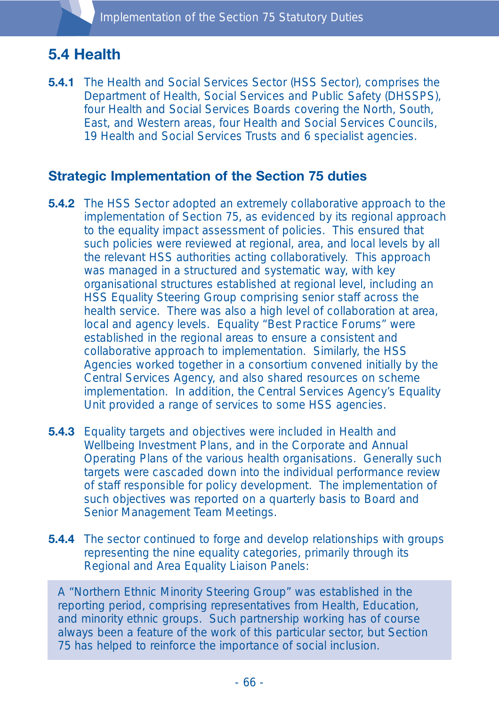# **5.4 Health**

**5.4.1** The Health and Social Services Sector (HSS Sector), comprises the Department of Health, Social Services and Public Safety (DHSSPS), four Health and Social Services Boards covering the North, South, East, and Western areas, four Health and Social Services Councils, 19 Health and Social Services Trusts and 6 specialist agencies.

### **Strategic Implementation of the Section 75 duties**

- **5.4.2** The HSS Sector adopted an extremely collaborative approach to the implementation of Section 75, as evidenced by its regional approach to the equality impact assessment of policies. This ensured that such policies were reviewed at regional, area, and local levels by all the relevant HSS authorities acting collaboratively. This approach was managed in a structured and systematic way, with key organisational structures established at regional level, including an HSS Equality Steering Group comprising senior staff across the health service. There was also a high level of collaboration at area, local and agency levels. Equality "Best Practice Forums" were established in the regional areas to ensure a consistent and collaborative approach to implementation. Similarly, the HSS Agencies worked together in a consortium convened initially by the Central Services Agency, and also shared resources on scheme implementation. In addition, the Central Services Agency's Equality Unit provided a range of services to some HSS agencies.
- **5.4.3** Equality targets and objectives were included in Health and Wellbeing Investment Plans, and in the Corporate and Annual Operating Plans of the various health organisations. Generally such targets were cascaded down into the individual performance review of staff responsible for policy development. The implementation of such objectives was reported on a quarterly basis to Board and Senior Management Team Meetings.
- **5.4.4** The sector continued to forge and develop relationships with groups representing the nine equality categories, primarily through its Regional and Area Equality Liaison Panels:

A "Northern Ethnic Minority Steering Group" was established in the reporting period, comprising representatives from Health, Education, and minority ethnic groups. Such partnership working has of course always been a feature of the work of this particular sector, but Section 75 has helped to reinforce the importance of social inclusion.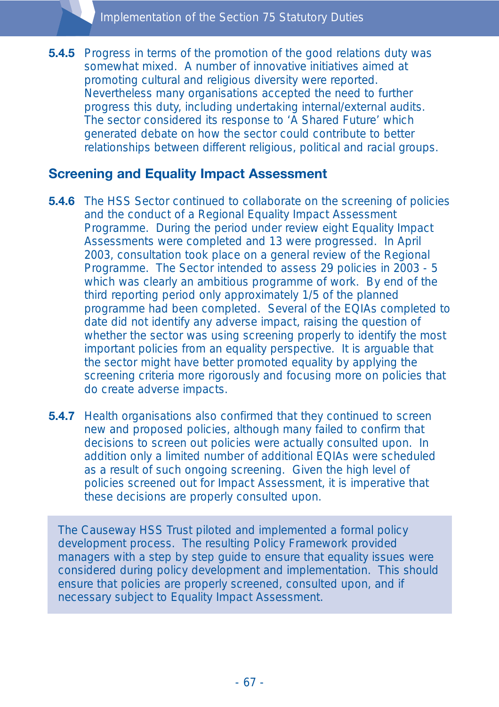**5.4.5** Progress in terms of the promotion of the good relations duty was somewhat mixed. A number of innovative initiatives aimed at promoting cultural and religious diversity were reported. Nevertheless many organisations accepted the need to further progress this duty, including undertaking internal/external audits. The sector considered its response to 'A Shared Future' which generated debate on how the sector could contribute to better relationships between different religious, political and racial groups.

# **Screening and Equality Impact Assessment**

- **5.4.6** The HSS Sector continued to collaborate on the screening of policies and the conduct of a Regional Equality Impact Assessment Programme. During the period under review eight Equality Impact Assessments were completed and 13 were progressed. In April 2003, consultation took place on a general review of the Regional Programme. The Sector intended to assess 29 policies in 2003 - 5 which was clearly an ambitious programme of work. By end of the third reporting period only approximately 1/5 of the planned programme had been completed. Several of the EQIAs completed to date did not identify any adverse impact, raising the question of whether the sector was using screening properly to identify the most important policies from an equality perspective. It is arguable that the sector might have better promoted equality by applying the screening criteria more rigorously and focusing more on policies that do create adverse impacts.
- **5.4.7** Health organisations also confirmed that they continued to screen new and proposed policies, although many failed to confirm that decisions to screen out policies were actually consulted upon. In addition only a limited number of additional EQIAs were scheduled as a result of such ongoing screening. Given the high level of policies screened out for Impact Assessment, it is imperative that these decisions are properly consulted upon.

The Causeway HSS Trust piloted and implemented a formal policy development process. The resulting Policy Framework provided managers with a step by step guide to ensure that equality issues were considered during policy development and implementation. This should ensure that policies are properly screened, consulted upon, and if necessary subject to Equality Impact Assessment.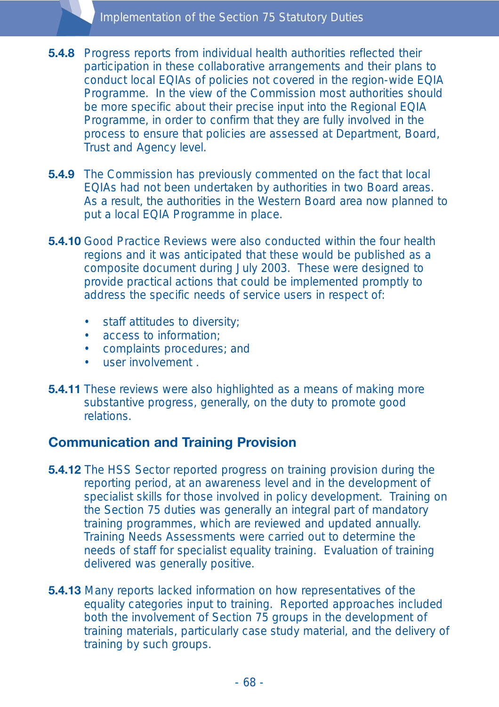- **5.4.8** Progress reports from individual health authorities reflected their participation in these collaborative arrangements and their plans to conduct local EQIAs of policies not covered in the region-wide EQIA Programme. In the view of the Commission most authorities should be more specific about their precise input into the Regional EQIA Programme, in order to confirm that they are fully involved in the process to ensure that policies are assessed at Department, Board, Trust and Agency level.
- **5.4.9** The Commission has previously commented on the fact that local EQIAs had not been undertaken by authorities in two Board areas. As a result, the authorities in the Western Board area now planned to put a local EQIA Programme in place.
- **5.4.10** Good Practice Reviews were also conducted within the four health regions and it was anticipated that these would be published as a composite document during July 2003. These were designed to provide practical actions that could be implemented promptly to address the specific needs of service users in respect of:
	- staff attitudes to diversity;
	- access to information;
	- complaints procedures; and
	- user involvement .
- **5.4.11** These reviews were also highlighted as a means of making more substantive progress, generally, on the duty to promote good relations.

# **Communication and Training Provision**

- **5.4.12** The HSS Sector reported progress on training provision during the reporting period, at an awareness level and in the development of specialist skills for those involved in policy development. Training on the Section 75 duties was generally an integral part of mandatory training programmes, which are reviewed and updated annually. Training Needs Assessments were carried out to determine the needs of staff for specialist equality training. Evaluation of training delivered was generally positive.
- **5.4.13** Many reports lacked information on how representatives of the equality categories input to training. Reported approaches included both the involvement of Section 75 groups in the development of training materials, particularly case study material, and the delivery of training by such groups.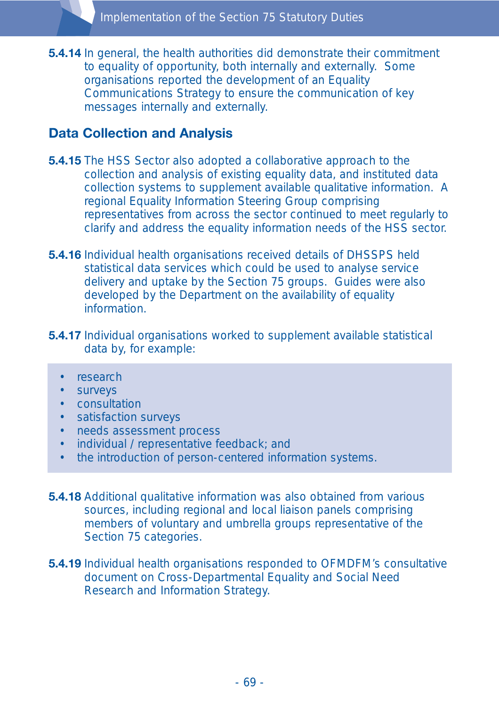**5.4.14** In general, the health authorities did demonstrate their commitment to equality of opportunity, both internally and externally. Some organisations reported the development of an Equality Communications Strategy to ensure the communication of key messages internally and externally.

## **Data Collection and Analysis**

- **5.4.15** The HSS Sector also adopted a collaborative approach to the collection and analysis of existing equality data, and instituted data collection systems to supplement available qualitative information. A regional Equality Information Steering Group comprising representatives from across the sector continued to meet regularly to clarify and address the equality information needs of the HSS sector.
- **5.4.16** Individual health organisations received details of DHSSPS held statistical data services which could be used to analyse service delivery and uptake by the Section 75 groups. Guides were also developed by the Department on the availability of equality **information**
- **5.4.17** Individual organisations worked to supplement available statistical data by, for example:
	- research
	- surveys
	- consultation
	- satisfaction surveys
	- needs assessment process
	- individual / representative feedback; and
	- the introduction of person-centered information systems.
- **5.4.18** Additional qualitative information was also obtained from various sources, including regional and local liaison panels comprising members of voluntary and umbrella groups representative of the Section 75 categories.
- **5.4.19** Individual health organisations responded to OFMDFM's consultative document on Cross-Departmental Equality and Social Need Research and Information Strategy.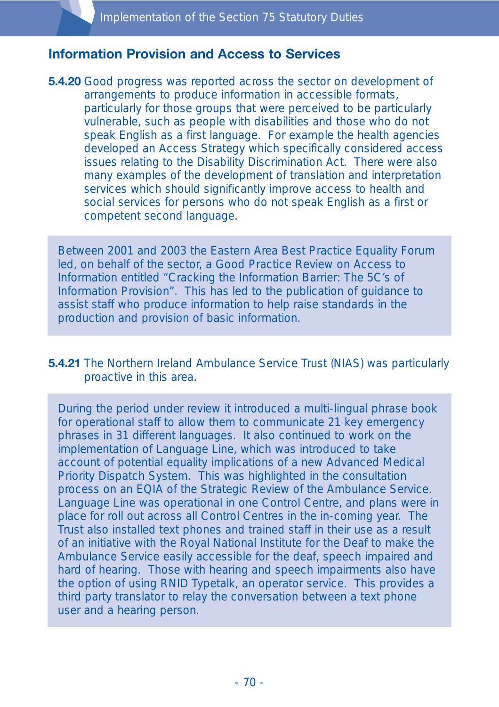### **Information Provision and Access to Services**

**5.4.20** Good progress was reported across the sector on development of arrangements to produce information in accessible formats, particularly for those groups that were perceived to be particularly vulnerable, such as people with disabilities and those who do not speak English as a first language. For example the health agencies developed an Access Strategy which specifically considered access issues relating to the Disability Discrimination Act. There were also many examples of the development of translation and interpretation services which should significantly improve access to health and social services for persons who do not speak English as a first or competent second language.

Between 2001 and 2003 the Eastern Area Best Practice Equality Forum led, on behalf of the sector, a Good Practice Review on Access to Information entitled "Cracking the Information Barrier: The 5C's of Information Provision". This has led to the publication of guidance to assist staff who produce information to help raise standards in the production and provision of basic information.

#### **5.4.21** The Northern Ireland Ambulance Service Trust (NIAS) was particularly proactive in this area.

During the period under review it introduced a multi-lingual phrase book for operational staff to allow them to communicate 21 key emergency phrases in 31 different languages. It also continued to work on the implementation of Language Line, which was introduced to take account of potential equality implications of a new Advanced Medical Priority Dispatch System. This was highlighted in the consultation process on an EQIA of the Strategic Review of the Ambulance Service. Language Line was operational in one Control Centre, and plans were in place for roll out across all Control Centres in the in-coming year. The Trust also installed text phones and trained staff in their use as a result of an initiative with the Royal National Institute for the Deaf to make the Ambulance Service easily accessible for the deaf, speech impaired and hard of hearing. Those with hearing and speech impairments also have the option of using RNID Typetalk, an operator service. This provides a third party translator to relay the conversation between a text phone user and a hearing person.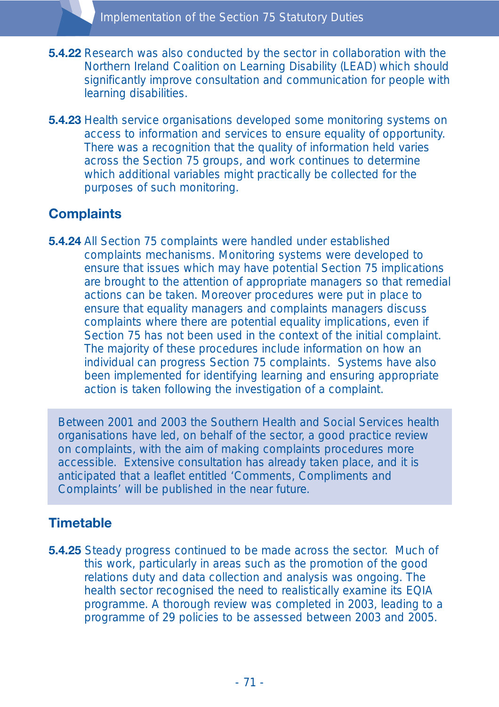- **5.4.22** Research was also conducted by the sector in collaboration with the Northern Ireland Coalition on Learning Disability (LEAD) which should significantly improve consultation and communication for people with learning disabilities.
- **5.4.23** Health service organisations developed some monitoring systems on access to information and services to ensure equality of opportunity. There was a recognition that the quality of information held varies across the Section 75 groups, and work continues to determine which additional variables might practically be collected for the purposes of such monitoring.

# **Complaints**

**5.4.24** All Section 75 complaints were handled under established complaints mechanisms. Monitoring systems were developed to ensure that issues which may have potential Section 75 implications are brought to the attention of appropriate managers so that remedial actions can be taken. Moreover procedures were put in place to ensure that equality managers and complaints managers discuss complaints where there are potential equality implications, even if Section 75 has not been used in the context of the initial complaint. The majority of these procedures include information on how an individual can progress Section 75 complaints. Systems have also been implemented for identifying learning and ensuring appropriate action is taken following the investigation of a complaint.

Between 2001 and 2003 the Southern Health and Social Services health organisations have led, on behalf of the sector, a good practice review on complaints, with the aim of making complaints procedures more accessible. Extensive consultation has already taken place, and it is anticipated that a leaflet entitled 'Comments, Compliments and Complaints' will be published in the near future.

### **Timetable**

**5.4.25** Steady progress continued to be made across the sector. Much of this work, particularly in areas such as the promotion of the good relations duty and data collection and analysis was ongoing. The health sector recognised the need to realistically examine its EQIA programme. A thorough review was completed in 2003, leading to a programme of 29 policies to be assessed between 2003 and 2005.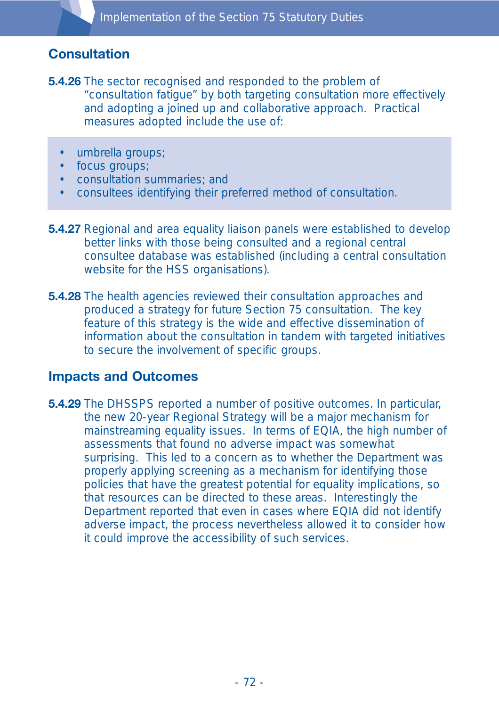## **Consultation**

- **5.4.26** The sector recognised and responded to the problem of "consultation fatigue" by both targeting consultation more effectively and adopting a joined up and collaborative approach. Practical measures adopted include the use of:
	- umbrella groups;
	- focus groups;
	- consultation summaries; and
	- consultees identifying their preferred method of consultation.
- **5.4.27** Regional and area equality liaison panels were established to develop better links with those being consulted and a regional central consultee database was established (including a central consultation website for the HSS organisations).
- **5.4.28** The health agencies reviewed their consultation approaches and produced a strategy for future Section 75 consultation. The key feature of this strategy is the wide and effective dissemination of information about the consultation in tandem with targeted initiatives to secure the involvement of specific groups.

### **Impacts and Outcomes**

**5.4.29** The DHSSPS reported a number of positive outcomes. In particular, the new 20-year Regional Strategy will be a major mechanism for mainstreaming equality issues. In terms of EQIA, the high number of assessments that found no adverse impact was somewhat surprising. This led to a concern as to whether the Department was properly applying screening as a mechanism for identifying those policies that have the greatest potential for equality implications, so that resources can be directed to these areas. Interestingly the Department reported that even in cases where EQIA did not identify adverse impact, the process nevertheless allowed it to consider how it could improve the accessibility of such services.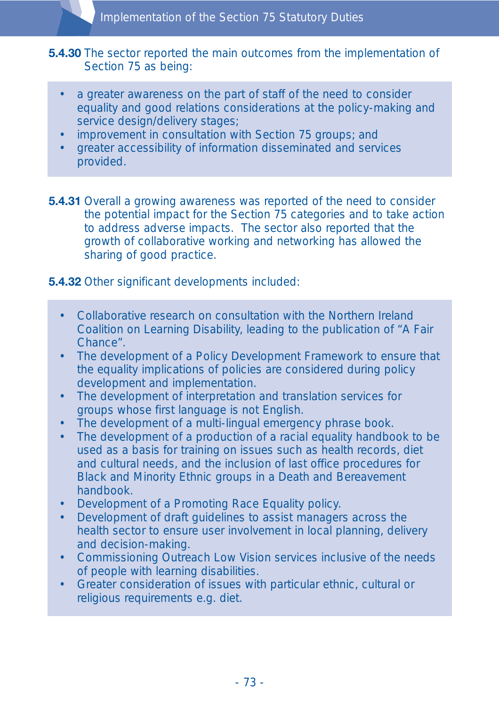#### **5.4.30** The sector reported the main outcomes from the implementation of Section 75 as being:

- a greater awareness on the part of staff of the need to consider equality and good relations considerations at the policy-making and service design/delivery stages;
- improvement in consultation with Section 75 groups; and
- greater accessibility of information disseminated and services provided.

**5.4.31** Overall a growing awareness was reported of the need to consider the potential impact for the Section 75 categories and to take action to address adverse impacts. The sector also reported that the growth of collaborative working and networking has allowed the sharing of good practice.

### **5.4.32** Other significant developments included:

- Collaborative research on consultation with the Northern Ireland Coalition on Learning Disability, leading to the publication of "A Fair Chance".
- The development of a Policy Development Framework to ensure that the equality implications of policies are considered during policy development and implementation.
- The development of interpretation and translation services for groups whose first language is not English.
- The development of a multi-lingual emergency phrase book.
- The development of a production of a racial equality handbook to be used as a basis for training on issues such as health records, diet and cultural needs, and the inclusion of last office procedures for Black and Minority Ethnic groups in a Death and Bereavement handbook.
- Development of a Promoting Race Equality policy.
- Development of draft guidelines to assist managers across the health sector to ensure user involvement in local planning, delivery and decision-making.
- Commissioning Outreach Low Vision services inclusive of the needs of people with learning disabilities.
- Greater consideration of issues with particular ethnic, cultural or religious requirements e.g. diet.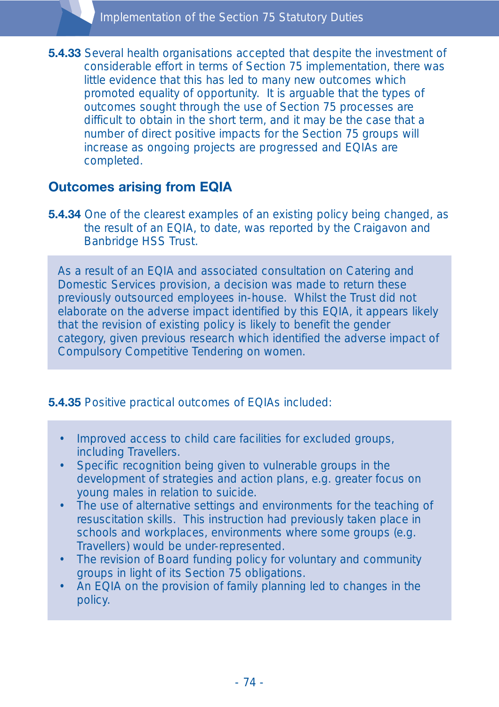**5.4.33** Several health organisations accepted that despite the investment of considerable effort in terms of Section 75 implementation, there was little evidence that this has led to many new outcomes which promoted equality of opportunity. It is arguable that the types of outcomes sought through the use of Section 75 processes are difficult to obtain in the short term, and it may be the case that a number of direct positive impacts for the Section 75 groups will increase as ongoing projects are progressed and EQIAs are completed.

# **Outcomes arising from EQIA**

**5.4.34** One of the clearest examples of an existing policy being changed, as the result of an EQIA, to date, was reported by the Craigavon and Banbridge HSS Trust.

As a result of an EQIA and associated consultation on Catering and Domestic Services provision, a decision was made to return these previously outsourced employees in-house. Whilst the Trust did not elaborate on the adverse impact identified by this EQIA, it appears likely that the revision of existing policy is likely to benefit the gender category, given previous research which identified the adverse impact of Compulsory Competitive Tendering on women.

### **5.4.35** Positive practical outcomes of EQIAs included:

- Improved access to child care facilities for excluded groups, including Travellers.
- Specific recognition being given to vulnerable groups in the development of strategies and action plans, e.g. greater focus on young males in relation to suicide.
- The use of alternative settings and environments for the teaching of resuscitation skills. This instruction had previously taken place in schools and workplaces, environments where some groups (e.g. Travellers) would be under-represented.
- The revision of Board funding policy for voluntary and community groups in light of its Section 75 obligations.
- An EQIA on the provision of family planning led to changes in the policy.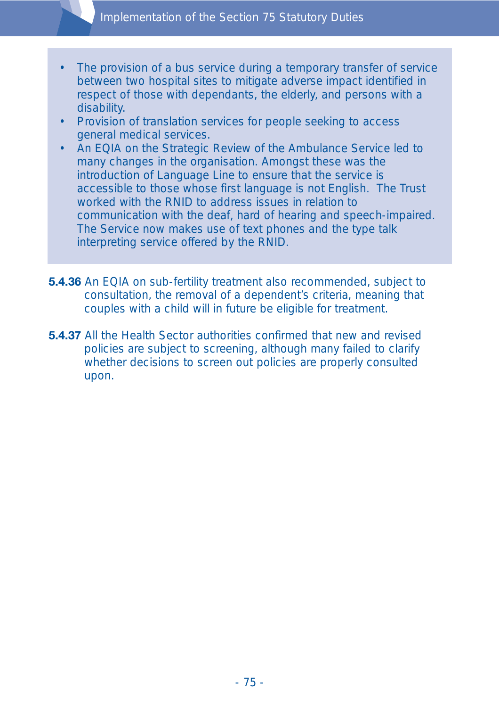- The provision of a bus service during a temporary transfer of service between two hospital sites to mitigate adverse impact identified in respect of those with dependants, the elderly, and persons with a disability.
- Provision of translation services for people seeking to access general medical services.
- An EQIA on the Strategic Review of the Ambulance Service led to many changes in the organisation. Amongst these was the introduction of Language Line to ensure that the service is accessible to those whose first language is not English. The Trust worked with the RNID to address issues in relation to communication with the deaf, hard of hearing and speech-impaired. The Service now makes use of text phones and the type talk interpreting service offered by the RNID.
- **5.4.36** An EQIA on sub-fertility treatment also recommended, subject to consultation, the removal of a dependent's criteria, meaning that couples with a child will in future be eligible for treatment.
- **5.4.37** All the Health Sector authorities confirmed that new and revised policies are subject to screening, although many failed to clarify whether decisions to screen out policies are properly consulted upon.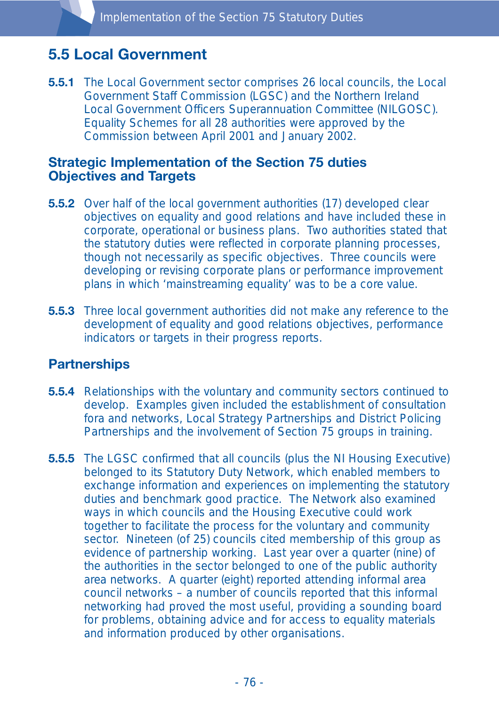# **5.5 Local Government**

**5.5.1** The Local Government sector comprises 26 local councils, the Local Government Staff Commission (LGSC) and the Northern Ireland Local Government Officers Superannuation Committee (NILGOSC). Equality Schemes for all 28 authorities were approved by the Commission between April 2001 and January 2002.

### **Strategic Implementation of the Section 75 duties Objectives and Targets**

- **5.5.2** Over half of the local government authorities (17) developed clear objectives on equality and good relations and have included these in corporate, operational or business plans. Two authorities stated that the statutory duties were reflected in corporate planning processes, though not necessarily as specific objectives. Three councils were developing or revising corporate plans or performance improvement plans in which 'mainstreaming equality' was to be a core value.
- **5.5.3** Three local government authorities did not make any reference to the development of equality and good relations objectives, performance indicators or targets in their progress reports.

### **Partnerships**

- **5.5.4** Relationships with the voluntary and community sectors continued to develop. Examples given included the establishment of consultation fora and networks, Local Strategy Partnerships and District Policing Partnerships and the involvement of Section 75 groups in training.
- **5.5.5** The LGSC confirmed that all councils (plus the NI Housing Executive) belonged to its Statutory Duty Network, which enabled members to exchange information and experiences on implementing the statutory duties and benchmark good practice. The Network also examined ways in which councils and the Housing Executive could work together to facilitate the process for the voluntary and community sector. Nineteen (of 25) councils cited membership of this group as evidence of partnership working. Last year over a quarter (nine) of the authorities in the sector belonged to one of the public authority area networks. A quarter (eight) reported attending informal area council networks – a number of councils reported that this informal networking had proved the most useful, providing a sounding board for problems, obtaining advice and for access to equality materials and information produced by other organisations.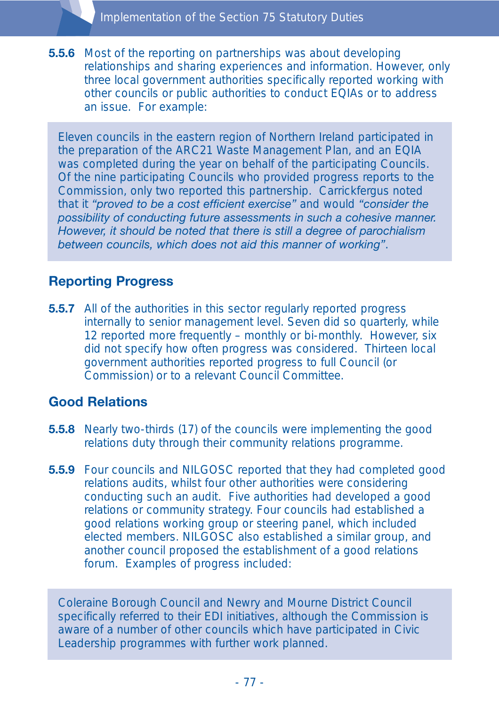**5.5.6** Most of the reporting on partnerships was about developing relationships and sharing experiences and information. However, only three local government authorities specifically reported working with other councils or public authorities to conduct EQIAs or to address an issue. For example:

Eleven councils in the eastern region of Northern Ireland participated in the preparation of the ARC21 Waste Management Plan, and an EQIA was completed during the year on behalf of the participating Councils. Of the nine participating Councils who provided progress reports to the Commission, only two reported this partnership. Carrickfergus noted that it *"proved to be a cost efficient exercise"* and would *"consider the possibility of conducting future assessments in such a cohesive manner. However, it should be noted that there is still a degree of parochialism between councils, which does not aid this manner of working"*.

# **Reporting Progress**

**5.5.7** All of the authorities in this sector regularly reported progress internally to senior management level. Seven did so quarterly, while 12 reported more frequently – monthly or bi-monthly. However, six did not specify how often progress was considered. Thirteen local government authorities reported progress to full Council (or Commission) or to a relevant Council Committee.

### **Good Relations**

- **5.5.8** Nearly two-thirds (17) of the councils were implementing the good relations duty through their community relations programme.
- **5.5.9** Four councils and NILGOSC reported that they had completed good relations audits, whilst four other authorities were considering conducting such an audit. Five authorities had developed a good relations or community strategy. Four councils had established a good relations working group or steering panel, which included elected members. NILGOSC also established a similar group, and another council proposed the establishment of a good relations forum. Examples of progress included:

Coleraine Borough Council and Newry and Mourne District Council specifically referred to their EDI initiatives, although the Commission is aware of a number of other councils which have participated in Civic Leadership programmes with further work planned.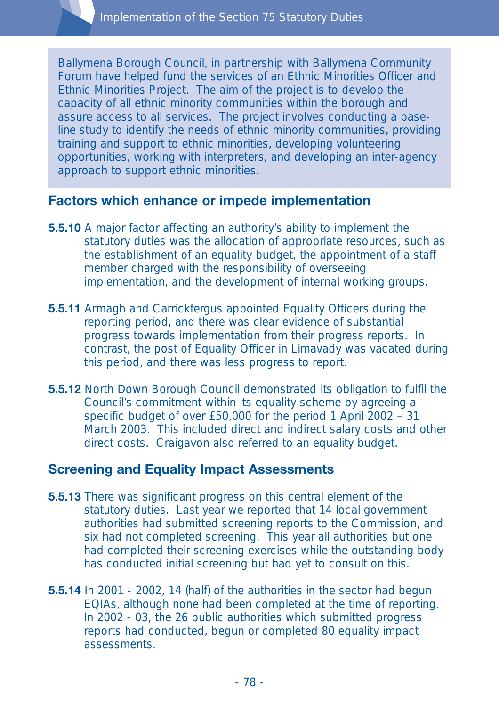Ballymena Borough Council, in partnership with Ballymena Community Forum have helped fund the services of an Ethnic Minorities Officer and Ethnic Minorities Project. The aim of the project is to develop the capacity of all ethnic minority communities within the borough and assure access to all services. The project involves conducting a baseline study to identify the needs of ethnic minority communities, providing training and support to ethnic minorities, developing volunteering opportunities, working with interpreters, and developing an inter-agency approach to support ethnic minorities.

### **Factors which enhance or impede implementation**

- **5.5.10** A major factor affecting an authority's ability to implement the statutory duties was the allocation of appropriate resources, such as the establishment of an equality budget, the appointment of a staff member charged with the responsibility of overseeing implementation, and the development of internal working groups.
- **5.5.11** Armagh and Carrickfergus appointed Equality Officers during the reporting period, and there was clear evidence of substantial progress towards implementation from their progress reports. In contrast, the post of Equality Officer in Limavady was vacated during this period, and there was less progress to report.
- **5.5.12** North Down Borough Council demonstrated its obligation to fulfil the Council's commitment within its equality scheme by agreeing a specific budget of over £50,000 for the period 1 April 2002 – 31 March 2003. This included direct and indirect salary costs and other direct costs. Craigavon also referred to an equality budget.

### **Screening and Equality Impact Assessments**

- **5.5.13** There was significant progress on this central element of the statutory duties. Last year we reported that 14 local government authorities had submitted screening reports to the Commission, and six had not completed screening. This year all authorities but one had completed their screening exercises while the outstanding body has conducted initial screening but had yet to consult on this.
- **5.5.14** In 2001 2002, 14 (half) of the authorities in the sector had begun EQIAs, although none had been completed at the time of reporting. In 2002 - 03, the 26 public authorities which submitted progress reports had conducted, begun or completed 80 equality impact assessments.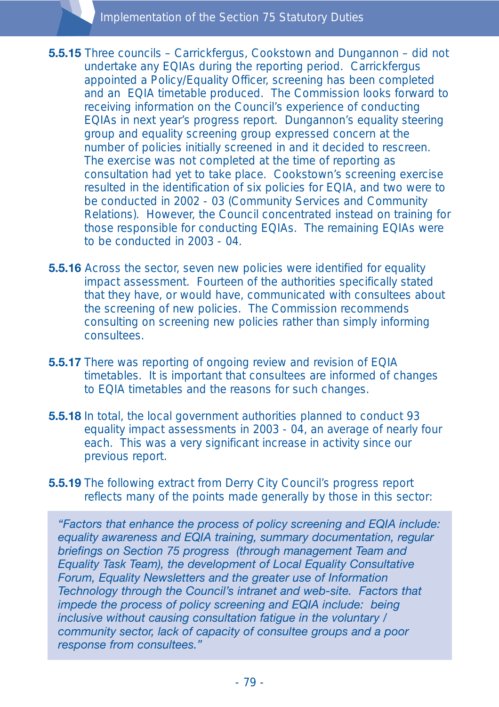- **5.5.15** Three councils Carrickfergus, Cookstown and Dungannon did not undertake any EQIAs during the reporting period. Carrickfergus appointed a Policy/Equality Officer, screening has been completed and an EQIA timetable produced. The Commission looks forward to receiving information on the Council's experience of conducting EQIAs in next year's progress report. Dungannon's equality steering group and equality screening group expressed concern at the number of policies initially screened in and it decided to rescreen. The exercise was not completed at the time of reporting as consultation had yet to take place. Cookstown's screening exercise resulted in the identification of six policies for EQIA, and two were to be conducted in 2002 - 03 (Community Services and Community Relations). However, the Council concentrated instead on training for those responsible for conducting EQIAs. The remaining EQIAs were to be conducted in 2003 - 04.
- **5.5.16** Across the sector, seven new policies were identified for equality impact assessment. Fourteen of the authorities specifically stated that they have, or would have, communicated with consultees about the screening of new policies. The Commission recommends consulting on screening new policies rather than simply informing consultees.
- **5.5.17** There was reporting of ongoing review and revision of EQIA timetables. It is important that consultees are informed of changes to EQIA timetables and the reasons for such changes.
- **5.5.18** In total, the local government authorities planned to conduct 93 equality impact assessments in 2003 - 04, an average of nearly four each. This was a very significant increase in activity since our previous report.
- **5.5.19** The following extract from Derry City Council's progress report reflects many of the points made generally by those in this sector:

*"Factors that enhance the process of policy screening and EQIA include: equality awareness and EQIA training, summary documentation, regular briefings on Section 75 progress (through management Team and Equality Task Team), the development of Local Equality Consultative Forum, Equality Newsletters and the greater use of Information Technology through the Council's intranet and web-site. Factors that impede the process of policy screening and EQIA include: being inclusive without causing consultation fatigue in the voluntary / community sector, lack of capacity of consultee groups and a poor response from consultees."*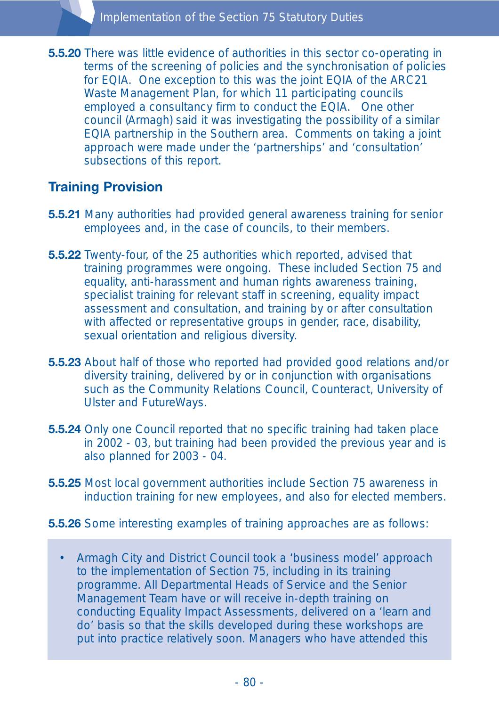**5.5.20** There was little evidence of authorities in this sector co-operating in terms of the screening of policies and the synchronisation of policies for EQIA. One exception to this was the joint EQIA of the ARC21 Waste Management Plan, for which 11 participating councils employed a consultancy firm to conduct the EQIA. One other council (Armagh) said it was investigating the possibility of a similar EQIA partnership in the Southern area. Comments on taking a joint approach were made under the 'partnerships' and 'consultation' subsections of this report.

# **Training Provision**

- **5.5.21** Many authorities had provided general awareness training for senior employees and, in the case of councils, to their members.
- **5.5.22** Twenty-four, of the 25 authorities which reported, advised that training programmes were ongoing. These included Section 75 and equality, anti-harassment and human rights awareness training, specialist training for relevant staff in screening, equality impact assessment and consultation, and training by or after consultation with affected or representative groups in gender, race, disability, sexual orientation and religious diversity.
- **5.5.23** About half of those who reported had provided good relations and/or diversity training, delivered by or in conjunction with organisations such as the Community Relations Council, Counteract, University of Ulster and FutureWays.
- **5.5.24** Only one Council reported that no specific training had taken place in 2002 - 03, but training had been provided the previous year and is also planned for 2003 - 04.
- **5.5.25** Most local government authorities include Section 75 awareness in induction training for new employees, and also for elected members.
- **5.5.26** Some interesting examples of training approaches are as follows:
	- Armagh City and District Council took a 'business model' approach to the implementation of Section 75, including in its training programme. All Departmental Heads of Service and the Senior Management Team have or will receive in-depth training on conducting Equality Impact Assessments, delivered on a 'learn and do' basis so that the skills developed during these workshops are put into practice relatively soon. Managers who have attended this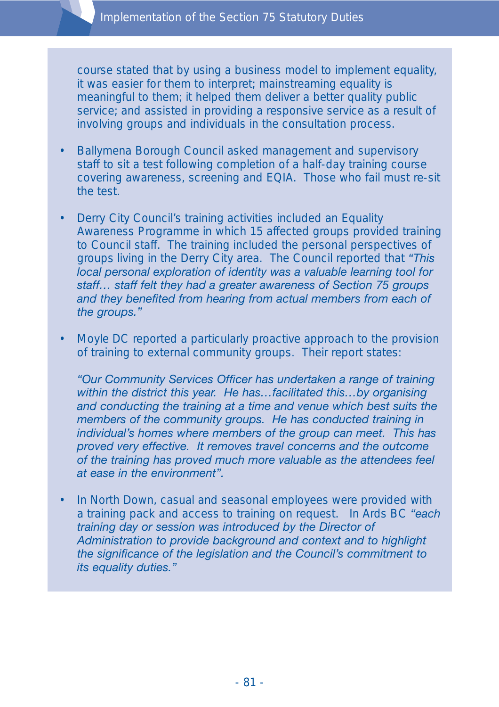course stated that by using a business model to implement equality, it was easier for them to interpret; mainstreaming equality is meaningful to them; it helped them deliver a better quality public service; and assisted in providing a responsive service as a result of involving groups and individuals in the consultation process.

- Ballymena Borough Council asked management and supervisory staff to sit a test following completion of a half-day training course covering awareness, screening and EQIA. Those who fail must re-sit the test.
- Derry City Council's training activities included an Equality Awareness Programme in which 15 affected groups provided training to Council staff. The training included the personal perspectives of groups living in the Derry City area. The Council reported that *"This local personal exploration of identity was a valuable learning tool for staff… staff felt they had a greater awareness of Section 75 groups and they benefited from hearing from actual members from each of the groups."*
- Moyle DC reported a particularly proactive approach to the provision of training to external community groups. Their report states:

*"Our Community Services Officer has undertaken a range of training within the district this year. He has…facilitated this…by organising and conducting the training at a time and venue which best suits the members of the community groups. He has conducted training in individual's homes where members of the group can meet. This has proved very effective. It removes travel concerns and the outcome of the training has proved much more valuable as the attendees feel at ease in the environment".*

• In North Down, casual and seasonal employees were provided with a training pack and access to training on request. In Ards BC *"each training day or session was introduced by the Director of Administration to provide background and context and to highlight the significance of the legislation and the Council's commitment to its equality duties."*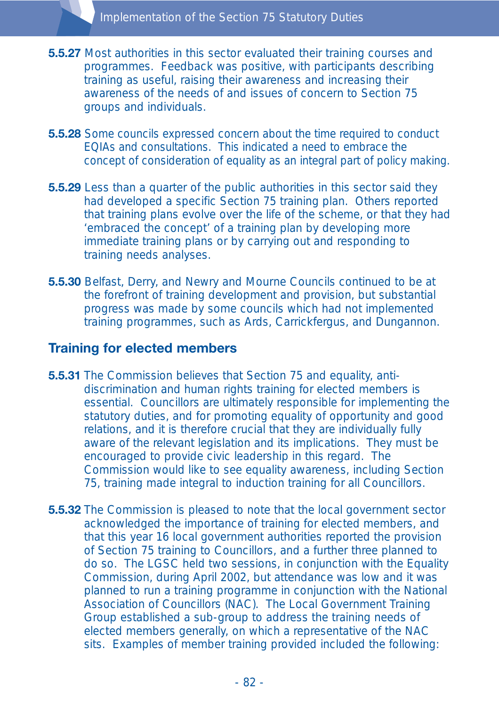- **5.5.27** Most authorities in this sector evaluated their training courses and programmes. Feedback was positive, with participants describing training as useful, raising their awareness and increasing their awareness of the needs of and issues of concern to Section 75 groups and individuals.
- **5.5.28** Some councils expressed concern about the time required to conduct EQIAs and consultations. This indicated a need to embrace the concept of consideration of equality as an integral part of policy making.
- **5.5.29** Less than a quarter of the public authorities in this sector said they had developed a specific Section 75 training plan. Others reported that training plans evolve over the life of the scheme, or that they had 'embraced the concept' of a training plan by developing more immediate training plans or by carrying out and responding to training needs analyses.
- **5.5.30** Belfast, Derry, and Newry and Mourne Councils continued to be at the forefront of training development and provision, but substantial progress was made by some councils which had not implemented training programmes, such as Ards, Carrickfergus, and Dungannon.

### **Training for elected members**

- **5.5.31** The Commission believes that Section 75 and equality, antidiscrimination and human rights training for elected members is essential. Councillors are ultimately responsible for implementing the statutory duties, and for promoting equality of opportunity and good relations, and it is therefore crucial that they are individually fully aware of the relevant legislation and its implications. They must be encouraged to provide civic leadership in this regard. The Commission would like to see equality awareness, including Section 75, training made integral to induction training for all Councillors.
- **5.5.32** The Commission is pleased to note that the local government sector acknowledged the importance of training for elected members, and that this year 16 local government authorities reported the provision of Section 75 training to Councillors, and a further three planned to do so. The LGSC held two sessions, in conjunction with the Equality Commission, during April 2002, but attendance was low and it was planned to run a training programme in conjunction with the National Association of Councillors (NAC). The Local Government Training Group established a sub-group to address the training needs of elected members generally, on which a representative of the NAC sits. Examples of member training provided included the following: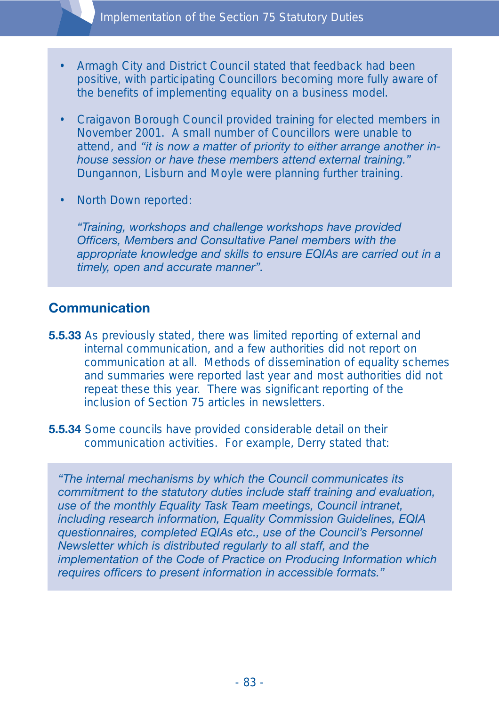

- Armagh City and District Council stated that feedback had been positive, with participating Councillors becoming more fully aware of the benefits of implementing equality on a business model.
- Craigavon Borough Council provided training for elected members in November 2001. A small number of Councillors were unable to attend, and *"it is now a matter of priority to either arrange another inhouse session or have these members attend external training."* Dungannon, Lisburn and Moyle were planning further training.
- North Down reported:

*"Training, workshops and challenge workshops have provided Officers, Members and Consultative Panel members with the appropriate knowledge and skills to ensure EQIAs are carried out in a timely, open and accurate manner".*

### **Communication**

- **5.5.33** As previously stated, there was limited reporting of external and internal communication, and a few authorities did not report on communication at all. Methods of dissemination of equality schemes and summaries were reported last year and most authorities did not repeat these this year. There was significant reporting of the inclusion of Section 75 articles in newsletters.
- **5.5.34** Some councils have provided considerable detail on their communication activities. For example, Derry stated that:

*"The internal mechanisms by which the Council communicates its commitment to the statutory duties include staff training and evaluation, use of the monthly Equality Task Team meetings, Council intranet, including research information, Equality Commission Guidelines, EQIA questionnaires, completed EQIAs etc., use of the Council's Personnel Newsletter which is distributed regularly to all staff, and the implementation of the Code of Practice on Producing Information which requires officers to present information in accessible formats."*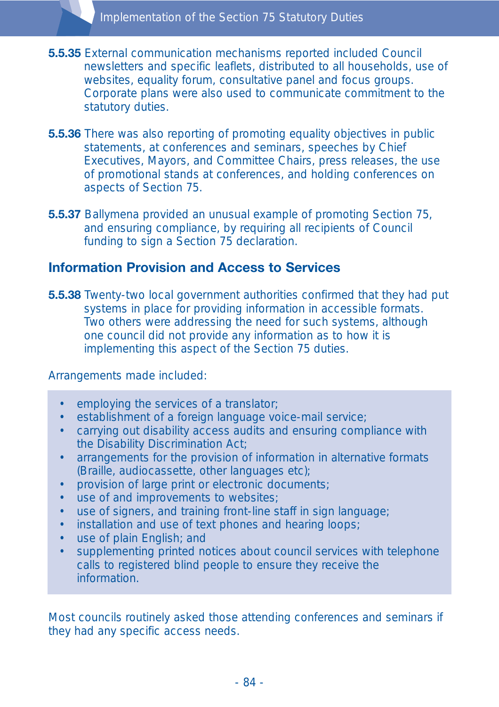- **5.5.35** External communication mechanisms reported included Council newsletters and specific leaflets, distributed to all households, use of websites, equality forum, consultative panel and focus groups. Corporate plans were also used to communicate commitment to the statutory duties.
- **5.5.36** There was also reporting of promoting equality objectives in public statements, at conferences and seminars, speeches by Chief Executives, Mayors, and Committee Chairs, press releases, the use of promotional stands at conferences, and holding conferences on aspects of Section 75.
- **5.5.37** Ballymena provided an unusual example of promoting Section 75, and ensuring compliance, by requiring all recipients of Council funding to sign a Section 75 declaration.

### **Information Provision and Access to Services**

**5.5.38** Twenty-two local government authorities confirmed that they had put systems in place for providing information in accessible formats. Two others were addressing the need for such systems, although one council did not provide any information as to how it is implementing this aspect of the Section 75 duties.

Arrangements made included:

- employing the services of a translator;
- establishment of a foreign language voice-mail service;
- carrying out disability access audits and ensuring compliance with the Disability Discrimination Act;
- arrangements for the provision of information in alternative formats (Braille, audiocassette, other languages etc);
- provision of large print or electronic documents;
- use of and improvements to websites;
- use of signers, and training front-line staff in sign language;
- installation and use of text phones and hearing loops;
- use of plain English; and
- supplementing printed notices about council services with telephone calls to registered blind people to ensure they receive the **information**

Most councils routinely asked those attending conferences and seminars if they had any specific access needs.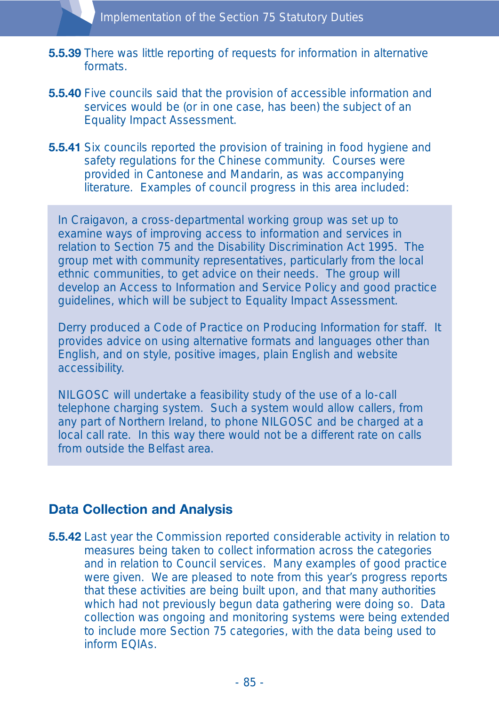- **5.5.39** There was little reporting of requests for information in alternative formats.
- **5.5.40** Five councils said that the provision of accessible information and services would be (or in one case, has been) the subject of an Equality Impact Assessment.
- **5.5.41** Six councils reported the provision of training in food hygiene and safety regulations for the Chinese community. Courses were provided in Cantonese and Mandarin, as was accompanying literature. Examples of council progress in this area included:

In Craigavon, a cross-departmental working group was set up to examine ways of improving access to information and services in relation to Section 75 and the Disability Discrimination Act 1995. The group met with community representatives, particularly from the local ethnic communities, to get advice on their needs. The group will develop an Access to Information and Service Policy and good practice guidelines, which will be subject to Equality Impact Assessment.

Derry produced a Code of Practice on Producing Information for staff. It provides advice on using alternative formats and languages other than English, and on style, positive images, plain English and website accessibility.

NILGOSC will undertake a feasibility study of the use of a lo-call telephone charging system. Such a system would allow callers, from any part of Northern Ireland, to phone NILGOSC and be charged at a local call rate. In this way there would not be a different rate on calls from outside the Belfast area.

### **Data Collection and Analysis**

**5.5.42** Last year the Commission reported considerable activity in relation to measures being taken to collect information across the categories and in relation to Council services. Many examples of good practice were given. We are pleased to note from this year's progress reports that these activities are being built upon, and that many authorities which had not previously begun data gathering were doing so. Data collection was ongoing and monitoring systems were being extended to include more Section 75 categories, with the data being used to inform EQIAs.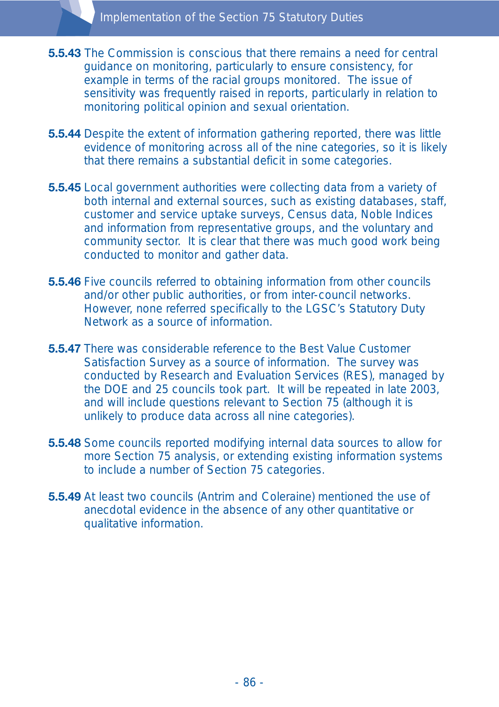- **5.5.43** The Commission is conscious that there remains a need for central guidance on monitoring, particularly to ensure consistency, for example in terms of the racial groups monitored. The issue of sensitivity was frequently raised in reports, particularly in relation to monitoring political opinion and sexual orientation.
- **5.5.44** Despite the extent of information gathering reported, there was little evidence of monitoring across all of the nine categories, so it is likely that there remains a substantial deficit in some categories.
- **5.5.45** Local government authorities were collecting data from a variety of both internal and external sources, such as existing databases, staff, customer and service uptake surveys, Census data, Noble Indices and information from representative groups, and the voluntary and community sector. It is clear that there was much good work being conducted to monitor and gather data.
- **5.5.46** Five councils referred to obtaining information from other councils and/or other public authorities, or from inter-council networks. However, none referred specifically to the LGSC's Statutory Duty Network as a source of information.
- **5.5.47** There was considerable reference to the Best Value Customer Satisfaction Survey as a source of information. The survey was conducted by Research and Evaluation Services (RES), managed by the DOE and 25 councils took part. It will be repeated in late 2003, and will include questions relevant to Section 75 (although it is unlikely to produce data across all nine categories).
- **5.5.48** Some councils reported modifying internal data sources to allow for more Section 75 analysis, or extending existing information systems to include a number of Section 75 categories.
- **5.5.49** At least two councils (Antrim and Coleraine) mentioned the use of anecdotal evidence in the absence of any other quantitative or qualitative information.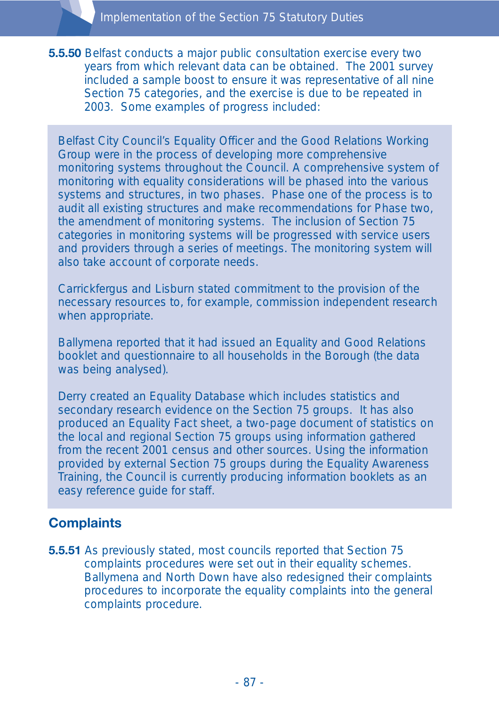**5.5.50** Belfast conducts a major public consultation exercise every two years from which relevant data can be obtained. The 2001 survey included a sample boost to ensure it was representative of all nine Section 75 categories, and the exercise is due to be repeated in 2003. Some examples of progress included:

Belfast City Council's Equality Officer and the Good Relations Working Group were in the process of developing more comprehensive monitoring systems throughout the Council. A comprehensive system of monitoring with equality considerations will be phased into the various systems and structures, in two phases. Phase one of the process is to audit all existing structures and make recommendations for Phase two, the amendment of monitoring systems. The inclusion of Section 75 categories in monitoring systems will be progressed with service users and providers through a series of meetings. The monitoring system will also take account of corporate needs.

Carrickfergus and Lisburn stated commitment to the provision of the necessary resources to, for example, commission independent research when appropriate.

Ballymena reported that it had issued an Equality and Good Relations booklet and questionnaire to all households in the Borough (the data was being analysed).

Derry created an Equality Database which includes statistics and secondary research evidence on the Section 75 groups. It has also produced an Equality Fact sheet, a two-page document of statistics on the local and regional Section 75 groups using information gathered from the recent 2001 census and other sources. Using the information provided by external Section 75 groups during the Equality Awareness Training, the Council is currently producing information booklets as an easy reference guide for staff.

### **Complaints**

**5.5.51** As previously stated, most councils reported that Section 75 complaints procedures were set out in their equality schemes. Ballymena and North Down have also redesigned their complaints procedures to incorporate the equality complaints into the general complaints procedure.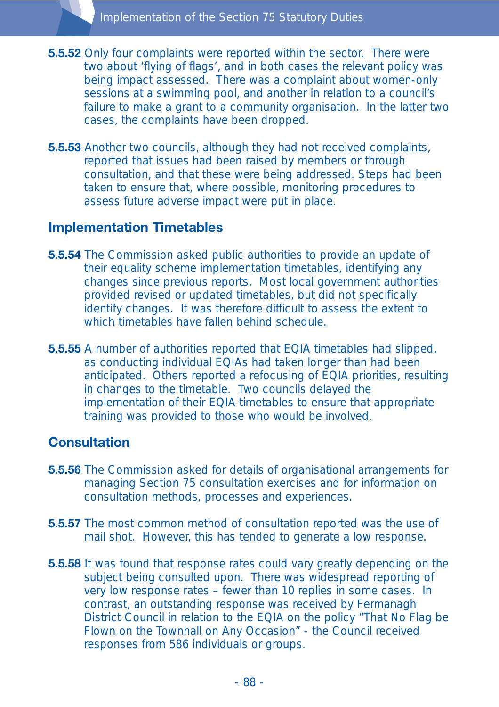- **5.5.52** Only four complaints were reported within the sector. There were two about 'flying of flags', and in both cases the relevant policy was being impact assessed. There was a complaint about women-only sessions at a swimming pool, and another in relation to a council's failure to make a grant to a community organisation. In the latter two cases, the complaints have been dropped.
- **5.5.53** Another two councils, although they had not received complaints, reported that issues had been raised by members or through consultation, and that these were being addressed. Steps had been taken to ensure that, where possible, monitoring procedures to assess future adverse impact were put in place.

### **Implementation Timetables**

- **5.5.54** The Commission asked public authorities to provide an update of their equality scheme implementation timetables, identifying any changes since previous reports. Most local government authorities provided revised or updated timetables, but did not specifically identify changes. It was therefore difficult to assess the extent to which timetables have fallen behind schedule.
- **5.5.55** A number of authorities reported that EQIA timetables had slipped, as conducting individual EQIAs had taken longer than had been anticipated. Others reported a refocusing of EQIA priorities, resulting in changes to the timetable. Two councils delayed the implementation of their EQIA timetables to ensure that appropriate training was provided to those who would be involved.

### **Consultation**

- **5.5.56** The Commission asked for details of organisational arrangements for managing Section 75 consultation exercises and for information on consultation methods, processes and experiences.
- **5.5.57** The most common method of consultation reported was the use of mail shot. However, this has tended to generate a low response.
- **5.5.58** It was found that response rates could vary greatly depending on the subject being consulted upon. There was widespread reporting of very low response rates – fewer than 10 replies in some cases. In contrast, an outstanding response was received by Fermanagh District Council in relation to the EQIA on the policy "That No Flag be Flown on the Townhall on Any Occasion" - the Council received responses from 586 individuals or groups.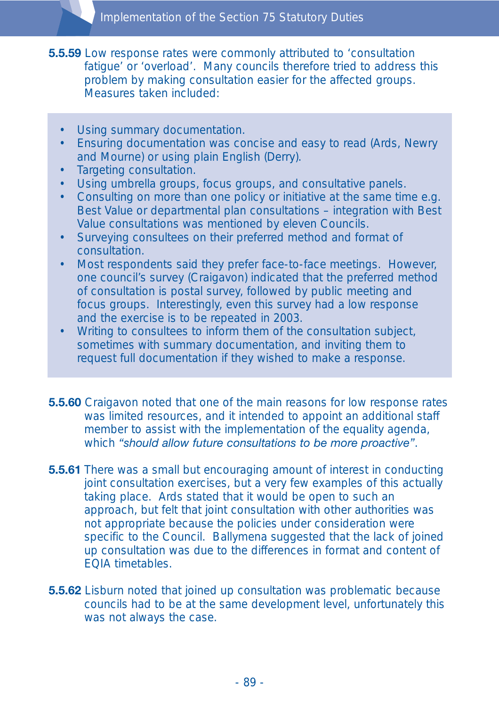- **5.5.59** Low response rates were commonly attributed to 'consultation fatigue' or 'overload'. Many councils therefore tried to address this problem by making consultation easier for the affected groups. Measures taken included:
	- Using summary documentation.
	- Ensuring documentation was concise and easy to read (Ards, Newry and Mourne) or using plain English (Derry).
	- Targeting consultation.
	- Using umbrella groups, focus groups, and consultative panels.
	- Consulting on more than one policy or initiative at the same time e.g. Best Value or departmental plan consultations – integration with Best Value consultations was mentioned by eleven Councils.
	- Surveying consultees on their preferred method and format of consultation.
	- Most respondents said they prefer face-to-face meetings. However, one council's survey (Craigavon) indicated that the preferred method of consultation is postal survey, followed by public meeting and focus groups. Interestingly, even this survey had a low response and the exercise is to be repeated in 2003.
	- Writing to consultees to inform them of the consultation subject, sometimes with summary documentation, and inviting them to request full documentation if they wished to make a response.
- **5.5.60** Craigavon noted that one of the main reasons for low response rates was limited resources, and it intended to appoint an additional staff member to assist with the implementation of the equality agenda, which *"should allow future consultations to be more proactive"*.
- **5.5.61** There was a small but encouraging amount of interest in conducting joint consultation exercises, but a very few examples of this actually taking place. Ards stated that it would be open to such an approach, but felt that joint consultation with other authorities was not appropriate because the policies under consideration were specific to the Council. Ballymena suggested that the lack of joined up consultation was due to the differences in format and content of EQIA timetables.
- **5.5.62** Lisburn noted that joined up consultation was problematic because councils had to be at the same development level, unfortunately this was not always the case.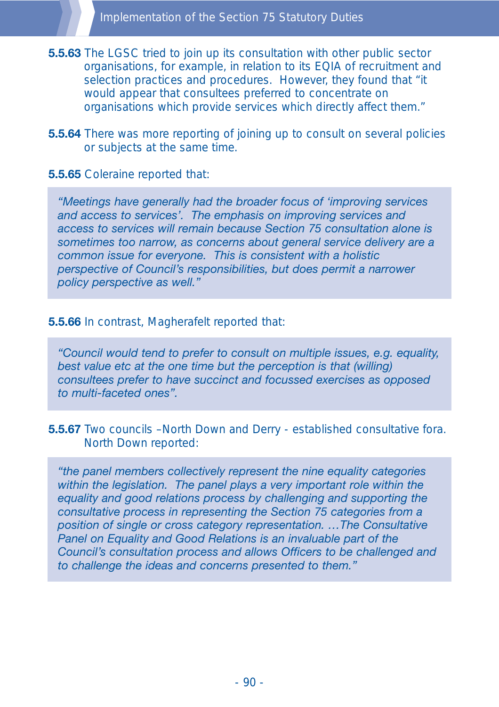**5.5.63** The LGSC tried to join up its consultation with other public sector organisations, for example, in relation to its EQIA of recruitment and selection practices and procedures. However, they found that "it would appear that consultees preferred to concentrate on organisations which provide services which directly affect them."

**5.5.64** There was more reporting of joining up to consult on several policies or subjects at the same time.

### **5.5.65** Coleraine reported that:

*"Meetings have generally had the broader focus of 'improving services and access to services'. The emphasis on improving services and access to services will remain because Section 75 consultation alone is sometimes too narrow, as concerns about general service delivery are a common issue for everyone. This is consistent with a holistic perspective of Council's responsibilities, but does permit a narrower policy perspective as well."*

#### **5.5.66** In contrast, Magherafelt reported that:

*"Council would tend to prefer to consult on multiple issues, e.g. equality, best value etc at the one time but the perception is that (willing) consultees prefer to have succinct and focussed exercises as opposed to multi-faceted ones".*

#### **5.5.67** Two councils -North Down and Derry - established consultative fora. North Down reported:

*"the panel members collectively represent the nine equality categories within the legislation. The panel plays a very important role within the equality and good relations process by challenging and supporting the consultative process in representing the Section 75 categories from a position of single or cross category representation. …The Consultative Panel on Equality and Good Relations is an invaluable part of the Council's consultation process and allows Officers to be challenged and to challenge the ideas and concerns presented to them."*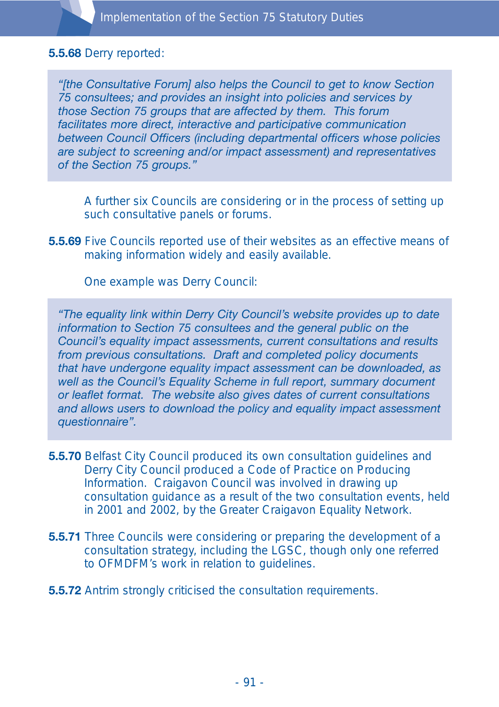#### **5.5.68** Derry reported:

*"[the Consultative Forum] also helps the Council to get to know Section 75 consultees; and provides an insight into policies and services by those Section 75 groups that are affected by them. This forum facilitates more direct, interactive and participative communication between Council Officers (including departmental officers whose policies are subject to screening and/or impact assessment) and representatives of the Section 75 groups."*

A further six Councils are considering or in the process of setting up such consultative panels or forums.

**5.5.69** Five Councils reported use of their websites as an effective means of making information widely and easily available.

One example was Derry Council:

*"The equality link within Derry City Council's website provides up to date information to Section 75 consultees and the general public on the Council's equality impact assessments, current consultations and results from previous consultations. Draft and completed policy documents that have undergone equality impact assessment can be downloaded, as well as the Council's Equality Scheme in full report, summary document or leaflet format. The website also gives dates of current consultations and allows users to download the policy and equality impact assessment questionnaire".*

- **5.5.70** Belfast City Council produced its own consultation guidelines and Derry City Council produced a Code of Practice on Producing Information. Craigavon Council was involved in drawing up consultation guidance as a result of the two consultation events, held in 2001 and 2002, by the Greater Craigavon Equality Network.
- **5.5.71** Three Councils were considering or preparing the development of a consultation strategy, including the LGSC, though only one referred to OFMDFM's work in relation to guidelines.
- **5.5.72** Antrim strongly criticised the consultation requirements.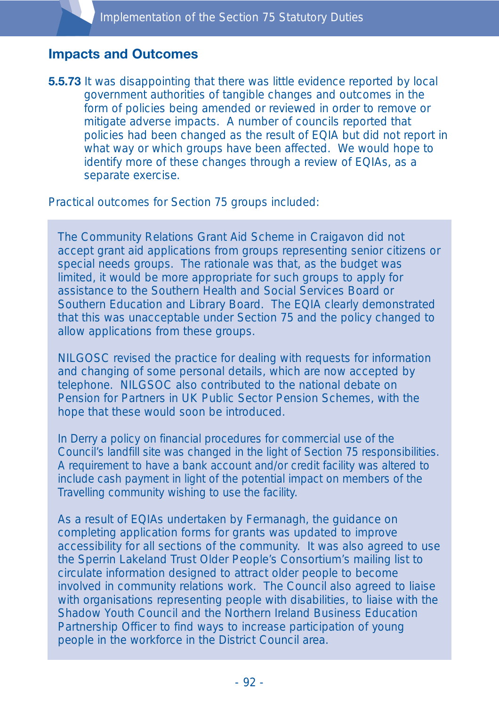### **Impacts and Outcomes**

**5.5.73** It was disappointing that there was little evidence reported by local government authorities of tangible changes and outcomes in the form of policies being amended or reviewed in order to remove or mitigate adverse impacts. A number of councils reported that policies had been changed as the result of EQIA but did not report in what way or which groups have been affected. We would hope to identify more of these changes through a review of EQIAs, as a separate exercise.

Practical outcomes for Section 75 groups included:

The Community Relations Grant Aid Scheme in Craigavon did not accept grant aid applications from groups representing senior citizens or special needs groups. The rationale was that, as the budget was limited, it would be more appropriate for such groups to apply for assistance to the Southern Health and Social Services Board or Southern Education and Library Board. The EQIA clearly demonstrated that this was unacceptable under Section 75 and the policy changed to allow applications from these groups.

NILGOSC revised the practice for dealing with requests for information and changing of some personal details, which are now accepted by telephone. NILGSOC also contributed to the national debate on Pension for Partners in UK Public Sector Pension Schemes, with the hope that these would soon be introduced.

In Derry a policy on financial procedures for commercial use of the Council's landfill site was changed in the light of Section 75 responsibilities. A requirement to have a bank account and/or credit facility was altered to include cash payment in light of the potential impact on members of the Travelling community wishing to use the facility.

As a result of EQIAs undertaken by Fermanagh, the guidance on completing application forms for grants was updated to improve accessibility for all sections of the community. It was also agreed to use the Sperrin Lakeland Trust Older People's Consortium's mailing list to circulate information designed to attract older people to become involved in community relations work. The Council also agreed to liaise with organisations representing people with disabilities, to liaise with the Shadow Youth Council and the Northern Ireland Business Education Partnership Officer to find ways to increase participation of young people in the workforce in the District Council area.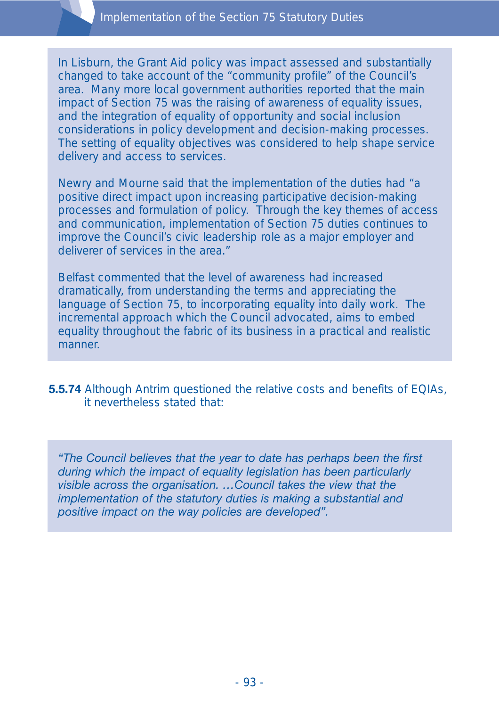In Lisburn, the Grant Aid policy was impact assessed and substantially changed to take account of the "community profile" of the Council's area. Many more local government authorities reported that the main impact of Section 75 was the raising of awareness of equality issues, and the integration of equality of opportunity and social inclusion considerations in policy development and decision-making processes. The setting of equality objectives was considered to help shape service delivery and access to services.

Newry and Mourne said that the implementation of the duties had "a positive direct impact upon increasing participative decision-making processes and formulation of policy. Through the key themes of access and communication, implementation of Section 75 duties continues to improve the Council's civic leadership role as a major employer and deliverer of services in the area."

Belfast commented that the level of awareness had increased dramatically, from understanding the terms and appreciating the language of Section 75, to incorporating equality into daily work. The incremental approach which the Council advocated, aims to embed equality throughout the fabric of its business in a practical and realistic manner.

**5.5.74** Although Antrim questioned the relative costs and benefits of EQIAs, it nevertheless stated that:

*"The Council believes that the year to date has perhaps been the first during which the impact of equality legislation has been particularly visible across the organisation. …Council takes the view that the implementation of the statutory duties is making a substantial and positive impact on the way policies are developed".*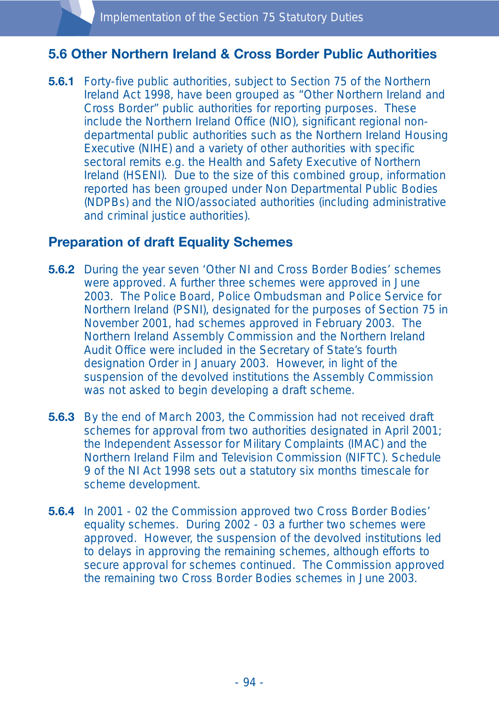### **5.6 Other Northern Ireland & Cross Border Public Authorities**

**5.6.1** Forty-five public authorities, subject to Section 75 of the Northern Ireland Act 1998, have been grouped as "Other Northern Ireland and Cross Border" public authorities for reporting purposes. These include the Northern Ireland Office (NIO), significant regional nondepartmental public authorities such as the Northern Ireland Housing Executive (NIHE) and a variety of other authorities with specific sectoral remits e.g. the Health and Safety Executive of Northern Ireland (HSENI). Due to the size of this combined group, information reported has been grouped under Non Departmental Public Bodies (NDPBs) and the NIO/associated authorities (including administrative and criminal justice authorities).

### **Preparation of draft Equality Schemes**

- **5.6.2** During the year seven 'Other NI and Cross Border Bodies' schemes were approved. A further three schemes were approved in June 2003. The Police Board, Police Ombudsman and Police Service for Northern Ireland (PSNI), designated for the purposes of Section 75 in November 2001, had schemes approved in February 2003. The Northern Ireland Assembly Commission and the Northern Ireland Audit Office were included in the Secretary of State's fourth designation Order in January 2003. However, in light of the suspension of the devolved institutions the Assembly Commission was not asked to begin developing a draft scheme.
- **5.6.3** By the end of March 2003, the Commission had not received draft schemes for approval from two authorities designated in April 2001; the Independent Assessor for Military Complaints (IMAC) and the Northern Ireland Film and Television Commission (NIFTC). Schedule 9 of the NI Act 1998 sets out a statutory six months timescale for scheme development.
- **5.6.4** In 2001 02 the Commission approved two Cross Border Bodies' equality schemes. During 2002 - 03 a further two schemes were approved. However, the suspension of the devolved institutions led to delays in approving the remaining schemes, although efforts to secure approval for schemes continued. The Commission approved the remaining two Cross Border Bodies schemes in June 2003.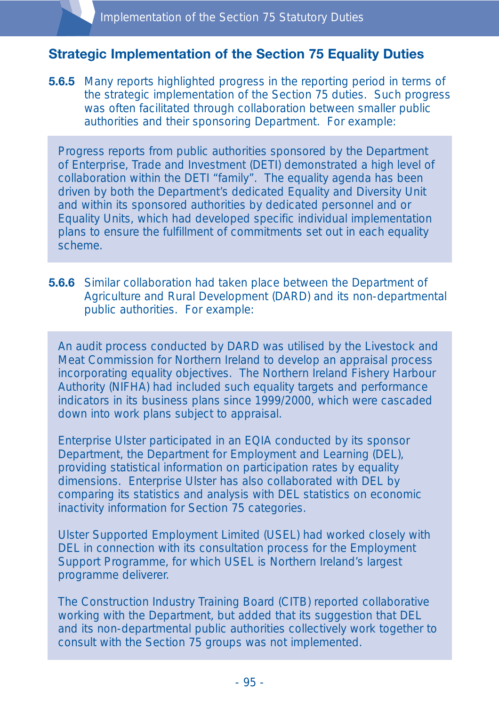# **Strategic Implementation of the Section 75 Equality Duties**

**5.6.5** Many reports highlighted progress in the reporting period in terms of the strategic implementation of the Section 75 duties. Such progress was often facilitated through collaboration between smaller public authorities and their sponsoring Department. For example:

Progress reports from public authorities sponsored by the Department of Enterprise, Trade and Investment (DETI) demonstrated a high level of collaboration within the DETI "family". The equality agenda has been driven by both the Department's dedicated Equality and Diversity Unit and within its sponsored authorities by dedicated personnel and or Equality Units, which had developed specific individual implementation plans to ensure the fulfillment of commitments set out in each equality scheme.

**5.6.6** Similar collaboration had taken place between the Department of Agriculture and Rural Development (DARD) and its non-departmental public authorities. For example:

An audit process conducted by DARD was utilised by the Livestock and Meat Commission for Northern Ireland to develop an appraisal process incorporating equality objectives. The Northern Ireland Fishery Harbour Authority (NIFHA) had included such equality targets and performance indicators in its business plans since 1999/2000, which were cascaded down into work plans subject to appraisal.

Enterprise Ulster participated in an EQIA conducted by its sponsor Department, the Department for Employment and Learning (DEL), providing statistical information on participation rates by equality dimensions. Enterprise Ulster has also collaborated with DEL by comparing its statistics and analysis with DEL statistics on economic inactivity information for Section 75 categories.

Ulster Supported Employment Limited (USEL) had worked closely with DEL in connection with its consultation process for the Employment Support Programme, for which USEL is Northern Ireland's largest programme deliverer.

The Construction Industry Training Board (CITB) reported collaborative working with the Department, but added that its suggestion that DEL and its non-departmental public authorities collectively work together to consult with the Section 75 groups was not implemented.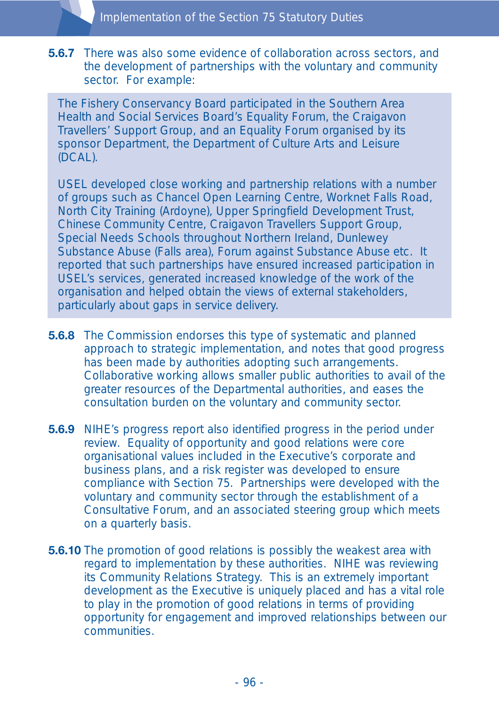**5.6.7** There was also some evidence of collaboration across sectors, and the development of partnerships with the voluntary and community sector. For example:

The Fishery Conservancy Board participated in the Southern Area Health and Social Services Board's Equality Forum, the Craigavon Travellers' Support Group, and an Equality Forum organised by its sponsor Department, the Department of Culture Arts and Leisure (DCAL).

USEL developed close working and partnership relations with a number of groups such as Chancel Open Learning Centre, Worknet Falls Road, North City Training (Ardoyne), Upper Springfield Development Trust, Chinese Community Centre, Craigavon Travellers Support Group, Special Needs Schools throughout Northern Ireland, Dunlewey Substance Abuse (Falls area), Forum against Substance Abuse etc. It reported that such partnerships have ensured increased participation in USEL's services, generated increased knowledge of the work of the organisation and helped obtain the views of external stakeholders, particularly about gaps in service delivery.

- **5.6.8** The Commission endorses this type of systematic and planned approach to strategic implementation, and notes that good progress has been made by authorities adopting such arrangements. Collaborative working allows smaller public authorities to avail of the greater resources of the Departmental authorities, and eases the consultation burden on the voluntary and community sector.
- **5.6.9** NIHE's progress report also identified progress in the period under review. Equality of opportunity and good relations were core organisational values included in the Executive's corporate and business plans, and a risk register was developed to ensure compliance with Section 75. Partnerships were developed with the voluntary and community sector through the establishment of a Consultative Forum, and an associated steering group which meets on a quarterly basis.
- **5.6.10** The promotion of good relations is possibly the weakest area with regard to implementation by these authorities. NIHE was reviewing its Community Relations Strategy. This is an extremely important development as the Executive is uniquely placed and has a vital role to play in the promotion of good relations in terms of providing opportunity for engagement and improved relationships between our communities.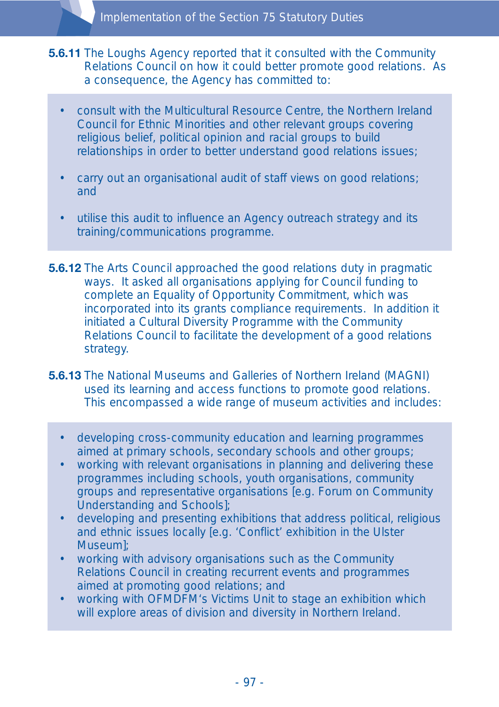- **5.6.11** The Loughs Agency reported that it consulted with the Community Relations Council on how it could better promote good relations. As a consequence, the Agency has committed to:
	- consult with the Multicultural Resource Centre, the Northern Ireland Council for Ethnic Minorities and other relevant groups covering religious belief, political opinion and racial groups to build relationships in order to better understand good relations issues;
	- carry out an organisational audit of staff views on good relations; and
	- utilise this audit to influence an Agency outreach strategy and its training/communications programme.
- **5.6.12** The Arts Council approached the good relations duty in pragmatic ways. It asked all organisations applying for Council funding to complete an Equality of Opportunity Commitment, which was incorporated into its grants compliance requirements. In addition it initiated a Cultural Diversity Programme with the Community Relations Council to facilitate the development of a good relations strategy.
- **5.6.13** The National Museums and Galleries of Northern Ireland (MAGNI) used its learning and access functions to promote good relations. This encompassed a wide range of museum activities and includes:
	- developing cross-community education and learning programmes aimed at primary schools, secondary schools and other groups;
	- working with relevant organisations in planning and delivering these programmes including schools, youth organisations, community groups and representative organisations [e.g. Forum on Community Understanding and Schools];
	- developing and presenting exhibitions that address political, religious and ethnic issues locally [e.g. 'Conflict' exhibition in the Ulster Museum];
	- working with advisory organisations such as the Community Relations Council in creating recurrent events and programmes aimed at promoting good relations; and
	- working with OFMDFM's Victims Unit to stage an exhibition which will explore areas of division and diversity in Northern Ireland.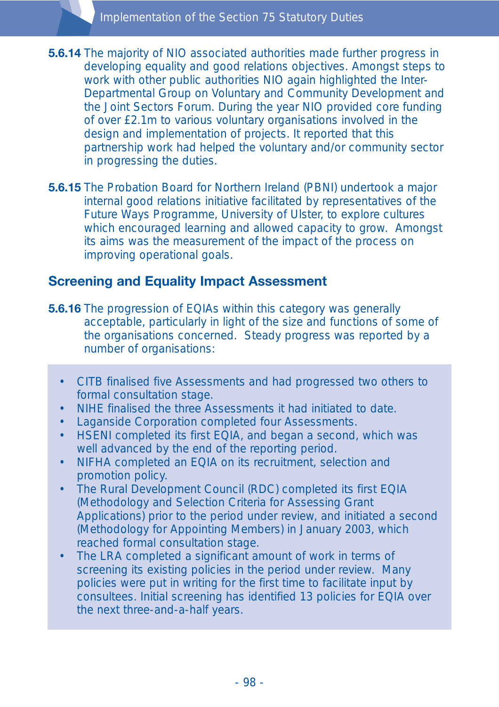- **5.6.14** The majority of NIO associated authorities made further progress in developing equality and good relations objectives. Amongst steps to work with other public authorities NIO again highlighted the Inter-Departmental Group on Voluntary and Community Development and the Joint Sectors Forum. During the year NIO provided core funding of over £2.1m to various voluntary organisations involved in the design and implementation of projects. It reported that this partnership work had helped the voluntary and/or community sector in progressing the duties.
- **5.6.15** The Probation Board for Northern Ireland (PBNI) undertook a major internal good relations initiative facilitated by representatives of the Future Ways Programme, University of Ulster, to explore cultures which encouraged learning and allowed capacity to grow. Amongst its aims was the measurement of the impact of the process on improving operational goals.

### **Screening and Equality Impact Assessment**

- **5.6.16** The progression of EQIAs within this category was generally acceptable, particularly in light of the size and functions of some of the organisations concerned. Steady progress was reported by a number of organisations:
	- CITB finalised five Assessments and had progressed two others to formal consultation stage.
	- NIHE finalised the three Assessments it had initiated to date.
	- Laganside Corporation completed four Assessments.
	- HSENI completed its first EQIA, and began a second, which was well advanced by the end of the reporting period.
	- NIFHA completed an EQIA on its recruitment, selection and promotion policy.
	- The Rural Development Council (RDC) completed its first EQIA (Methodology and Selection Criteria for Assessing Grant Applications) prior to the period under review, and initiated a second (Methodology for Appointing Members) in January 2003, which reached formal consultation stage.
	- The LRA completed a significant amount of work in terms of screening its existing policies in the period under review. Many policies were put in writing for the first time to facilitate input by consultees. Initial screening has identified 13 policies for EQIA over the next three-and-a-half years.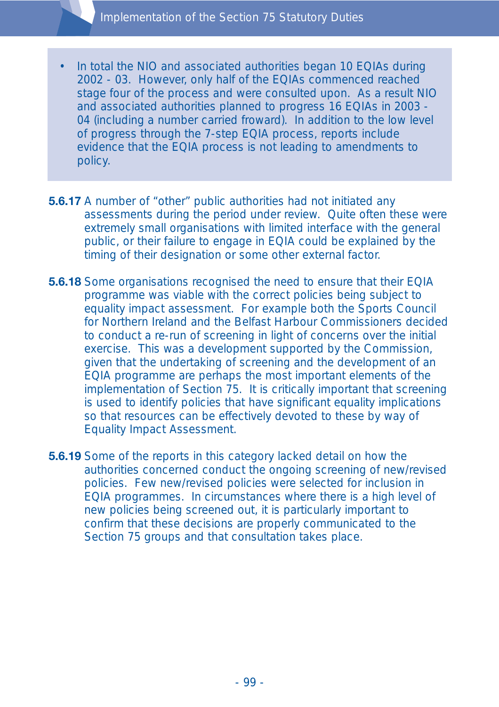- In total the NIO and associated authorities began 10 EQIAs during 2002 - 03. However, only half of the EQIAs commenced reached stage four of the process and were consulted upon. As a result NIO and associated authorities planned to progress 16 EQIAs in 2003 - 04 (including a number carried froward). In addition to the low level of progress through the 7-step EQIA process, reports include evidence that the EQIA process is not leading to amendments to policy.
- **5.6.17** A number of "other" public authorities had not initiated any assessments during the period under review. Quite often these were extremely small organisations with limited interface with the general public, or their failure to engage in EQIA could be explained by the timing of their designation or some other external factor.
- **5.6.18** Some organisations recognised the need to ensure that their EQIA programme was viable with the correct policies being subject to equality impact assessment. For example both the Sports Council for Northern Ireland and the Belfast Harbour Commissioners decided to conduct a re-run of screening in light of concerns over the initial exercise. This was a development supported by the Commission, given that the undertaking of screening and the development of an EQIA programme are perhaps the most important elements of the implementation of Section 75. It is critically important that screening is used to identify policies that have significant equality implications so that resources can be effectively devoted to these by way of Equality Impact Assessment.
- **5.6.19** Some of the reports in this category lacked detail on how the authorities concerned conduct the ongoing screening of new/revised policies. Few new/revised policies were selected for inclusion in EQIA programmes. In circumstances where there is a high level of new policies being screened out, it is particularly important to confirm that these decisions are properly communicated to the Section 75 groups and that consultation takes place.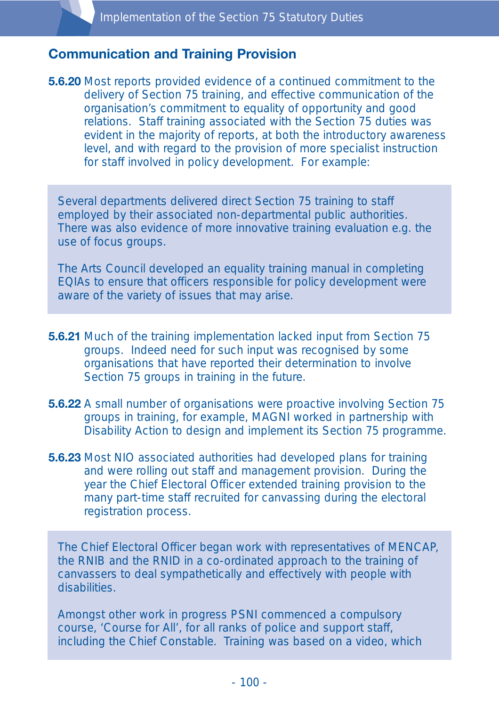### **Communication and Training Provision**

**5.6.20** Most reports provided evidence of a continued commitment to the delivery of Section 75 training, and effective communication of the organisation's commitment to equality of opportunity and good relations. Staff training associated with the Section 75 duties was evident in the majority of reports, at both the introductory awareness level, and with regard to the provision of more specialist instruction for staff involved in policy development. For example:

Several departments delivered direct Section 75 training to staff employed by their associated non-departmental public authorities. There was also evidence of more innovative training evaluation e.g. the use of focus groups.

The Arts Council developed an equality training manual in completing EQIAs to ensure that officers responsible for policy development were aware of the variety of issues that may arise.

- **5.6.21** Much of the training implementation lacked input from Section 75 groups. Indeed need for such input was recognised by some organisations that have reported their determination to involve Section 75 groups in training in the future.
- **5.6.22** A small number of organisations were proactive involving Section 75 groups in training, for example, MAGNI worked in partnership with Disability Action to design and implement its Section 75 programme.
- **5.6.23** Most NIO associated authorities had developed plans for training and were rolling out staff and management provision. During the year the Chief Electoral Officer extended training provision to the many part-time staff recruited for canvassing during the electoral registration process.

The Chief Electoral Officer began work with representatives of MENCAP, the RNIB and the RNID in a co-ordinated approach to the training of canvassers to deal sympathetically and effectively with people with disabilities.

Amongst other work in progress PSNI commenced a compulsory course, 'Course for All', for all ranks of police and support staff, including the Chief Constable. Training was based on a video, which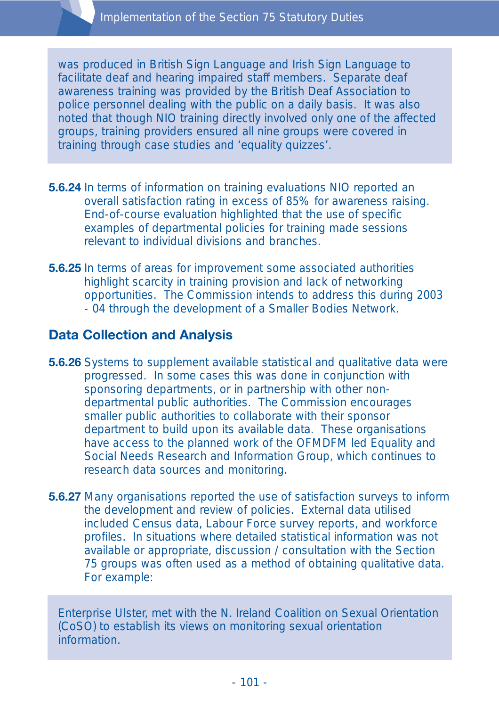was produced in British Sign Language and Irish Sign Language to facilitate deaf and hearing impaired staff members. Separate deaf awareness training was provided by the British Deaf Association to police personnel dealing with the public on a daily basis. It was also noted that though NIO training directly involved only one of the affected groups, training providers ensured all nine groups were covered in training through case studies and 'equality quizzes'.

- **5.6.24** In terms of information on training evaluations NIO reported an overall satisfaction rating in excess of 85% for awareness raising. End-of-course evaluation highlighted that the use of specific examples of departmental policies for training made sessions relevant to individual divisions and branches.
- **5.6.25** In terms of areas for improvement some associated authorities highlight scarcity in training provision and lack of networking opportunities. The Commission intends to address this during 2003 - 04 through the development of a Smaller Bodies Network.

# **Data Collection and Analysis**

- **5.6.26** Systems to supplement available statistical and qualitative data were progressed. In some cases this was done in conjunction with sponsoring departments, or in partnership with other nondepartmental public authorities. The Commission encourages smaller public authorities to collaborate with their sponsor department to build upon its available data. These organisations have access to the planned work of the OFMDFM led Equality and Social Needs Research and Information Group, which continues to research data sources and monitoring.
- **5.6.27** Many organisations reported the use of satisfaction surveys to inform the development and review of policies. External data utilised included Census data, Labour Force survey reports, and workforce profiles. In situations where detailed statistical information was not available or appropriate, discussion / consultation with the Section 75 groups was often used as a method of obtaining qualitative data. For example:

Enterprise Ulster, met with the N. Ireland Coalition on Sexual Orientation (CoSO) to establish its views on monitoring sexual orientation information.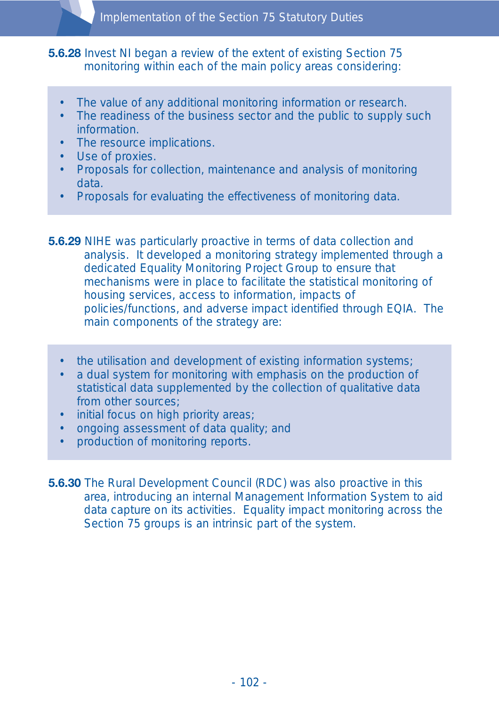**5.6.28** Invest NI began a review of the extent of existing Section 75 monitoring within each of the main policy areas considering:

- The value of any additional monitoring information or research.
- The readiness of the business sector and the public to supply such information.
- The resource implications.
- Use of proxies.
- Proposals for collection, maintenance and analysis of monitoring data.
- Proposals for evaluating the effectiveness of monitoring data.
- **5.6.29** NIHE was particularly proactive in terms of data collection and analysis. It developed a monitoring strategy implemented through a dedicated Equality Monitoring Project Group to ensure that mechanisms were in place to facilitate the statistical monitoring of housing services, access to information, impacts of policies/functions, and adverse impact identified through EQIA. The main components of the strategy are:
	- the utilisation and development of existing information systems;
	- a dual system for monitoring with emphasis on the production of statistical data supplemented by the collection of qualitative data from other sources;
	- initial focus on high priority areas;
	- ongoing assessment of data quality; and
	- production of monitoring reports.
- **5.6.30** The Rural Development Council (RDC) was also proactive in this area, introducing an internal Management Information System to aid data capture on its activities. Equality impact monitoring across the Section 75 groups is an intrinsic part of the system.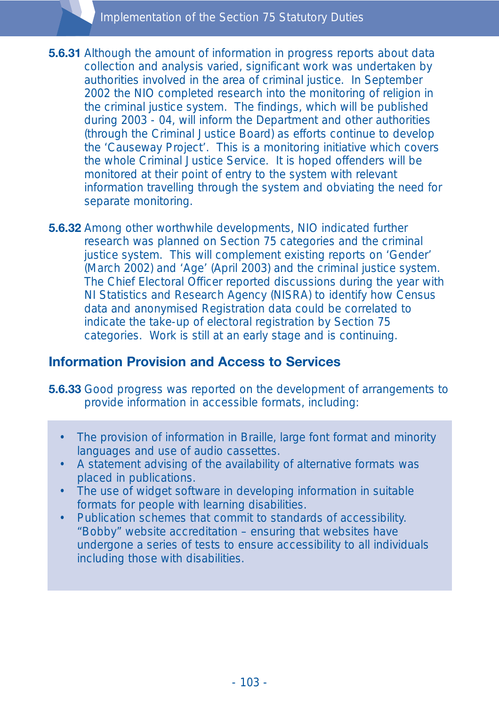- **5.6.31** Although the amount of information in progress reports about data collection and analysis varied, significant work was undertaken by authorities involved in the area of criminal justice. In September 2002 the NIO completed research into the monitoring of religion in the criminal justice system. The findings, which will be published during 2003 - 04, will inform the Department and other authorities (through the Criminal Justice Board) as efforts continue to develop the 'Causeway Project'. This is a monitoring initiative which covers the whole Criminal Justice Service. It is hoped offenders will be monitored at their point of entry to the system with relevant information travelling through the system and obviating the need for separate monitoring.
- **5.6.32** Among other worthwhile developments, NIO indicated further research was planned on Section 75 categories and the criminal justice system. This will complement existing reports on 'Gender' (March 2002) and 'Age' (April 2003) and the criminal justice system. The Chief Electoral Officer reported discussions during the year with NI Statistics and Research Agency (NISRA) to identify how Census data and anonymised Registration data could be correlated to indicate the take-up of electoral registration by Section 75 categories. Work is still at an early stage and is continuing.

# **Information Provision and Access to Services**

**5.6.33** Good progress was reported on the development of arrangements to provide information in accessible formats, including:

- The provision of information in Braille, large font format and minority languages and use of audio cassettes.
- A statement advising of the availability of alternative formats was placed in publications.
- The use of widget software in developing information in suitable formats for people with learning disabilities.
- Publication schemes that commit to standards of accessibility. "Bobby" website accreditation – ensuring that websites have undergone a series of tests to ensure accessibility to all individuals including those with disabilities.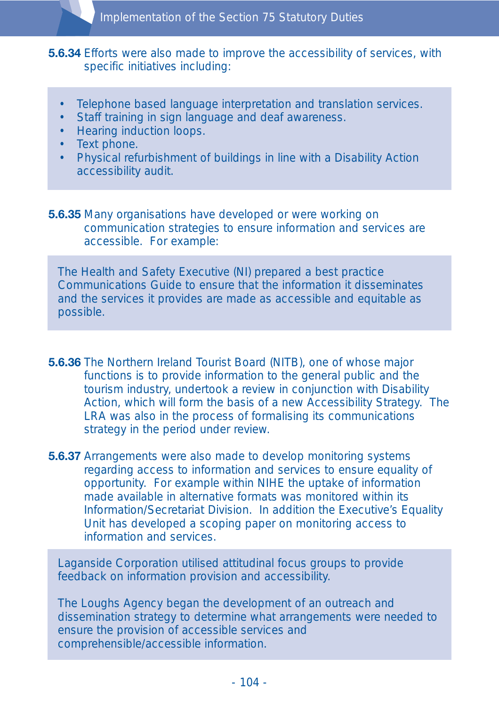**5.6.34** Efforts were also made to improve the accessibility of services, with specific initiatives including:

- Telephone based language interpretation and translation services.
- Staff training in sign language and deaf awareness.
- Hearing induction loops.
- Text phone.
- Physical refurbishment of buildings in line with a Disability Action accessibility audit.

**5.6.35** Many organisations have developed or were working on communication strategies to ensure information and services are accessible. For example:

The Health and Safety Executive (NI) prepared a best practice Communications Guide to ensure that the information it disseminates and the services it provides are made as accessible and equitable as possible.

- **5.6.36** The Northern Ireland Tourist Board (NITB), one of whose major functions is to provide information to the general public and the tourism industry, undertook a review in conjunction with Disability Action, which will form the basis of a new Accessibility Strategy. The LRA was also in the process of formalising its communications strategy in the period under review.
- **5.6.37** Arrangements were also made to develop monitoring systems regarding access to information and services to ensure equality of opportunity. For example within NIHE the uptake of information made available in alternative formats was monitored within its Information/Secretariat Division. In addition the Executive's Equality Unit has developed a scoping paper on monitoring access to information and services.

Laganside Corporation utilised attitudinal focus groups to provide feedback on information provision and accessibility.

The Loughs Agency began the development of an outreach and dissemination strategy to determine what arrangements were needed to ensure the provision of accessible services and comprehensible/accessible information.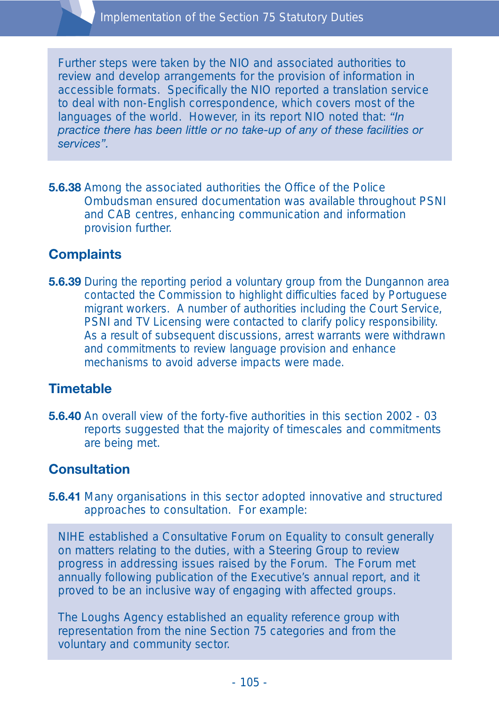Further steps were taken by the NIO and associated authorities to review and develop arrangements for the provision of information in accessible formats. Specifically the NIO reported a translation service to deal with non-English correspondence, which covers most of the languages of the world. However, in its report NIO noted that: *"In practice there has been little or no take-up of any of these facilities or services".*

**5.6.38** Among the associated authorities the Office of the Police Ombudsman ensured documentation was available throughout PSNI and CAB centres, enhancing communication and information provision further.

# **Complaints**

**5.6.39** During the reporting period a voluntary group from the Dungannon area contacted the Commission to highlight difficulties faced by Portuguese migrant workers. A number of authorities including the Court Service, PSNI and TV Licensing were contacted to clarify policy responsibility. As a result of subsequent discussions, arrest warrants were withdrawn and commitments to review language provision and enhance mechanisms to avoid adverse impacts were made.

### **Timetable**

**5.6.40** An overall view of the forty-five authorities in this section 2002 - 03 reports suggested that the majority of timescales and commitments are being met.

# **Consultation**

**5.6.41** Many organisations in this sector adopted innovative and structured approaches to consultation. For example:

NIHE established a Consultative Forum on Equality to consult generally on matters relating to the duties, with a Steering Group to review progress in addressing issues raised by the Forum. The Forum met annually following publication of the Executive's annual report, and it proved to be an inclusive way of engaging with affected groups.

The Loughs Agency established an equality reference group with representation from the nine Section 75 categories and from the voluntary and community sector.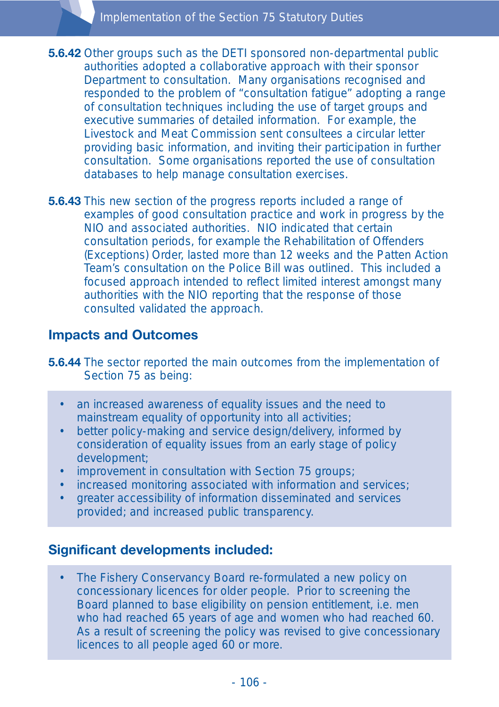- **5.6.42** Other groups such as the DETI sponsored non-departmental public authorities adopted a collaborative approach with their sponsor Department to consultation. Many organisations recognised and responded to the problem of "consultation fatigue" adopting a range of consultation techniques including the use of target groups and executive summaries of detailed information. For example, the Livestock and Meat Commission sent consultees a circular letter providing basic information, and inviting their participation in further consultation. Some organisations reported the use of consultation databases to help manage consultation exercises.
- **5.6.43** This new section of the progress reports included a range of examples of good consultation practice and work in progress by the NIO and associated authorities. NIO indicated that certain consultation periods, for example the Rehabilitation of Offenders (Exceptions) Order, lasted more than 12 weeks and the Patten Action Team's consultation on the Police Bill was outlined. This included a focused approach intended to reflect limited interest amongst many authorities with the NIO reporting that the response of those consulted validated the approach.

# **Impacts and Outcomes**

- **5.6.44** The sector reported the main outcomes from the implementation of Section 75 as being:
	- an increased awareness of equality issues and the need to mainstream equality of opportunity into all activities;
	- better policy-making and service design/delivery, informed by consideration of equality issues from an early stage of policy development;
	- improvement in consultation with Section 75 groups;
	- increased monitoring associated with information and services;
	- greater accessibility of information disseminated and services provided; and increased public transparency.

# **Significant developments included:**

• The Fishery Conservancy Board re-formulated a new policy on concessionary licences for older people. Prior to screening the Board planned to base eligibility on pension entitlement, i.e. men who had reached 65 years of age and women who had reached 60. As a result of screening the policy was revised to give concessionary licences to all people aged 60 or more.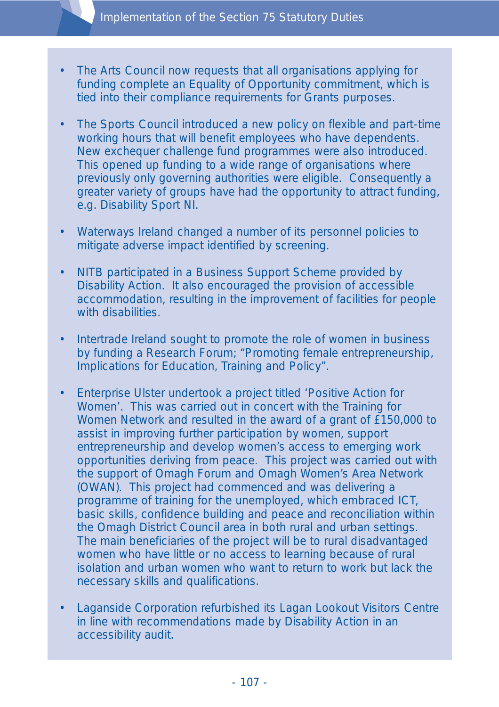- The Arts Council now requests that all organisations applying for funding complete an Equality of Opportunity commitment, which is tied into their compliance requirements for Grants purposes.
- The Sports Council introduced a new policy on flexible and part-time working hours that will benefit employees who have dependents. New exchequer challenge fund programmes were also introduced. This opened up funding to a wide range of organisations where previously only governing authorities were eligible. Consequently a greater variety of groups have had the opportunity to attract funding, e.g. Disability Sport NI.
- Waterways Ireland changed a number of its personnel policies to mitigate adverse impact identified by screening.
- NITB participated in a Business Support Scheme provided by Disability Action. It also encouraged the provision of accessible accommodation, resulting in the improvement of facilities for people with disabilities.
- Intertrade Ireland sought to promote the role of women in business by funding a Research Forum; "Promoting female entrepreneurship, Implications for Education, Training and Policy".
- Enterprise Ulster undertook a project titled 'Positive Action for Women'. This was carried out in concert with the Training for Women Network and resulted in the award of a grant of £150,000 to assist in improving further participation by women, support entrepreneurship and develop women's access to emerging work opportunities deriving from peace. This project was carried out with the support of Omagh Forum and Omagh Women's Area Network (OWAN). This project had commenced and was delivering a programme of training for the unemployed, which embraced ICT, basic skills, confidence building and peace and reconciliation within the Omagh District Council area in both rural and urban settings. The main beneficiaries of the project will be to rural disadvantaged women who have little or no access to learning because of rural isolation and urban women who want to return to work but lack the necessary skills and qualifications.
- Laganside Corporation refurbished its Lagan Lookout Visitors Centre in line with recommendations made by Disability Action in an accessibility audit.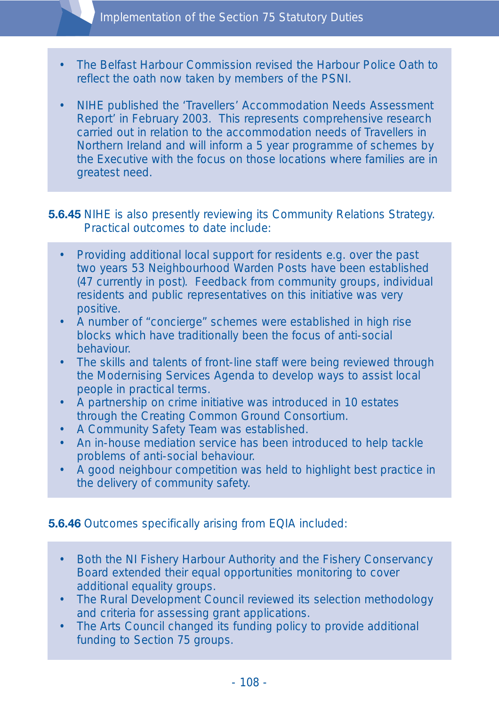- The Belfast Harbour Commission revised the Harbour Police Oath to reflect the oath now taken by members of the PSNI.
- NIHE published the 'Travellers' Accommodation Needs Assessment Report' in February 2003. This represents comprehensive research carried out in relation to the accommodation needs of Travellers in Northern Ireland and will inform a 5 year programme of schemes by the Executive with the focus on those locations where families are in greatest need.

#### **5.6.45** NIHE is also presently reviewing its Community Relations Strategy. Practical outcomes to date include:

- Providing additional local support for residents e.g. over the past two years 53 Neighbourhood Warden Posts have been established (47 currently in post). Feedback from community groups, individual residents and public representatives on this initiative was very positive.
- A number of "concierge" schemes were established in high rise blocks which have traditionally been the focus of anti-social behaviour.
- The skills and talents of front-line staff were being reviewed through the Modernising Services Agenda to develop ways to assist local people in practical terms.
- A partnership on crime initiative was introduced in 10 estates through the Creating Common Ground Consortium.
- A Community Safety Team was established.
- An in-house mediation service has been introduced to help tackle problems of anti-social behaviour.
- A good neighbour competition was held to highlight best practice in the delivery of community safety.

### **5.6.46** Outcomes specifically arising from EQIA included:

- Both the NI Fishery Harbour Authority and the Fishery Conservancy Board extended their equal opportunities monitoring to cover additional equality groups.
- The Rural Development Council reviewed its selection methodology and criteria for assessing grant applications.
- The Arts Council changed its funding policy to provide additional funding to Section 75 groups.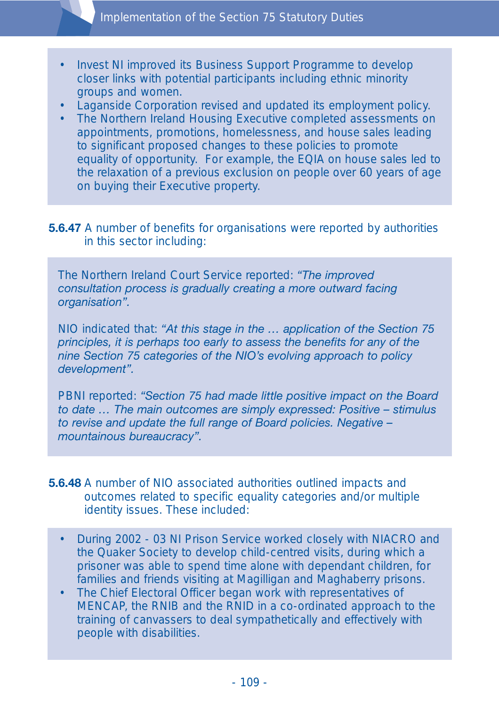- Invest NI improved its Business Support Programme to develop closer links with potential participants including ethnic minority groups and women.
- Laganside Corporation revised and updated its employment policy.
- The Northern Ireland Housing Executive completed assessments on appointments, promotions, homelessness, and house sales leading to significant proposed changes to these policies to promote equality of opportunity. For example, the EQIA on house sales led to the relaxation of a previous exclusion on people over 60 years of age on buying their Executive property.

#### **5.6.47** A number of benefits for organisations were reported by authorities in this sector including:

The Northern Ireland Court Service reported: *"The improved consultation process is gradually creating a more outward facing organisation".*

NIO indicated that: *"At this stage in the … application of the Section 75 principles, it is perhaps too early to assess the benefits for any of the nine Section 75 categories of the NIO's evolving approach to policy development".*

PBNI reported: *"Section 75 had made little positive impact on the Board to date … The main outcomes are simply expressed: Positive – stimulus to revise and update the full range of Board policies. Negative – mountainous bureaucracy".*

#### **5.6.48** A number of NIO associated authorities outlined impacts and outcomes related to specific equality categories and/or multiple identity issues. These included:

- During 2002 03 NI Prison Service worked closely with NIACRO and the Quaker Society to develop child-centred visits, during which a prisoner was able to spend time alone with dependant children, for families and friends visiting at Magilligan and Maghaberry prisons.
- The Chief Electoral Officer began work with representatives of MENCAP, the RNIB and the RNID in a co-ordinated approach to the training of canvassers to deal sympathetically and effectively with people with disabilities.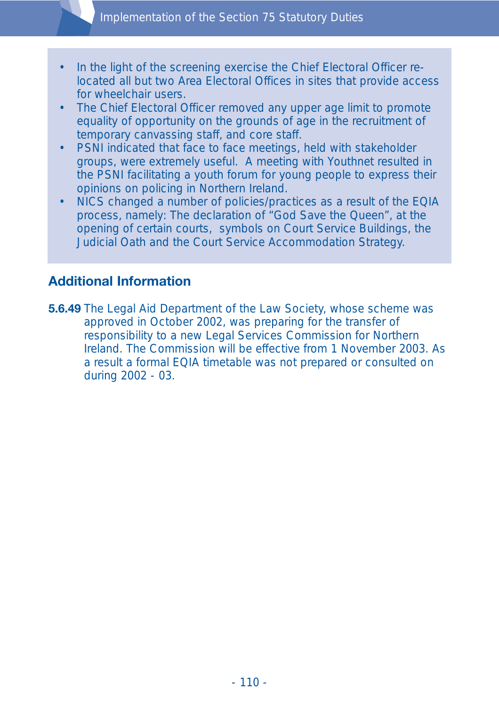- In the light of the screening exercise the Chief Electoral Officer relocated all but two Area Electoral Offices in sites that provide access for wheelchair users.
- The Chief Electoral Officer removed any upper age limit to promote equality of opportunity on the grounds of age in the recruitment of temporary canvassing staff, and core staff.
- PSNI indicated that face to face meetings, held with stakeholder groups, were extremely useful. A meeting with Youthnet resulted in the PSNI facilitating a youth forum for young people to express their opinions on policing in Northern Ireland.
- NICS changed a number of policies/practices as a result of the EQIA process, namely: The declaration of "God Save the Queen", at the opening of certain courts, symbols on Court Service Buildings, the Judicial Oath and the Court Service Accommodation Strategy.

# **Additional Information**

**5.6.49** The Legal Aid Department of the Law Society, whose scheme was approved in October 2002, was preparing for the transfer of responsibility to a new Legal Services Commission for Northern Ireland. The Commission will be effective from 1 November 2003. As a result a formal EQIA timetable was not prepared or consulted on during 2002 - 03.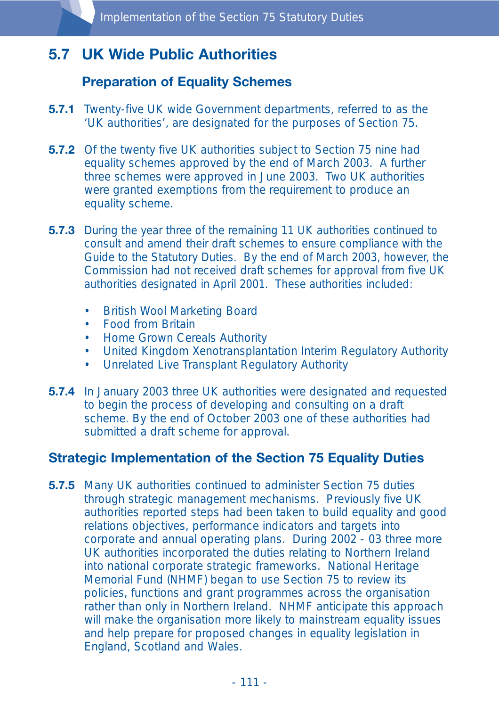# **5.7 UK Wide Public Authorities**

# **Preparation of Equality Schemes**

- **5.7.1** Twenty-five UK wide Government departments, referred to as the 'UK authorities', are designated for the purposes of Section 75.
- **5.7.2** Of the twenty five UK authorities subject to Section 75 nine had equality schemes approved by the end of March 2003. A further three schemes were approved in June 2003. Two UK authorities were granted exemptions from the requirement to produce an equality scheme.
- **5.7.3** During the year three of the remaining 11 UK authorities continued to consult and amend their draft schemes to ensure compliance with the Guide to the Statutory Duties. By the end of March 2003, however, the Commission had not received draft schemes for approval from five UK authorities designated in April 2001. These authorities included:
	- British Wool Marketing Board
	- Food from Britain
	- Home Grown Cereals Authority
	- United Kingdom Xenotransplantation Interim Regulatory Authority
	- Unrelated Live Transplant Regulatory Authority
- **5.7.4** In January 2003 three UK authorities were designated and requested to begin the process of developing and consulting on a draft scheme. By the end of October 2003 one of these authorities had submitted a draft scheme for approval.

## **Strategic Implementation of the Section 75 Equality Duties**

**5.7.5** Many UK authorities continued to administer Section 75 duties through strategic management mechanisms. Previously five UK authorities reported steps had been taken to build equality and good relations objectives, performance indicators and targets into corporate and annual operating plans. During 2002 - 03 three more UK authorities incorporated the duties relating to Northern Ireland into national corporate strategic frameworks. National Heritage Memorial Fund (NHMF) began to use Section 75 to review its policies, functions and grant programmes across the organisation rather than only in Northern Ireland. NHMF anticipate this approach will make the organisation more likely to mainstream equality issues and help prepare for proposed changes in equality legislation in England, Scotland and Wales.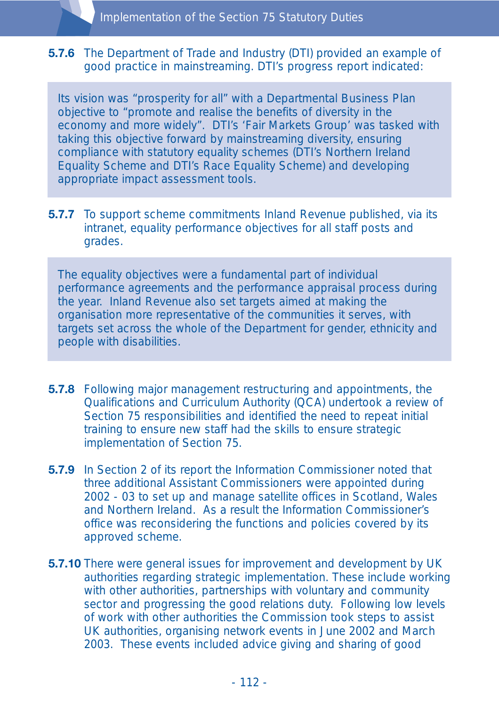#### **5.7.6** The Department of Trade and Industry (DTI) provided an example of good practice in mainstreaming. DTI's progress report indicated:

Its vision was "prosperity for all" with a Departmental Business Plan objective to "promote and realise the benefits of diversity in the economy and more widely". DTI's 'Fair Markets Group' was tasked with taking this objective forward by mainstreaming diversity, ensuring compliance with statutory equality schemes (DTI's Northern Ireland Equality Scheme and DTI's Race Equality Scheme) and developing appropriate impact assessment tools.

**5.7.7** To support scheme commitments Inland Revenue published, via its intranet, equality performance objectives for all staff posts and grades.

The equality objectives were a fundamental part of individual performance agreements and the performance appraisal process during the year. Inland Revenue also set targets aimed at making the organisation more representative of the communities it serves, with targets set across the whole of the Department for gender, ethnicity and people with disabilities.

- **5.7.8** Following major management restructuring and appointments, the Qualifications and Curriculum Authority (QCA) undertook a review of Section 75 responsibilities and identified the need to repeat initial training to ensure new staff had the skills to ensure strategic implementation of Section 75.
- **5.7.9** In Section 2 of its report the Information Commissioner noted that three additional Assistant Commissioners were appointed during 2002 - 03 to set up and manage satellite offices in Scotland, Wales and Northern Ireland. As a result the Information Commissioner's office was reconsidering the functions and policies covered by its approved scheme.
- **5.7.10** There were general issues for improvement and development by UK authorities regarding strategic implementation. These include working with other authorities, partnerships with voluntary and community sector and progressing the good relations duty. Following low levels of work with other authorities the Commission took steps to assist UK authorities, organising network events in June 2002 and March 2003. These events included advice giving and sharing of good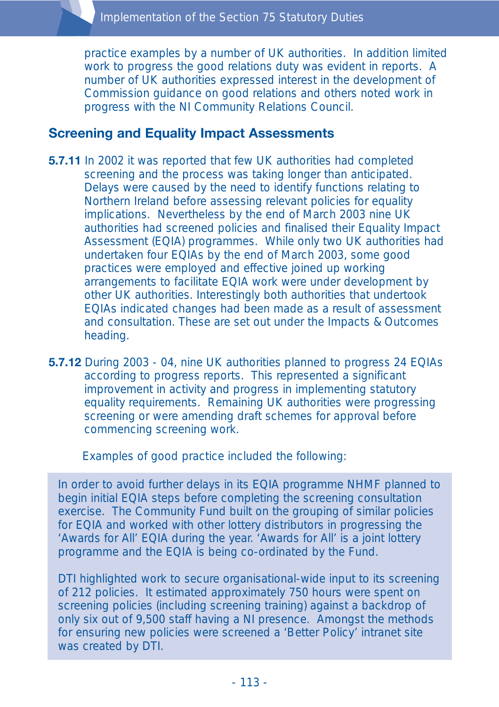practice examples by a number of UK authorities. In addition limited work to progress the good relations duty was evident in reports. A number of UK authorities expressed interest in the development of Commission guidance on good relations and others noted work in progress with the NI Community Relations Council.

#### **Screening and Equality Impact Assessments**

- **5.7.11** In 2002 it was reported that few UK authorities had completed screening and the process was taking longer than anticipated. Delays were caused by the need to identify functions relating to Northern Ireland before assessing relevant policies for equality implications. Nevertheless by the end of March 2003 nine UK authorities had screened policies and finalised their Equality Impact Assessment (EQIA) programmes. While only two UK authorities had undertaken four EQIAs by the end of March 2003, some good practices were employed and effective joined up working arrangements to facilitate EQIA work were under development by other UK authorities. Interestingly both authorities that undertook EQIAs indicated changes had been made as a result of assessment and consultation. These are set out under the Impacts & Outcomes heading.
- **5.7.12** During 2003 04, nine UK authorities planned to progress 24 EQIAs according to progress reports. This represented a significant improvement in activity and progress in implementing statutory equality requirements. Remaining UK authorities were progressing screening or were amending draft schemes for approval before commencing screening work.

Examples of good practice included the following:

In order to avoid further delays in its EQIA programme NHMF planned to begin initial EQIA steps before completing the screening consultation exercise. The Community Fund built on the grouping of similar policies for EQIA and worked with other lottery distributors in progressing the 'Awards for All' EQIA during the year. 'Awards for All' is a joint lottery programme and the EQIA is being co-ordinated by the Fund.

DTI highlighted work to secure organisational-wide input to its screening of 212 policies. It estimated approximately 750 hours were spent on screening policies (including screening training) against a backdrop of only six out of 9,500 staff having a NI presence. Amongst the methods for ensuring new policies were screened a 'Better Policy' intranet site was created by DTI.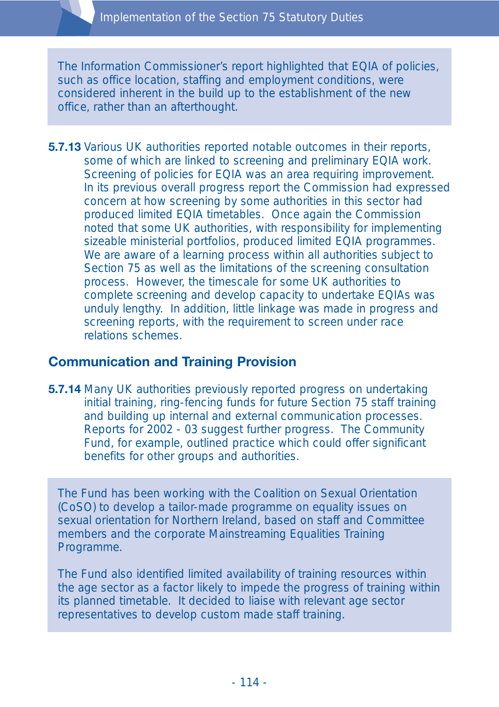The Information Commissioner's report highlighted that EQIA of policies, such as office location, staffing and employment conditions, were considered inherent in the build up to the establishment of the new office, rather than an afterthought.

**5.7.13** Various UK authorities reported notable outcomes in their reports, some of which are linked to screening and preliminary EQIA work. Screening of policies for EQIA was an area requiring improvement. In its previous overall progress report the Commission had expressed concern at how screening by some authorities in this sector had produced limited EQIA timetables. Once again the Commission noted that some UK authorities, with responsibility for implementing sizeable ministerial portfolios, produced limited EQIA programmes. We are aware of a learning process within all authorities subject to Section 75 as well as the limitations of the screening consultation process. However, the timescale for some UK authorities to complete screening and develop capacity to undertake EQIAs was unduly lengthy. In addition, little linkage was made in progress and screening reports, with the requirement to screen under race relations schemes.

## **Communication and Training Provision**

**5.7.14** Many UK authorities previously reported progress on undertaking initial training, ring-fencing funds for future Section 75 staff training and building up internal and external communication processes. Reports for 2002 - 03 suggest further progress. The Community Fund, for example, outlined practice which could offer significant benefits for other groups and authorities.

The Fund has been working with the Coalition on Sexual Orientation (CoSO) to develop a tailor-made programme on equality issues on sexual orientation for Northern Ireland, based on staff and Committee members and the corporate Mainstreaming Equalities Training Programme.

The Fund also identified limited availability of training resources within the age sector as a factor likely to impede the progress of training within its planned timetable. It decided to liaise with relevant age sector representatives to develop custom made staff training.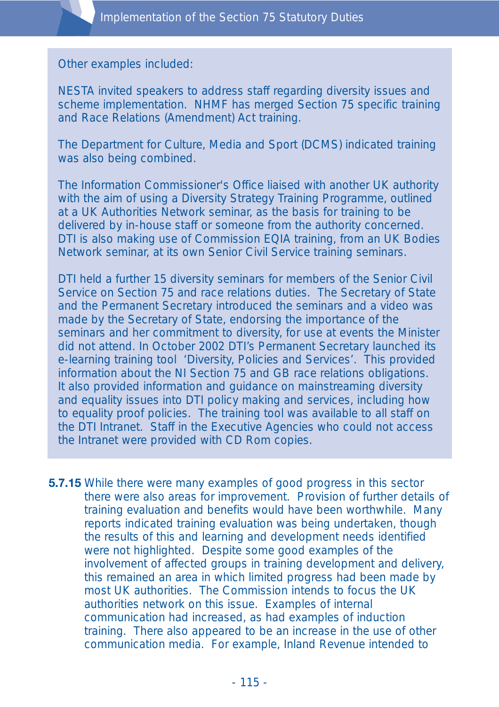Other examples included:

NESTA invited speakers to address staff regarding diversity issues and scheme implementation. NHMF has merged Section 75 specific training and Race Relations (Amendment) Act training.

The Department for Culture, Media and Sport (DCMS) indicated training was also being combined.

The Information Commissioner's Office liaised with another UK authority with the aim of using a Diversity Strategy Training Programme, outlined at a UK Authorities Network seminar, as the basis for training to be delivered by in-house staff or someone from the authority concerned. DTI is also making use of Commission EQIA training, from an UK Bodies Network seminar, at its own Senior Civil Service training seminars.

DTI held a further 15 diversity seminars for members of the Senior Civil Service on Section 75 and race relations duties. The Secretary of State and the Permanent Secretary introduced the seminars and a video was made by the Secretary of State, endorsing the importance of the seminars and her commitment to diversity, for use at events the Minister did not attend. In October 2002 DTI's Permanent Secretary launched its e-learning training tool 'Diversity, Policies and Services'. This provided information about the NI Section 75 and GB race relations obligations. It also provided information and guidance on mainstreaming diversity and equality issues into DTI policy making and services, including how to equality proof policies. The training tool was available to all staff on the DTI Intranet. Staff in the Executive Agencies who could not access the Intranet were provided with CD Rom copies.

**5.7.15** While there were many examples of good progress in this sector there were also areas for improvement. Provision of further details of training evaluation and benefits would have been worthwhile. Many reports indicated training evaluation was being undertaken, though the results of this and learning and development needs identified were not highlighted. Despite some good examples of the involvement of affected groups in training development and delivery, this remained an area in which limited progress had been made by most UK authorities. The Commission intends to focus the UK authorities network on this issue. Examples of internal communication had increased, as had examples of induction training. There also appeared to be an increase in the use of other communication media. For example, Inland Revenue intended to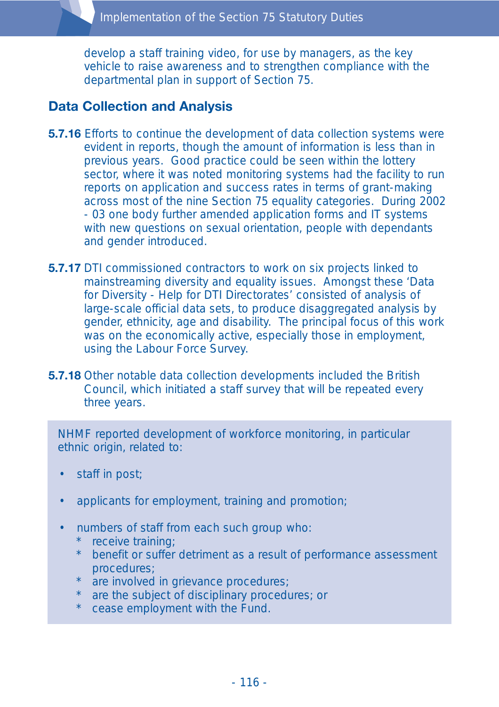develop a staff training video, for use by managers, as the key vehicle to raise awareness and to strengthen compliance with the departmental plan in support of Section 75.

# **Data Collection and Analysis**

- **5.7.16** Efforts to continue the development of data collection systems were evident in reports, though the amount of information is less than in previous years. Good practice could be seen within the lottery sector, where it was noted monitoring systems had the facility to run reports on application and success rates in terms of grant-making across most of the nine Section 75 equality categories. During 2002 - 03 one body further amended application forms and IT systems with new questions on sexual orientation, people with dependants and gender introduced.
- **5.7.17** DTI commissioned contractors to work on six projects linked to mainstreaming diversity and equality issues. Amongst these 'Data for Diversity - Help for DTI Directorates' consisted of analysis of large-scale official data sets, to produce disaggregated analysis by gender, ethnicity, age and disability. The principal focus of this work was on the economically active, especially those in employment, using the Labour Force Survey.
- **5.7.18** Other notable data collection developments included the British Council, which initiated a staff survey that will be repeated every three years.

NHMF reported development of workforce monitoring, in particular ethnic origin, related to:

- staff in post;
- applicants for employment, training and promotion;
- numbers of staff from each such group who:
	- receive training;
	- benefit or suffer detriment as a result of performance assessment procedures;
	- are involved in grievance procedures;
	- are the subject of disciplinary procedures; or
	- cease employment with the Fund.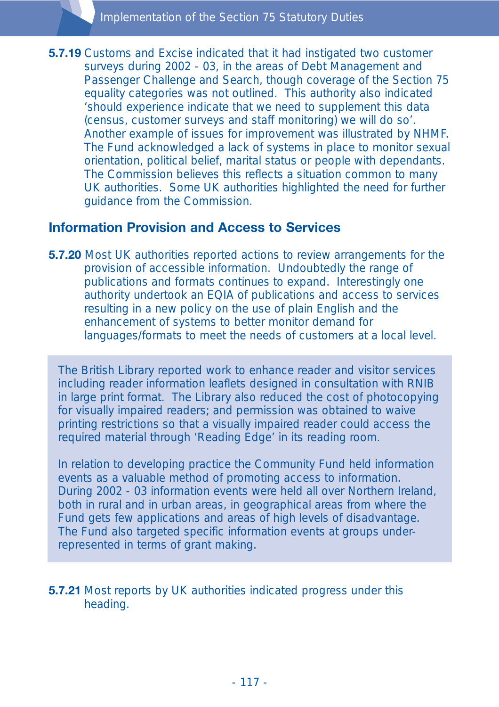**5.7.19** Customs and Excise indicated that it had instigated two customer surveys during 2002 - 03, in the areas of Debt Management and Passenger Challenge and Search, though coverage of the Section 75 equality categories was not outlined. This authority also indicated 'should experience indicate that we need to supplement this data (census, customer surveys and staff monitoring) we will do so'. Another example of issues for improvement was illustrated by NHMF. The Fund acknowledged a lack of systems in place to monitor sexual orientation, political belief, marital status or people with dependants. The Commission believes this reflects a situation common to many UK authorities. Some UK authorities highlighted the need for further guidance from the Commission.

#### **Information Provision and Access to Services**

**5.7.20** Most UK authorities reported actions to review arrangements for the provision of accessible information. Undoubtedly the range of publications and formats continues to expand. Interestingly one authority undertook an EQIA of publications and access to services resulting in a new policy on the use of plain English and the enhancement of systems to better monitor demand for languages/formats to meet the needs of customers at a local level.

The British Library reported work to enhance reader and visitor services including reader information leaflets designed in consultation with RNIB in large print format. The Library also reduced the cost of photocopying for visually impaired readers; and permission was obtained to waive printing restrictions so that a visually impaired reader could access the required material through 'Reading Edge' in its reading room.

In relation to developing practice the Community Fund held information events as a valuable method of promoting access to information. During 2002 - 03 information events were held all over Northern Ireland, both in rural and in urban areas, in geographical areas from where the Fund gets few applications and areas of high levels of disadvantage. The Fund also targeted specific information events at groups underrepresented in terms of grant making.

**5.7.21** Most reports by UK authorities indicated progress under this heading.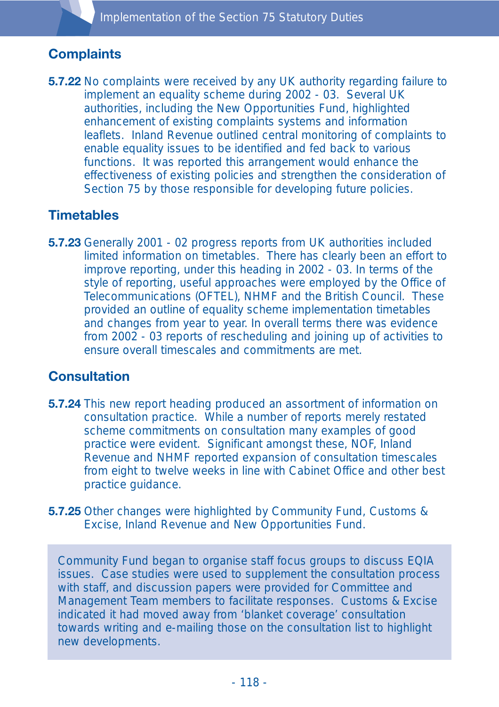# **Complaints**

**5.7.22** No complaints were received by any UK authority regarding failure to implement an equality scheme during 2002 - 03. Several UK authorities, including the New Opportunities Fund, highlighted enhancement of existing complaints systems and information leaflets. Inland Revenue outlined central monitoring of complaints to enable equality issues to be identified and fed back to various functions. It was reported this arrangement would enhance the effectiveness of existing policies and strengthen the consideration of Section 75 by those responsible for developing future policies.

# **Timetables**

**5.7.23** Generally 2001 - 02 progress reports from UK authorities included limited information on timetables. There has clearly been an effort to improve reporting, under this heading in 2002 - 03. In terms of the style of reporting, useful approaches were employed by the Office of Telecommunications (OFTEL), NHMF and the British Council. These provided an outline of equality scheme implementation timetables and changes from year to year. In overall terms there was evidence from 2002 - 03 reports of rescheduling and joining up of activities to ensure overall timescales and commitments are met.

## **Consultation**

- **5.7.24** This new report heading produced an assortment of information on consultation practice. While a number of reports merely restated scheme commitments on consultation many examples of good practice were evident. Significant amongst these, NOF, Inland Revenue and NHMF reported expansion of consultation timescales from eight to twelve weeks in line with Cabinet Office and other best practice guidance.
- **5.7.25** Other changes were highlighted by Community Fund, Customs & Excise, Inland Revenue and New Opportunities Fund.

Community Fund began to organise staff focus groups to discuss EQIA issues. Case studies were used to supplement the consultation process with staff, and discussion papers were provided for Committee and Management Team members to facilitate responses. Customs & Excise indicated it had moved away from 'blanket coverage' consultation towards writing and e-mailing those on the consultation list to highlight new developments.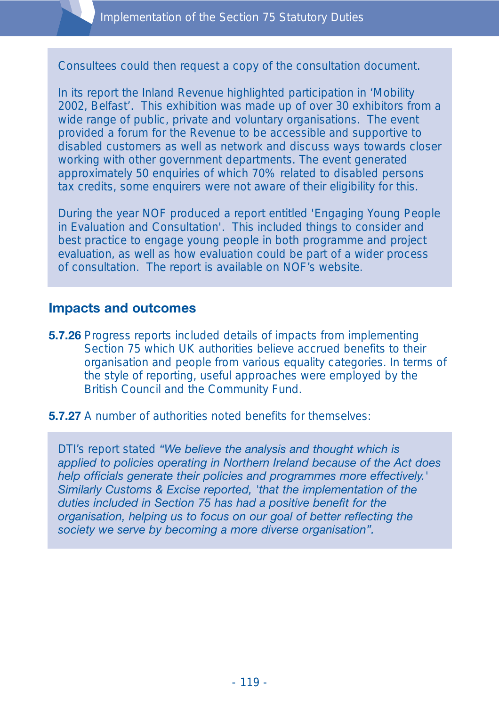Consultees could then request a copy of the consultation document.

In its report the Inland Revenue highlighted participation in 'Mobility 2002, Belfast'. This exhibition was made up of over 30 exhibitors from a wide range of public, private and voluntary organisations. The event provided a forum for the Revenue to be accessible and supportive to disabled customers as well as network and discuss ways towards closer working with other government departments. The event generated approximately 50 enquiries of which 70% related to disabled persons tax credits, some enquirers were not aware of their eligibility for this.

During the year NOF produced a report entitled 'Engaging Young People in Evaluation and Consultation'. This included things to consider and best practice to engage young people in both programme and project evaluation, as well as how evaluation could be part of a wider process of consultation. The report is available on NOF's website.

#### **Impacts and outcomes**

- **5.7.26** Progress reports included details of impacts from implementing Section 75 which UK authorities believe accrued benefits to their organisation and people from various equality categories. In terms of the style of reporting, useful approaches were employed by the British Council and the Community Fund.
- **5.7.27** A number of authorities noted benefits for themselves:

DTI's report stated *"We believe the analysis and thought which is applied to policies operating in Northern Ireland because of the Act does help officials generate their policies and programmes more effectively.' Similarly Customs & Excise reported, 'that the implementation of the duties included in Section 75 has had a positive benefit for the organisation, helping us to focus on our goal of better reflecting the society we serve by becoming a more diverse organisation".*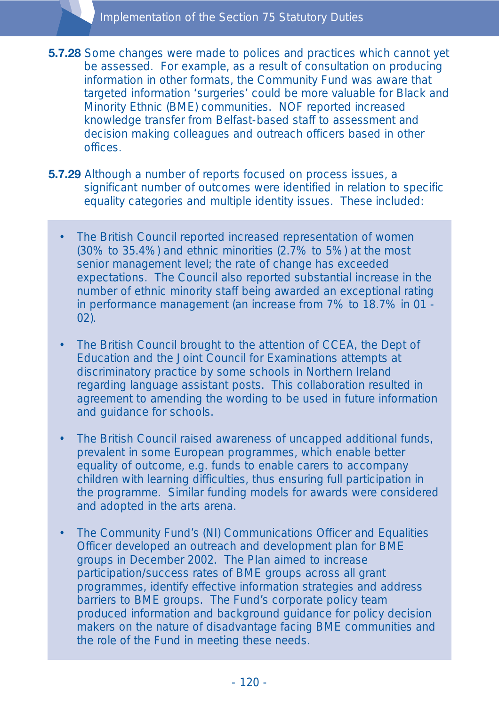- **5.7.28** Some changes were made to polices and practices which cannot yet be assessed. For example, as a result of consultation on producing information in other formats, the Community Fund was aware that targeted information 'surgeries' could be more valuable for Black and Minority Ethnic (BME) communities. NOF reported increased knowledge transfer from Belfast-based staff to assessment and decision making colleagues and outreach officers based in other offices.
- **5.7.29** Although a number of reports focused on process issues, a significant number of outcomes were identified in relation to specific equality categories and multiple identity issues. These included:
	- The British Council reported increased representation of women (30% to 35.4%) and ethnic minorities (2.7% to 5%) at the most senior management level; the rate of change has exceeded expectations. The Council also reported substantial increase in the number of ethnic minority staff being awarded an exceptional rating in performance management (an increase from 7% to 18.7% in 01 - 02).
	- The British Council brought to the attention of CCEA, the Dept of Education and the Joint Council for Examinations attempts at discriminatory practice by some schools in Northern Ireland regarding language assistant posts. This collaboration resulted in agreement to amending the wording to be used in future information and guidance for schools.
	- The British Council raised awareness of uncapped additional funds, prevalent in some European programmes, which enable better equality of outcome, e.g. funds to enable carers to accompany children with learning difficulties, thus ensuring full participation in the programme. Similar funding models for awards were considered and adopted in the arts arena.
	- The Community Fund's (NI) Communications Officer and Equalities Officer developed an outreach and development plan for BME groups in December 2002. The Plan aimed to increase participation/success rates of BME groups across all grant programmes, identify effective information strategies and address barriers to BME groups. The Fund's corporate policy team produced information and background guidance for policy decision makers on the nature of disadvantage facing BME communities and the role of the Fund in meeting these needs.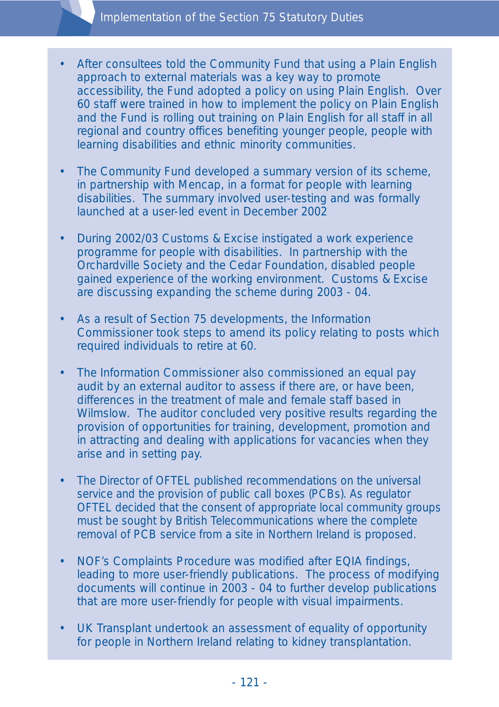- After consultees told the Community Fund that using a Plain English approach to external materials was a key way to promote accessibility, the Fund adopted a policy on using Plain English. Over 60 staff were trained in how to implement the policy on Plain English and the Fund is rolling out training on Plain English for all staff in all regional and country offices benefiting younger people, people with learning disabilities and ethnic minority communities.
- The Community Fund developed a summary version of its scheme, in partnership with Mencap, in a format for people with learning disabilities. The summary involved user-testing and was formally launched at a user-led event in December 2002
- During 2002/03 Customs & Excise instigated a work experience programme for people with disabilities. In partnership with the Orchardville Society and the Cedar Foundation, disabled people gained experience of the working environment. Customs & Excise are discussing expanding the scheme during 2003 - 04.
- As a result of Section 75 developments, the Information Commissioner took steps to amend its policy relating to posts which required individuals to retire at 60.
- The Information Commissioner also commissioned an equal pay audit by an external auditor to assess if there are, or have been, differences in the treatment of male and female staff based in Wilmslow. The auditor concluded very positive results regarding the provision of opportunities for training, development, promotion and in attracting and dealing with applications for vacancies when they arise and in setting pay.
- The Director of OFTEL published recommendations on the universal service and the provision of public call boxes (PCBs). As regulator OFTEL decided that the consent of appropriate local community groups must be sought by British Telecommunications where the complete removal of PCB service from a site in Northern Ireland is proposed.
- NOF's Complaints Procedure was modified after EQIA findings, leading to more user-friendly publications. The process of modifying documents will continue in 2003 - 04 to further develop publications that are more user-friendly for people with visual impairments.
- UK Transplant undertook an assessment of equality of opportunity for people in Northern Ireland relating to kidney transplantation.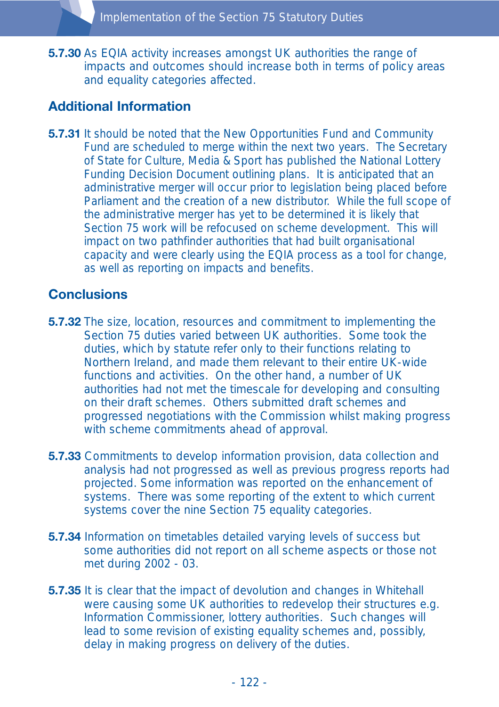**5.7.30** As EQIA activity increases amongst UK authorities the range of impacts and outcomes should increase both in terms of policy areas and equality categories affected.

# **Additional Information**

**5.7.31** It should be noted that the New Opportunities Fund and Community Fund are scheduled to merge within the next two years. The Secretary of State for Culture, Media & Sport has published the National Lottery Funding Decision Document outlining plans. It is anticipated that an administrative merger will occur prior to legislation being placed before Parliament and the creation of a new distributor. While the full scope of the administrative merger has yet to be determined it is likely that Section 75 work will be refocused on scheme development. This will impact on two pathfinder authorities that had built organisational capacity and were clearly using the EQIA process as a tool for change, as well as reporting on impacts and benefits.

## **Conclusions**

- **5.7.32** The size, location, resources and commitment to implementing the Section 75 duties varied between UK authorities. Some took the duties, which by statute refer only to their functions relating to Northern Ireland, and made them relevant to their entire UK-wide functions and activities. On the other hand, a number of UK authorities had not met the timescale for developing and consulting on their draft schemes. Others submitted draft schemes and progressed negotiations with the Commission whilst making progress with scheme commitments ahead of approval.
- **5.7.33** Commitments to develop information provision, data collection and analysis had not progressed as well as previous progress reports had projected. Some information was reported on the enhancement of systems. There was some reporting of the extent to which current systems cover the nine Section 75 equality categories.
- **5.7.34** Information on timetables detailed varying levels of success but some authorities did not report on all scheme aspects or those not met during 2002 - 03.
- **5.7.35** It is clear that the impact of devolution and changes in Whitehall were causing some UK authorities to redevelop their structures e.g. Information Commissioner, lottery authorities. Such changes will lead to some revision of existing equality schemes and, possibly, delay in making progress on delivery of the duties.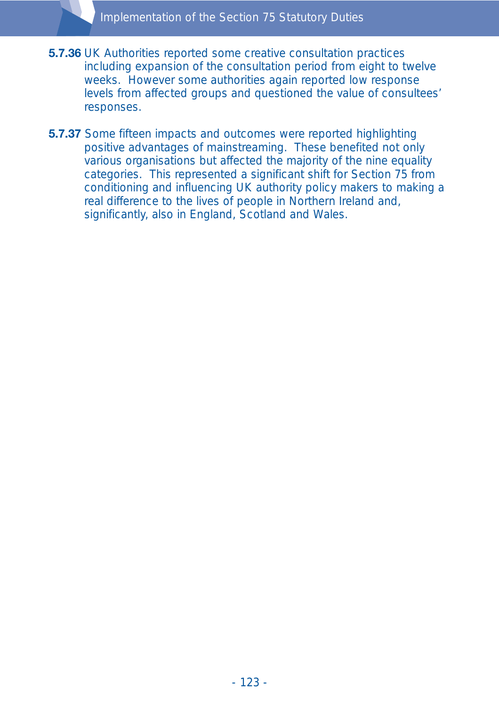- **5.7.36** UK Authorities reported some creative consultation practices including expansion of the consultation period from eight to twelve weeks. However some authorities again reported low response levels from affected groups and questioned the value of consultees' responses.
- **5.7.37** Some fifteen impacts and outcomes were reported highlighting positive advantages of mainstreaming. These benefited not only various organisations but affected the majority of the nine equality categories. This represented a significant shift for Section 75 from conditioning and influencing UK authority policy makers to making a real difference to the lives of people in Northern Ireland and, significantly, also in England, Scotland and Wales.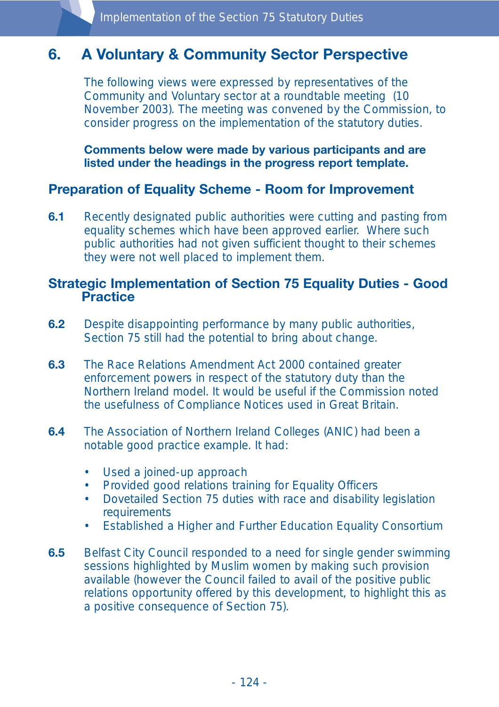# **6. A Voluntary & Community Sector Perspective**

The following views were expressed by representatives of the Community and Voluntary sector at a roundtable meeting (10 November 2003). The meeting was convened by the Commission, to consider progress on the implementation of the statutory duties.

**Comments below were made by various participants and are listed under the headings in the progress report template.** 

## **Preparation of Equality Scheme - Room for Improvement**

**6.1** Recently designated public authorities were cutting and pasting from equality schemes which have been approved earlier. Where such public authorities had not given sufficient thought to their schemes they were not well placed to implement them.

#### **Strategic Implementation of Section 75 Equality Duties - Good Practice**

- **6.2** Despite disappointing performance by many public authorities, Section 75 still had the potential to bring about change.
- **6.3** The Race Relations Amendment Act 2000 contained greater enforcement powers in respect of the statutory duty than the Northern Ireland model. It would be useful if the Commission noted the usefulness of Compliance Notices used in Great Britain.
- **6.4** The Association of Northern Ireland Colleges (ANIC) had been a notable good practice example. It had:
	- Used a joined-up approach
	- Provided good relations training for Equality Officers
	- Dovetailed Section 75 duties with race and disability legislation **requirements**
	- Established a Higher and Further Education Equality Consortium
- **6.5** Belfast City Council responded to a need for single gender swimming sessions highlighted by Muslim women by making such provision available (however the Council failed to avail of the positive public relations opportunity offered by this development, to highlight this as a positive consequence of Section 75).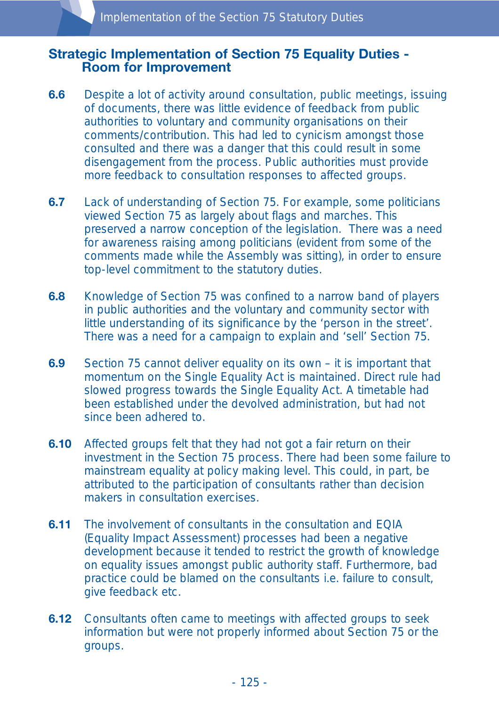#### **Strategic Implementation of Section 75 Equality Duties - Room for Improvement**

- **6.6** Despite a lot of activity around consultation, public meetings, issuing of documents, there was little evidence of feedback from public authorities to voluntary and community organisations on their comments/contribution. This had led to cynicism amongst those consulted and there was a danger that this could result in some disengagement from the process. Public authorities must provide more feedback to consultation responses to affected groups.
- **6.7** Lack of understanding of Section 75. For example, some politicians viewed Section 75 as largely about flags and marches. This preserved a narrow conception of the legislation. There was a need for awareness raising among politicians (evident from some of the comments made while the Assembly was sitting), in order to ensure top-level commitment to the statutory duties.
- **6.8** Knowledge of Section 75 was confined to a narrow band of players in public authorities and the voluntary and community sector with little understanding of its significance by the 'person in the street'. There was a need for a campaign to explain and 'sell' Section 75.
- **6.9** Section 75 cannot deliver equality on its own it is important that momentum on the Single Equality Act is maintained. Direct rule had slowed progress towards the Single Equality Act. A timetable had been established under the devolved administration, but had not since been adhered to.
- **6.10** Affected groups felt that they had not got a fair return on their investment in the Section 75 process. There had been some failure to mainstream equality at policy making level. This could, in part, be attributed to the participation of consultants rather than decision makers in consultation exercises.
- **6.11** The involvement of consultants in the consultation and EQIA (Equality Impact Assessment) processes had been a negative development because it tended to restrict the growth of knowledge on equality issues amongst public authority staff. Furthermore, bad practice could be blamed on the consultants i.e. failure to consult, give feedback etc.
- **6.12** Consultants often came to meetings with affected groups to seek information but were not properly informed about Section 75 or the groups.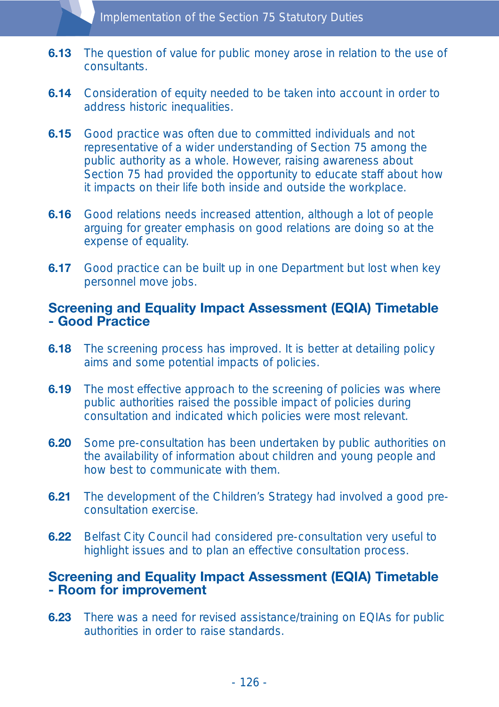- **6.13** The question of value for public money arose in relation to the use of consultants.
- **6.14** Consideration of equity needed to be taken into account in order to address historic inequalities.
- **6.15** Good practice was often due to committed individuals and not representative of a wider understanding of Section 75 among the public authority as a whole. However, raising awareness about Section 75 had provided the opportunity to educate staff about how it impacts on their life both inside and outside the workplace.
- **6.16** Good relations needs increased attention, although a lot of people arguing for greater emphasis on good relations are doing so at the expense of equality.
- **6.17** Good practice can be built up in one Department but lost when key personnel move jobs.

#### **Screening and Equality Impact Assessment (EQIA) Timetable - Good Practice**

- **6.18** The screening process has improved. It is better at detailing policy aims and some potential impacts of policies.
- **6.19** The most effective approach to the screening of policies was where public authorities raised the possible impact of policies during consultation and indicated which policies were most relevant.
- **6.20** Some pre-consultation has been undertaken by public authorities on the availability of information about children and young people and how best to communicate with them.
- **6.21** The development of the Children's Strategy had involved a good preconsultation exercise.
- **6.22** Belfast City Council had considered pre-consultation very useful to highlight issues and to plan an effective consultation process.

#### **Screening and Equality Impact Assessment (EQIA) Timetable - Room for improvement**

**6.23** There was a need for revised assistance/training on EQIAs for public authorities in order to raise standards.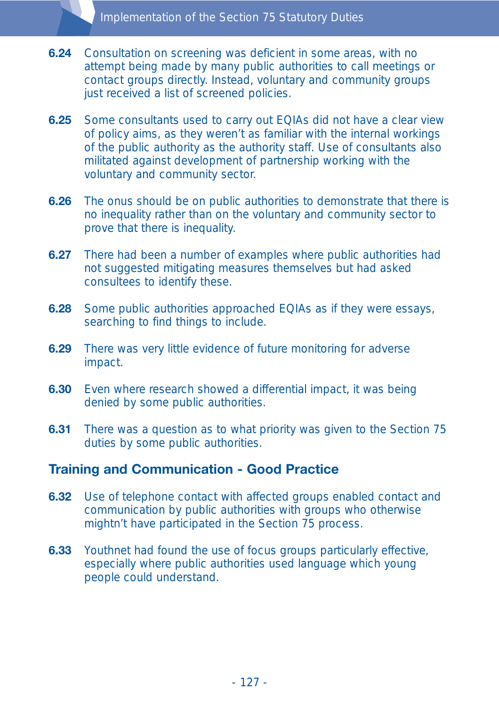- **6.24** Consultation on screening was deficient in some areas, with no attempt being made by many public authorities to call meetings or contact groups directly. Instead, voluntary and community groups just received a list of screened policies.
- **6.25** Some consultants used to carry out EQIAs did not have a clear view of policy aims, as they weren't as familiar with the internal workings of the public authority as the authority staff. Use of consultants also militated against development of partnership working with the voluntary and community sector.
- **6.26** The onus should be on public authorities to demonstrate that there is no inequality rather than on the voluntary and community sector to prove that there is inequality.
- **6.27** There had been a number of examples where public authorities had not suggested mitigating measures themselves but had asked consultees to identify these.
- **6.28** Some public authorities approached EQIAs as if they were essays, searching to find things to include.
- **6.29** There was very little evidence of future monitoring for adverse impact.
- **6.30** Even where research showed a differential impact, it was being denied by some public authorities.
- **6.31** There was a question as to what priority was given to the Section 75 duties by some public authorities.

## **Training and Communication - Good Practice**

- **6.32** Use of telephone contact with affected groups enabled contact and communication by public authorities with groups who otherwise mightn't have participated in the Section 75 process.
- **6.33** Youthnet had found the use of focus groups particularly effective, especially where public authorities used language which young people could understand.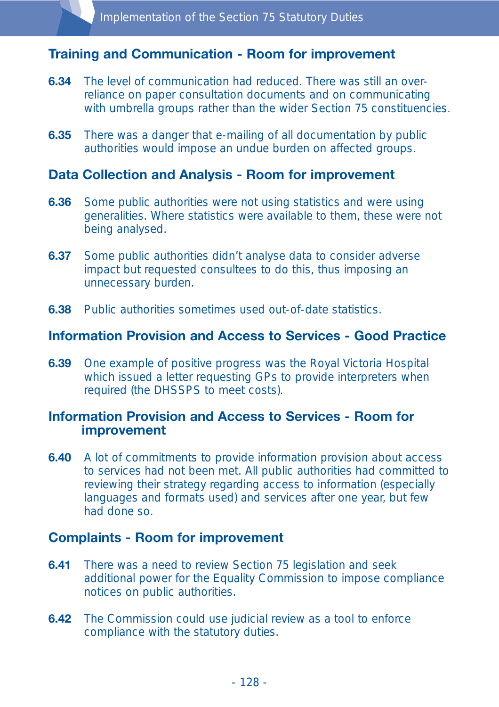## **Training and Communication - Room for improvement**

- **6.34** The level of communication had reduced. There was still an overreliance on paper consultation documents and on communicating with umbrella groups rather than the wider Section 75 constituencies.
- **6.35** There was a danger that e-mailing of all documentation by public authorities would impose an undue burden on affected groups.

#### **Data Collection and Analysis - Room for improvement**

- **6.36** Some public authorities were not using statistics and were using generalities. Where statistics were available to them, these were not being analysed.
- **6.37** Some public authorities didn't analyse data to consider adverse impact but requested consultees to do this, thus imposing an unnecessary burden.
- **6.38** Public authorities sometimes used out-of-date statistics.

#### **Information Provision and Access to Services - Good Practice**

**6.39** One example of positive progress was the Royal Victoria Hospital which issued a letter requesting GPs to provide interpreters when required (the DHSSPS to meet costs).

#### **Information Provision and Access to Services - Room for improvement**

**6.40** A lot of commitments to provide information provision about access to services had not been met. All public authorities had committed to reviewing their strategy regarding access to information (especially languages and formats used) and services after one year, but few had done so.

#### **Complaints - Room for improvement**

- **6.41** There was a need to review Section 75 legislation and seek additional power for the Equality Commission to impose compliance notices on public authorities.
- **6.42** The Commission could use judicial review as a tool to enforce compliance with the statutory duties.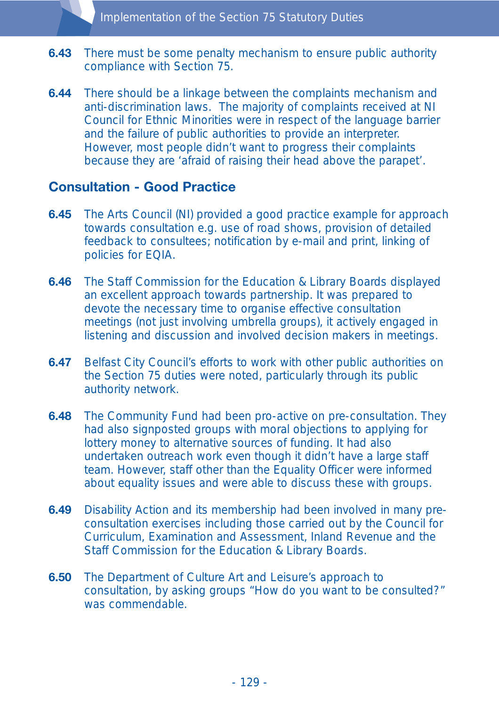- **6.43** There must be some penalty mechanism to ensure public authority compliance with Section 75.
- **6.44** There should be a linkage between the complaints mechanism and anti-discrimination laws. The majority of complaints received at NI Council for Ethnic Minorities were in respect of the language barrier and the failure of public authorities to provide an interpreter. However, most people didn't want to progress their complaints because they are 'afraid of raising their head above the parapet'.

#### **Consultation - Good Practice**

- **6.45** The Arts Council (NI) provided a good practice example for approach towards consultation e.g. use of road shows, provision of detailed feedback to consultees; notification by e-mail and print, linking of policies for EQIA.
- **6.46** The Staff Commission for the Education & Library Boards displayed an excellent approach towards partnership. It was prepared to devote the necessary time to organise effective consultation meetings (not just involving umbrella groups), it actively engaged in listening and discussion and involved decision makers in meetings.
- **6.47** Belfast City Council's efforts to work with other public authorities on the Section 75 duties were noted, particularly through its public authority network.
- **6.48** The Community Fund had been pro-active on pre-consultation. They had also signposted groups with moral objections to applying for lottery money to alternative sources of funding. It had also undertaken outreach work even though it didn't have a large staff team. However, staff other than the Equality Officer were informed about equality issues and were able to discuss these with groups.
- **6.49** Disability Action and its membership had been involved in many preconsultation exercises including those carried out by the Council for Curriculum, Examination and Assessment, Inland Revenue and the Staff Commission for the Education & Library Boards.
- **6.50** The Department of Culture Art and Leisure's approach to consultation, by asking groups "How do you want to be consulted?" was commendable.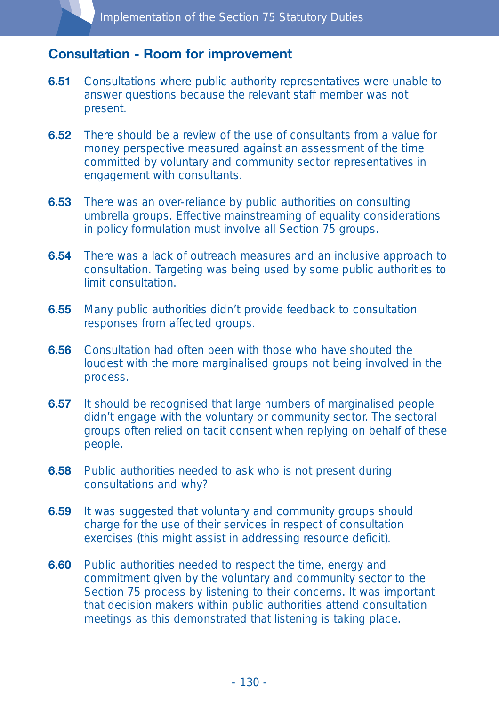#### **Consultation - Room for improvement**

- **6.51** Consultations where public authority representatives were unable to answer questions because the relevant staff member was not present.
- **6.52** There should be a review of the use of consultants from a value for money perspective measured against an assessment of the time committed by voluntary and community sector representatives in engagement with consultants.
- **6.53** There was an over-reliance by public authorities on consulting umbrella groups. Effective mainstreaming of equality considerations in policy formulation must involve all Section 75 groups.
- **6.54** There was a lack of outreach measures and an inclusive approach to consultation. Targeting was being used by some public authorities to limit consultation.
- **6.55** Many public authorities didn't provide feedback to consultation responses from affected groups.
- **6.56** Consultation had often been with those who have shouted the loudest with the more marginalised groups not being involved in the process.
- **6.57** It should be recognised that large numbers of marginalised people didn't engage with the voluntary or community sector. The sectoral groups often relied on tacit consent when replying on behalf of these people.
- **6.58** Public authorities needed to ask who is not present during consultations and why?
- **6.59** It was suggested that voluntary and community groups should charge for the use of their services in respect of consultation exercises (this might assist in addressing resource deficit).
- **6.60** Public authorities needed to respect the time, energy and commitment given by the voluntary and community sector to the Section 75 process by listening to their concerns. It was important that decision makers within public authorities attend consultation meetings as this demonstrated that listening is taking place.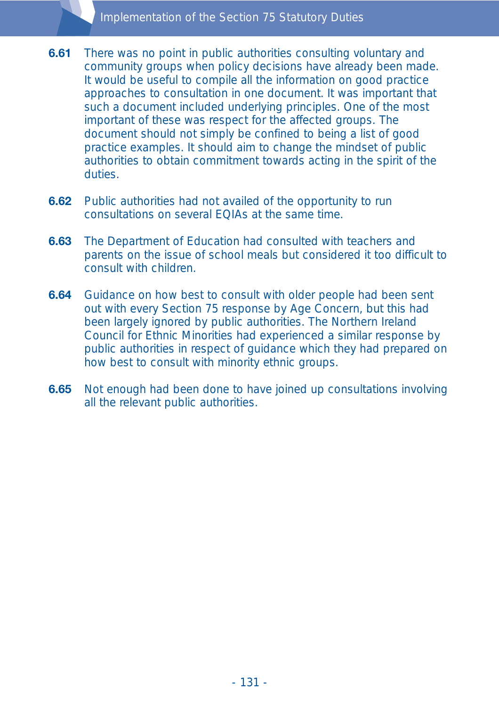#### Implementation of the Section 75 Statutory Duties

- **6.61** There was no point in public authorities consulting voluntary and community groups when policy decisions have already been made. It would be useful to compile all the information on good practice approaches to consultation in one document. It was important that such a document included underlying principles. One of the most important of these was respect for the affected groups. The document should not simply be confined to being a list of good practice examples. It should aim to change the mindset of public authorities to obtain commitment towards acting in the spirit of the duties.
- **6.62** Public authorities had not availed of the opportunity to run consultations on several EQIAs at the same time.
- **6.63** The Department of Education had consulted with teachers and parents on the issue of school meals but considered it too difficult to consult with children.
- **6.64** Guidance on how best to consult with older people had been sent out with every Section 75 response by Age Concern, but this had been largely ignored by public authorities. The Northern Ireland Council for Ethnic Minorities had experienced a similar response by public authorities in respect of guidance which they had prepared on how best to consult with minority ethnic groups.
- **6.65** Not enough had been done to have joined up consultations involving all the relevant public authorities.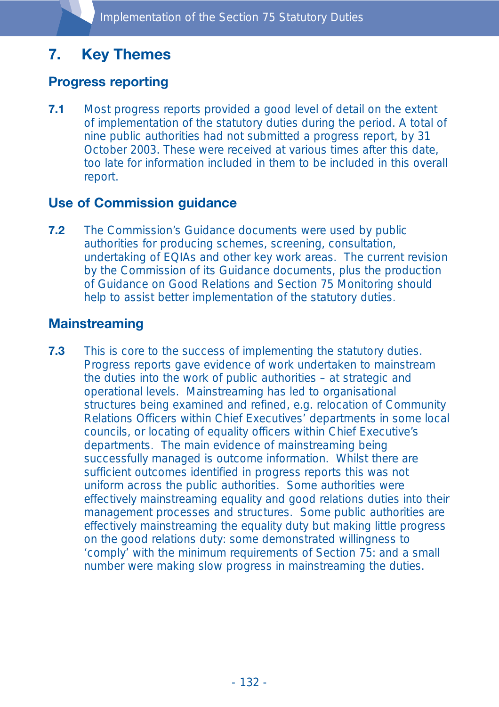# **7. Key Themes**

# **Progress reporting**

**7.1** Most progress reports provided a good level of detail on the extent of implementation of the statutory duties during the period. A total of nine public authorities had not submitted a progress report, by 31 October 2003. These were received at various times after this date, too late for information included in them to be included in this overall report.

# **Use of Commission guidance**

**7.2** The Commission's Guidance documents were used by public authorities for producing schemes, screening, consultation, undertaking of EQIAs and other key work areas. The current revision by the Commission of its Guidance documents, plus the production of Guidance on Good Relations and Section 75 Monitoring should help to assist better implementation of the statutory duties.

# **Mainstreaming**

**7.3** This is core to the success of implementing the statutory duties. Progress reports gave evidence of work undertaken to mainstream the duties into the work of public authorities – at strategic and operational levels. Mainstreaming has led to organisational structures being examined and refined, e.g. relocation of Community Relations Officers within Chief Executives' departments in some local councils, or locating of equality officers within Chief Executive's departments. The main evidence of mainstreaming being successfully managed is outcome information. Whilst there are sufficient outcomes identified in progress reports this was not uniform across the public authorities. Some authorities were effectively mainstreaming equality and good relations duties into their management processes and structures. Some public authorities are effectively mainstreaming the equality duty but making little progress on the good relations duty: some demonstrated willingness to 'comply' with the minimum requirements of Section 75: and a small number were making slow progress in mainstreaming the duties.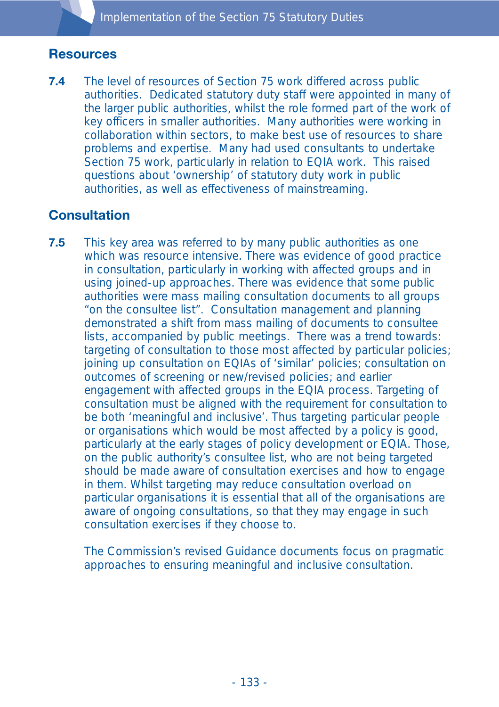# **Resources**

**7.4** The level of resources of Section 75 work differed across public authorities. Dedicated statutory duty staff were appointed in many of the larger public authorities, whilst the role formed part of the work of key officers in smaller authorities. Many authorities were working in collaboration within sectors, to make best use of resources to share problems and expertise. Many had used consultants to undertake Section 75 work, particularly in relation to EQIA work. This raised questions about 'ownership' of statutory duty work in public authorities, as well as effectiveness of mainstreaming.

# **Consultation**

**7.5** This key area was referred to by many public authorities as one which was resource intensive. There was evidence of good practice in consultation, particularly in working with affected groups and in using joined-up approaches. There was evidence that some public authorities were mass mailing consultation documents to all groups "on the consultee list". Consultation management and planning demonstrated a shift from mass mailing of documents to consultee lists, accompanied by public meetings. There was a trend towards: targeting of consultation to those most affected by particular policies; joining up consultation on EQIAs of 'similar' policies; consultation on outcomes of screening or new/revised policies; and earlier engagement with affected groups in the EQIA process. Targeting of consultation must be aligned with the requirement for consultation to be both 'meaningful and inclusive'. Thus targeting particular people or organisations which would be most affected by a policy is good, particularly at the early stages of policy development or EQIA. Those, on the public authority's consultee list, who are not being targeted should be made aware of consultation exercises and how to engage in them. Whilst targeting may reduce consultation overload on particular organisations it is essential that all of the organisations are aware of ongoing consultations, so that they may engage in such consultation exercises if they choose to.

The Commission's revised Guidance documents focus on pragmatic approaches to ensuring meaningful and inclusive consultation.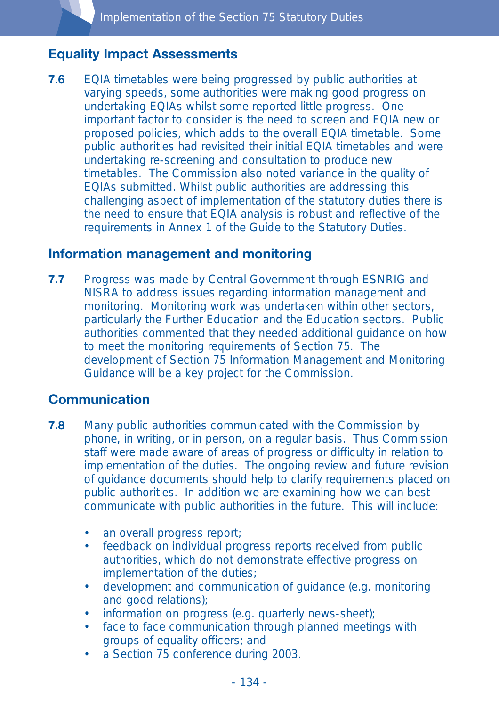# **Equality Impact Assessments**

**7.6** EQIA timetables were being progressed by public authorities at varying speeds, some authorities were making good progress on undertaking EQIAs whilst some reported little progress. One important factor to consider is the need to screen and EQIA new or proposed policies, which adds to the overall EQIA timetable. Some public authorities had revisited their initial EQIA timetables and were undertaking re-screening and consultation to produce new timetables. The Commission also noted variance in the quality of EQIAs submitted. Whilst public authorities are addressing this challenging aspect of implementation of the statutory duties there is the need to ensure that EQIA analysis is robust and reflective of the requirements in Annex 1 of the Guide to the Statutory Duties.

#### **Information management and monitoring**

**7.7** Progress was made by Central Government through ESNRIG and NISRA to address issues regarding information management and monitoring. Monitoring work was undertaken within other sectors, particularly the Further Education and the Education sectors. Public authorities commented that they needed additional guidance on how to meet the monitoring requirements of Section 75. The development of Section 75 Information Management and Monitoring Guidance will be a key project for the Commission.

## **Communication**

- **7.8** Many public authorities communicated with the Commission by phone, in writing, or in person, on a regular basis. Thus Commission staff were made aware of areas of progress or difficulty in relation to implementation of the duties. The ongoing review and future revision of guidance documents should help to clarify requirements placed on public authorities. In addition we are examining how we can best communicate with public authorities in the future. This will include:
	- an overall progress report;
	- feedback on individual progress reports received from public authorities, which do not demonstrate effective progress on implementation of the duties;
	- development and communication of guidance (e.g. monitoring and good relations);
	- information on progress (e.g. quarterly news-sheet);
	- face to face communication through planned meetings with groups of equality officers; and
	- a Section 75 conference during 2003.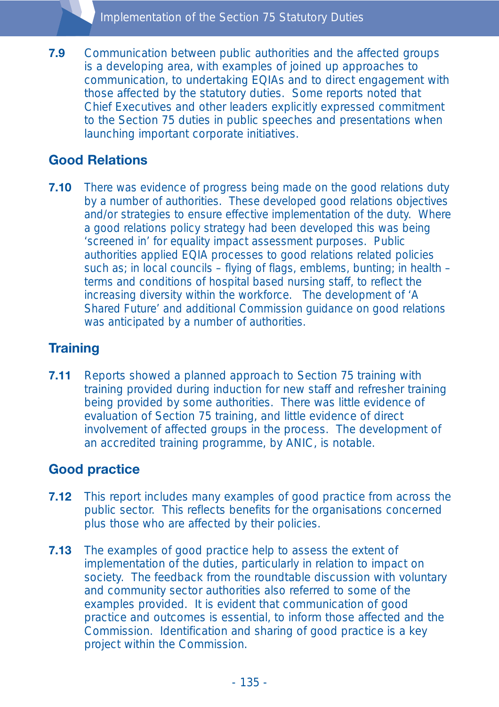**7.9** Communication between public authorities and the affected groups is a developing area, with examples of joined up approaches to communication, to undertaking EQIAs and to direct engagement with those affected by the statutory duties. Some reports noted that Chief Executives and other leaders explicitly expressed commitment to the Section 75 duties in public speeches and presentations when launching important corporate initiatives.

# **Good Relations**

**7.10** There was evidence of progress being made on the good relations duty by a number of authorities. These developed good relations objectives and/or strategies to ensure effective implementation of the duty. Where a good relations policy strategy had been developed this was being 'screened in' for equality impact assessment purposes. Public authorities applied EQIA processes to good relations related policies such as; in local councils – flying of flags, emblems, bunting; in health – terms and conditions of hospital based nursing staff, to reflect the increasing diversity within the workforce. The development of 'A Shared Future' and additional Commission guidance on good relations was anticipated by a number of authorities.

# **Training**

**7.11** Reports showed a planned approach to Section 75 training with training provided during induction for new staff and refresher training being provided by some authorities. There was little evidence of evaluation of Section 75 training, and little evidence of direct involvement of affected groups in the process. The development of an accredited training programme, by ANIC, is notable.

## **Good practice**

- **7.12** This report includes many examples of good practice from across the public sector. This reflects benefits for the organisations concerned plus those who are affected by their policies.
- **7.13** The examples of good practice help to assess the extent of implementation of the duties, particularly in relation to impact on society. The feedback from the roundtable discussion with voluntary and community sector authorities also referred to some of the examples provided. It is evident that communication of good practice and outcomes is essential, to inform those affected and the Commission. Identification and sharing of good practice is a key project within the Commission.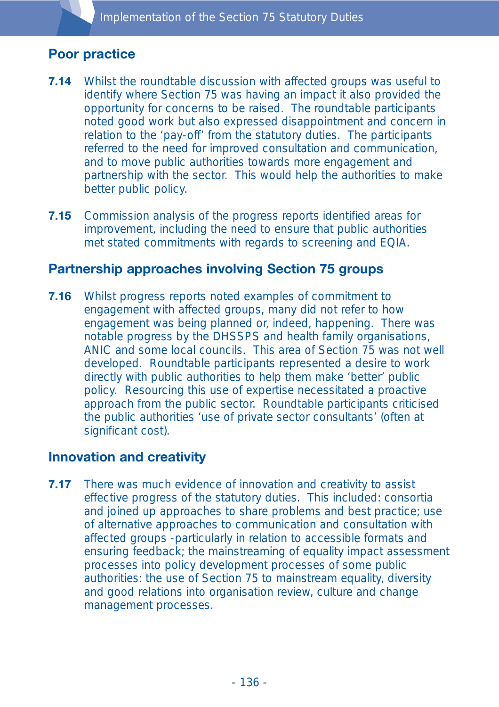# **Poor practice**

- **7.14** Whilst the roundtable discussion with affected groups was useful to identify where Section 75 was having an impact it also provided the opportunity for concerns to be raised. The roundtable participants noted good work but also expressed disappointment and concern in relation to the 'pay-off' from the statutory duties. The participants referred to the need for improved consultation and communication, and to move public authorities towards more engagement and partnership with the sector. This would help the authorities to make better public policy.
- **7.15** Commission analysis of the progress reports identified areas for improvement, including the need to ensure that public authorities met stated commitments with regards to screening and EQIA.

#### **Partnership approaches involving Section 75 groups**

**7.16** Whilst progress reports noted examples of commitment to engagement with affected groups, many did not refer to how engagement was being planned or, indeed, happening. There was notable progress by the DHSSPS and health family organisations, ANIC and some local councils. This area of Section 75 was not well developed. Roundtable participants represented a desire to work directly with public authorities to help them make 'better' public policy. Resourcing this use of expertise necessitated a proactive approach from the public sector. Roundtable participants criticised the public authorities 'use of private sector consultants' (often at significant cost).

## **Innovation and creativity**

**7.17** There was much evidence of innovation and creativity to assist effective progress of the statutory duties. This included: consortia and joined up approaches to share problems and best practice; use of alternative approaches to communication and consultation with affected groups -particularly in relation to accessible formats and ensuring feedback; the mainstreaming of equality impact assessment processes into policy development processes of some public authorities: the use of Section 75 to mainstream equality, diversity and good relations into organisation review, culture and change management processes.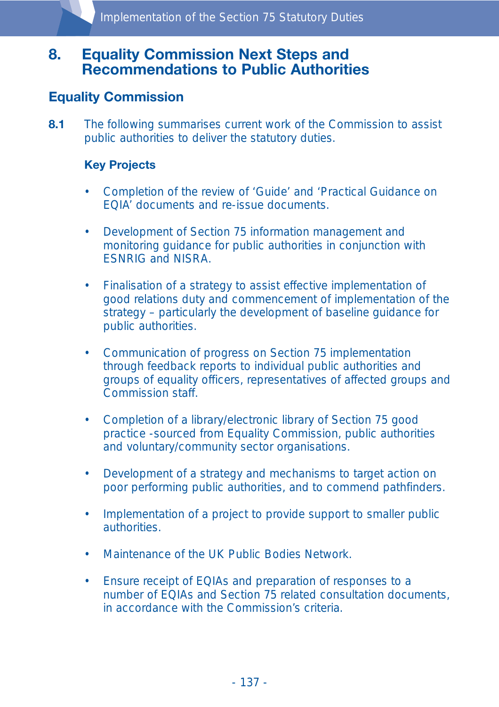# **8. Equality Commission Next Steps and Recommendations to Public Authorities**

## **Equality Commission**

**8.1** The following summarises current work of the Commission to assist public authorities to deliver the statutory duties.

#### **Key Projects**

- Completion of the review of 'Guide' and 'Practical Guidance on EQIA' documents and re-issue documents.
- Development of Section 75 information management and monitoring guidance for public authorities in conjunction with ESNRIG and NISRA.
- Finalisation of a strategy to assist effective implementation of good relations duty and commencement of implementation of the strategy – particularly the development of baseline guidance for public authorities.
- Communication of progress on Section 75 implementation through feedback reports to individual public authorities and groups of equality officers, representatives of affected groups and Commission staff.
- Completion of a library/electronic library of Section 75 good practice -sourced from Equality Commission, public authorities and voluntary/community sector organisations.
- Development of a strategy and mechanisms to target action on poor performing public authorities, and to commend pathfinders.
- Implementation of a project to provide support to smaller public authorities.
- Maintenance of the UK Public Bodies Network.
- Ensure receipt of EQIAs and preparation of responses to a number of EQIAs and Section 75 related consultation documents, in accordance with the Commission's criteria.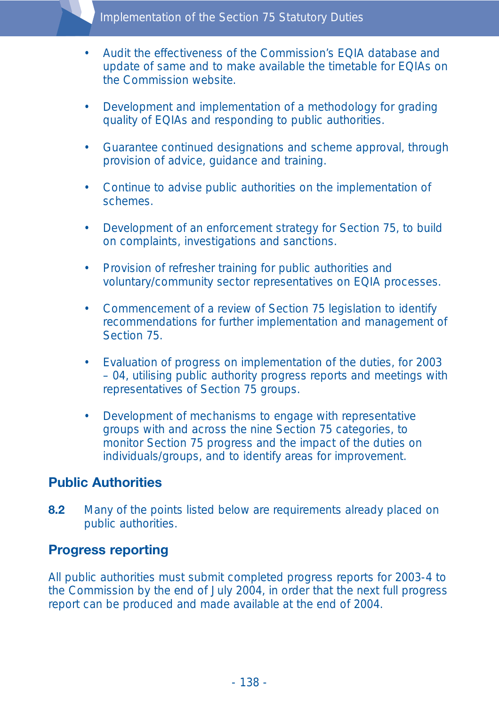- Audit the effectiveness of the Commission's EQIA database and update of same and to make available the timetable for EQIAs on the Commission website.
- Development and implementation of a methodology for grading quality of EQIAs and responding to public authorities.
- Guarantee continued designations and scheme approval, through provision of advice, guidance and training.
- Continue to advise public authorities on the implementation of schemes.
- Development of an enforcement strategy for Section 75, to build on complaints, investigations and sanctions.
- Provision of refresher training for public authorities and voluntary/community sector representatives on EQIA processes.
- Commencement of a review of Section 75 legislation to identify recommendations for further implementation and management of Section 75.
- Evaluation of progress on implementation of the duties, for 2003 – 04, utilising public authority progress reports and meetings with representatives of Section 75 groups.
- Development of mechanisms to engage with representative groups with and across the nine Section 75 categories, to monitor Section 75 progress and the impact of the duties on individuals/groups, and to identify areas for improvement.

## **Public Authorities**

**8.2** Many of the points listed below are requirements already placed on public authorities.

#### **Progress reporting**

All public authorities must submit completed progress reports for 2003-4 to the Commission by the end of July 2004, in order that the next full progress report can be produced and made available at the end of 2004.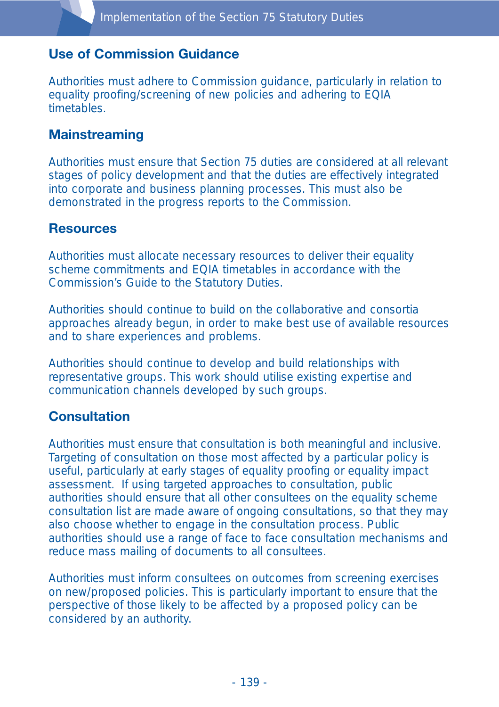# **Use of Commission Guidance**

Authorities must adhere to Commission guidance, particularly in relation to equality proofing/screening of new policies and adhering to EQIA timetables.

# **Mainstreaming**

Authorities must ensure that Section 75 duties are considered at all relevant stages of policy development and that the duties are effectively integrated into corporate and business planning processes. This must also be demonstrated in the progress reports to the Commission.

#### **Resources**

Authorities must allocate necessary resources to deliver their equality scheme commitments and EQIA timetables in accordance with the Commission's Guide to the Statutory Duties.

Authorities should continue to build on the collaborative and consortia approaches already begun, in order to make best use of available resources and to share experiences and problems.

Authorities should continue to develop and build relationships with representative groups. This work should utilise existing expertise and communication channels developed by such groups.

## **Consultation**

Authorities must ensure that consultation is both meaningful and inclusive. Targeting of consultation on those most affected by a particular policy is useful, particularly at early stages of equality proofing or equality impact assessment. If using targeted approaches to consultation, public authorities should ensure that all other consultees on the equality scheme consultation list are made aware of ongoing consultations, so that they may also choose whether to engage in the consultation process. Public authorities should use a range of face to face consultation mechanisms and reduce mass mailing of documents to all consultees.

Authorities must inform consultees on outcomes from screening exercises on new/proposed policies. This is particularly important to ensure that the perspective of those likely to be affected by a proposed policy can be considered by an authority.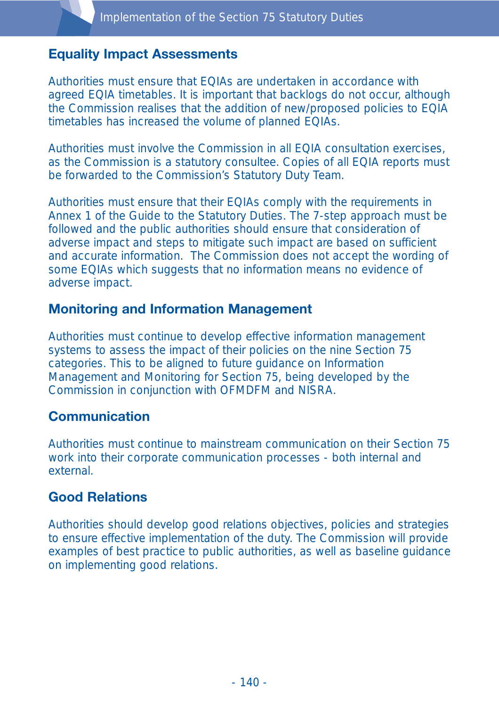# **Equality Impact Assessments**

Authorities must ensure that EQIAs are undertaken in accordance with agreed EQIA timetables. It is important that backlogs do not occur, although the Commission realises that the addition of new/proposed policies to EQIA timetables has increased the volume of planned EQIAs.

Authorities must involve the Commission in all EQIA consultation exercises, as the Commission is a statutory consultee. Copies of all EQIA reports must be forwarded to the Commission's Statutory Duty Team.

Authorities must ensure that their EQIAs comply with the requirements in Annex 1 of the Guide to the Statutory Duties. The 7-step approach must be followed and the public authorities should ensure that consideration of adverse impact and steps to mitigate such impact are based on sufficient and accurate information. The Commission does not accept the wording of some EQIAs which suggests that no information means no evidence of adverse impact.

## **Monitoring and Information Management**

Authorities must continue to develop effective information management systems to assess the impact of their policies on the nine Section 75 categories. This to be aligned to future guidance on Information Management and Monitoring for Section 75, being developed by the Commission in conjunction with OFMDFM and NISRA.

## **Communication**

Authorities must continue to mainstream communication on their Section 75 work into their corporate communication processes - both internal and external.

# **Good Relations**

Authorities should develop good relations objectives, policies and strategies to ensure effective implementation of the duty. The Commission will provide examples of best practice to public authorities, as well as baseline guidance on implementing good relations.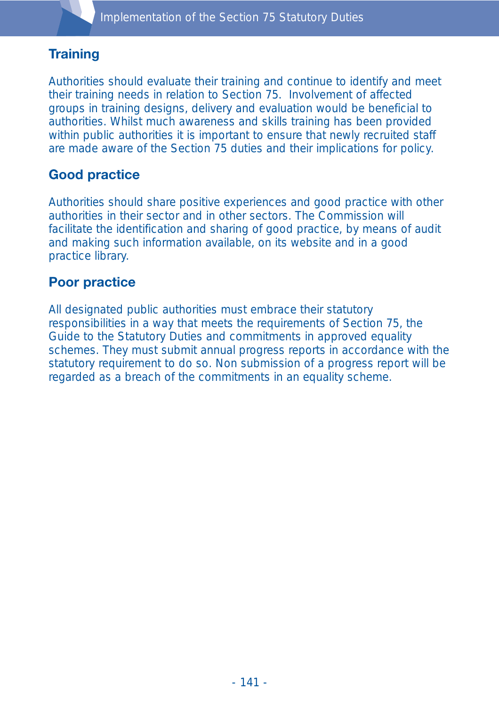# **Training**

Authorities should evaluate their training and continue to identify and meet their training needs in relation to Section 75. Involvement of affected groups in training designs, delivery and evaluation would be beneficial to authorities. Whilst much awareness and skills training has been provided within public authorities it is important to ensure that newly recruited staff are made aware of the Section 75 duties and their implications for policy.

# **Good practice**

Authorities should share positive experiences and good practice with other authorities in their sector and in other sectors. The Commission will facilitate the identification and sharing of good practice, by means of audit and making such information available, on its website and in a good practice library.

# **Poor practice**

All designated public authorities must embrace their statutory responsibilities in a way that meets the requirements of Section 75, the Guide to the Statutory Duties and commitments in approved equality schemes. They must submit annual progress reports in accordance with the statutory requirement to do so. Non submission of a progress report will be regarded as a breach of the commitments in an equality scheme.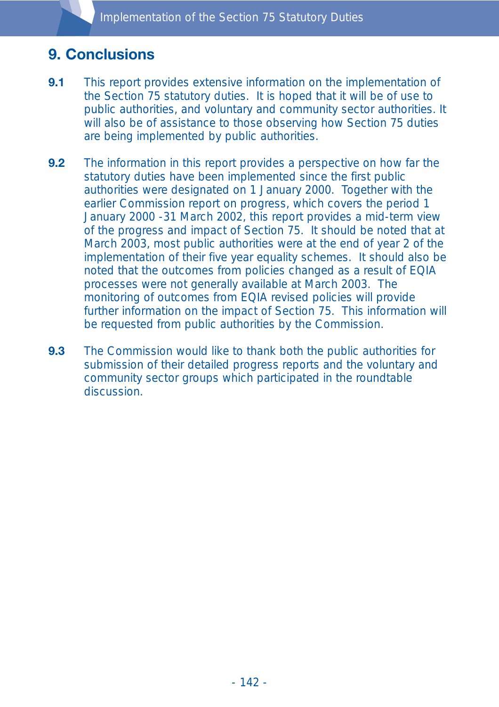# **9. Conclusions**

- **9.1** This report provides extensive information on the implementation of the Section 75 statutory duties. It is hoped that it will be of use to public authorities, and voluntary and community sector authorities. It will also be of assistance to those observing how Section 75 duties are being implemented by public authorities.
- **9.2** The information in this report provides a perspective on how far the statutory duties have been implemented since the first public authorities were designated on 1 January 2000. Together with the earlier Commission report on progress, which covers the period 1 January 2000 -31 March 2002, this report provides a mid-term view of the progress and impact of Section 75. It should be noted that at March 2003, most public authorities were at the end of year 2 of the implementation of their five year equality schemes. It should also be noted that the outcomes from policies changed as a result of EQIA processes were not generally available at March 2003. The monitoring of outcomes from EQIA revised policies will provide further information on the impact of Section 75. This information will be requested from public authorities by the Commission.
- **9.3** The Commission would like to thank both the public authorities for submission of their detailed progress reports and the voluntary and community sector groups which participated in the roundtable discussion.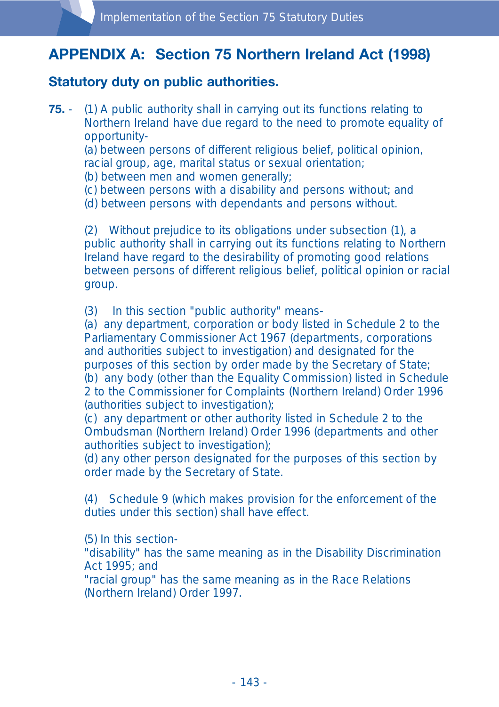# **APPENDIX A: Section 75 Northern Ireland Act (1998)**

## **Statutory duty on public authorities.**

**75.** - (1) A public authority shall in carrying out its functions relating to Northern Ireland have due regard to the need to promote equality of opportunity-

(a) between persons of different religious belief, political opinion, racial group, age, marital status or sexual orientation;

- (b) between men and women generally;
- (c) between persons with a disability and persons without; and
- (d) between persons with dependants and persons without.

(2) Without prejudice to its obligations under subsection (1), a public authority shall in carrying out its functions relating to Northern Ireland have regard to the desirability of promoting good relations between persons of different religious belief, political opinion or racial group.

(3) In this section "public authority" means-

(a) any department, corporation or body listed in Schedule 2 to the Parliamentary Commissioner Act 1967 (departments, corporations and authorities subject to investigation) and designated for the purposes of this section by order made by the Secretary of State; (b) any body (other than the Equality Commission) listed in Schedule 2 to the Commissioner for Complaints (Northern Ireland) Order 1996 (authorities subject to investigation);

(c) any department or other authority listed in Schedule 2 to the Ombudsman (Northern Ireland) Order 1996 (departments and other authorities subject to investigation);

(d) any other person designated for the purposes of this section by order made by the Secretary of State.

(4) Schedule 9 (which makes provision for the enforcement of the duties under this section) shall have effect.

(5) In this section-

"disability" has the same meaning as in the Disability Discrimination Act 1995; and

"racial group" has the same meaning as in the Race Relations (Northern Ireland) Order 1997.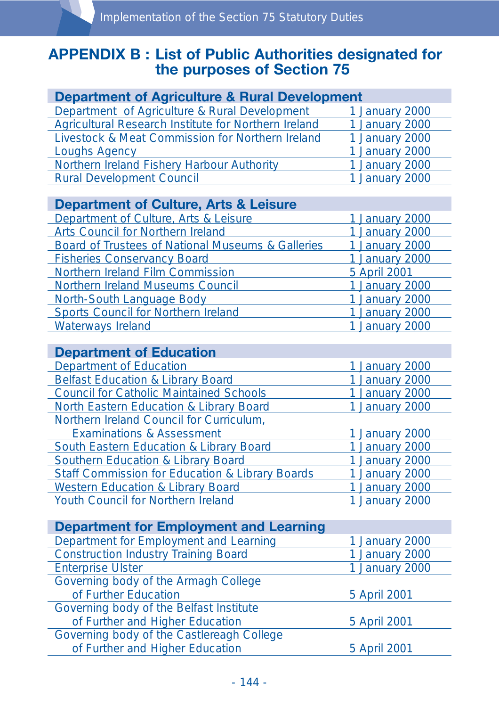# **APPENDIX B : List of Public Authorities designated for the purposes of Section 75**

| <b>Department of Agriculture &amp; Rural Development</b>     |                |
|--------------------------------------------------------------|----------------|
| Department of Agriculture & Rural Development                | 1 January 2000 |
| Agricultural Research Institute for Northern Ireland         | 1 January 2000 |
| Livestock & Meat Commission for Northern Ireland             | 1 January 2000 |
| <b>Loughs Agency</b>                                         | 1 January 2000 |
| Northern Ireland Fishery Harbour Authority                   | 1 January 2000 |
| <b>Rural Development Council</b>                             | 1 January 2000 |
|                                                              |                |
| <b>Department of Culture, Arts &amp; Leisure</b>             |                |
| Department of Culture, Arts & Leisure                        | 1 January 2000 |
| <b>Arts Council for Northern Ireland</b>                     | 1 January 2000 |
| <b>Board of Trustees of National Museums &amp; Galleries</b> | 1 January 2000 |
| <b>Fisheries Conservancy Board</b>                           | 1 January 2000 |
| Northern Ireland Film Commission                             | 5 April 2001   |
| <b>Northern Ireland Museums Council</b>                      | 1 January 2000 |
| <b>North-South Language Body</b>                             | 1 January 2000 |
| <b>Sports Council for Northern Ireland</b>                   | 1 January 2000 |
| <b>Waterways Ireland</b>                                     | 1 January 2000 |
|                                                              |                |
| <b>Department of Education</b>                               |                |
| <b>Department of Education</b>                               | 1 January 2000 |
| <b>Belfast Education &amp; Library Board</b>                 | 1 January 2000 |
| <b>Council for Catholic Maintained Schools</b>               | 1 January 2000 |
| <b>North Eastern Education &amp; Library Board</b>           | 1 January 2000 |
| Northern Ireland Council for Curriculum,                     |                |
| <b>Examinations &amp; Assessment</b>                         | 1 January 2000 |
| <b>South Eastern Education &amp; Library Board</b>           | 1 January 2000 |
| <b>Southern Education &amp; Library Board</b>                | 1 January 2000 |
|                                                              |                |

| <b>SOUTHELL EQUEQUOL &amp; LIDIALY DUALU</b>               | <b>T JaHual Y ZUUU</b> |
|------------------------------------------------------------|------------------------|
| <b>Staff Commission for Education &amp; Library Boards</b> | 1 January 2000         |
| <b>Western Education &amp; Library Board</b>               | 1 January 2000         |
| <b>Youth Council for Northern Ireland</b>                  | 1 January 2000         |
|                                                            |                        |

| <b>Department for Employment and Learning</b> |                |
|-----------------------------------------------|----------------|
| Department for Employment and Learning        | 1 January 2000 |
| <b>Construction Industry Training Board</b>   | 1 January 2000 |
| <b>Enterprise Ulster</b>                      | 1 January 2000 |
| Governing body of the Armagh College          |                |
| of Further Education                          | 5 April 2001   |
| Governing body of the Belfast Institute       |                |
| of Further and Higher Education               | 5 April 2001   |
| Governing body of the Castlereagh College     |                |
| of Further and Higher Education               | 5 April 2001   |
|                                               |                |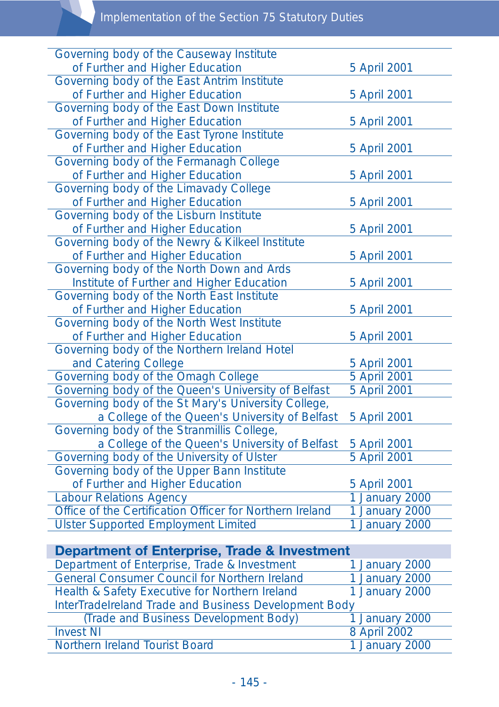# Implementation of the Section 75 Statutory Duties

| Governing body of the Causeway Institute                 |                |
|----------------------------------------------------------|----------------|
| of Further and Higher Education                          | 5 April 2001   |
| Governing body of the East Antrim Institute              |                |
| of Further and Higher Education                          | 5 April 2001   |
| Governing body of the East Down Institute                |                |
| of Further and Higher Education                          | 5 April 2001   |
| Governing body of the East Tyrone Institute              |                |
| of Further and Higher Education                          | 5 April 2001   |
| Governing body of the Fermanagh College                  |                |
| of Further and Higher Education                          | 5 April 2001   |
| Governing body of the Limavady College                   |                |
| of Further and Higher Education                          | 5 April 2001   |
| Governing body of the Lisburn Institute                  |                |
| of Further and Higher Education                          | 5 April 2001   |
| Governing body of the Newry & Kilkeel Institute          |                |
| of Further and Higher Education                          | 5 April 2001   |
| Governing body of the North Down and Ards                |                |
| Institute of Further and Higher Education                | 5 April 2001   |
| Governing body of the North East Institute               |                |
| of Further and Higher Education                          | 5 April 2001   |
| Governing body of the North West Institute               |                |
| of Further and Higher Education                          | 5 April 2001   |
| Governing body of the Northern Ireland Hotel             |                |
| and Catering College                                     | 5 April 2001   |
| Governing body of the Omagh College                      | 5 April 2001   |
| Governing body of the Queen's University of Belfast      | 5 April 2001   |
| Governing body of the St Mary's University College,      |                |
| a College of the Queen's University of Belfast           | 5 April 2001   |
| Governing body of the Stranmillis College,               |                |
| a College of the Queen's University of Belfast           | 5 April 2001   |
| Governing body of the University of Ulster               | 5 April 2001   |
| Governing body of the Upper Bann Institute               |                |
| of Further and Higher Education                          | 5 April 2001   |
| <b>Labour Relations Agency</b>                           | 1 January 2000 |
| Office of the Certification Officer for Northern Ireland | 1 January 2000 |
| <b>Ulster Supported Employment Limited</b>               | 1 January 2000 |
|                                                          |                |

| <b>Department of Enterprise, Trade &amp; Investment</b> |                |  |
|---------------------------------------------------------|----------------|--|
| Department of Enterprise, Trade & Investment            | 1 January 2000 |  |
| <b>General Consumer Council for Northern Ireland</b>    | 1 January 2000 |  |
| Health & Safety Executive for Northern Ireland          | 1 January 2000 |  |
| InterTradelreland Trade and Business Development Body   |                |  |
| (Trade and Business Development Body)                   | 1 January 2000 |  |
| <b>Invest NI</b>                                        | 8 April 2002   |  |
| Northern Ireland Tourist Board                          | 1 January 2000 |  |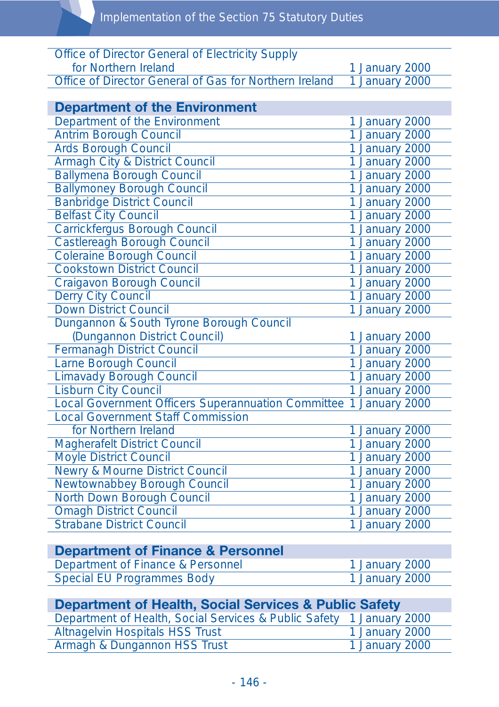| <b>Office of Director General of Electricity Supply</b>   |                |
|-----------------------------------------------------------|----------------|
| for Northern Ireland                                      | 1 January 2000 |
| Office of Director General of Gas for Northern Ireland    | 1 January 2000 |
|                                                           |                |
| <b>Department of the Environment</b>                      |                |
| Department of the Environment                             | 1 January 2000 |
| <b>Antrim Borough Council</b>                             | 1 January 2000 |
| <b>Ards Borough Council</b>                               | 1 January 2000 |
| <b>Armagh City &amp; District Council</b>                 | 1 January 2000 |
| <b>Ballymena Borough Council</b>                          | 1 January 2000 |
| <b>Ballymoney Borough Council</b>                         | 1 January 2000 |
| <b>Banbridge District Council</b>                         | 1 January 2000 |
| <b>Belfast City Council</b>                               | 1 January 2000 |
| <b>Carrickfergus Borough Council</b>                      | 1 January 2000 |
| <b>Castlereagh Borough Council</b>                        | 1 January 2000 |
| <b>Coleraine Borough Council</b>                          | 1 January 2000 |
| <b>Cookstown District Council</b>                         | 1 January 2000 |
| <b>Craigavon Borough Council</b>                          | 1 January 2000 |
| Derry City Council                                        | 1 January 2000 |
| <b>Down District Council</b>                              | 1 January 2000 |
| Dungannon & South Tyrone Borough Council                  |                |
| (Dungannon District Council)                              | 1 January 2000 |
| <b>Fermanagh District Council</b>                         | 1 January 2000 |
| Larne Borough Council                                     | 1 January 2000 |
| <b>Limavady Borough Council</b>                           | 1 January 2000 |
| <b>Lisburn City Council</b>                               | 1 January 2000 |
| <b>Local Government Officers Superannuation Committee</b> | 1 January 2000 |
| <b>Local Government Staff Commission</b>                  |                |
| for Northern Ireland                                      | 1 January 2000 |
| <b>Magherafelt District Council</b>                       | 1 January 2000 |
| <b>Moyle District Council</b>                             | 1 January 2000 |
| <b>Newry &amp; Mourne District Council</b>                | 1 January 2000 |
| Newtownabbey Borough Council                              | 1 January 2000 |
| North Down Borough Council                                | 1 January 2000 |
| <b>Omagh District Council</b>                             | 1 January 2000 |
| <b>Strabane District Council</b>                          | 1 January 2000 |

# **Department of Finance & Personnel**

| Department of Finance & Personnel | 1 January 2000 |
|-----------------------------------|----------------|
| <b>Special EU Programmes Body</b> | 1 January 2000 |

| <b>Department of Health, Social Services &amp; Public Safety</b>     |                |
|----------------------------------------------------------------------|----------------|
| Department of Health, Social Services & Public Safety 1 January 2000 |                |
| <b>Altnagelvin Hospitals HSS Trust</b>                               | 1 January 2000 |
| Armagh & Dungannon HSS Trust                                         | 1 January 2000 |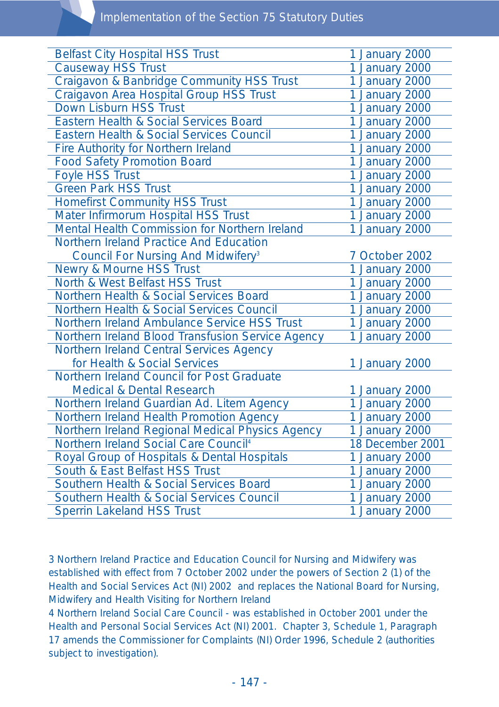| <b>Belfast City Hospital HSS Trust</b>               | 1 January 2000   |
|------------------------------------------------------|------------------|
| <b>Causeway HSS Trust</b>                            | 1 January 2000   |
| Craigavon & Banbridge Community HSS Trust            | 1 January 2000   |
| Craigavon Area Hospital Group HSS Trust              | 1 January 2000   |
| Down Lisburn HSS Trust                               | 1 January 2000   |
| Eastern Health & Social Services Board               |                  |
|                                                      | 1 January 2000   |
| Eastern Health & Social Services Council             | 1 January 2000   |
| Fire Authority for Northern Ireland                  | 1 January 2000   |
| <b>Food Safety Promotion Board</b>                   | 1 January 2000   |
| Foyle HSS Trust                                      | 1 January 2000   |
| <b>Green Park HSS Trust</b>                          | 1 January 2000   |
| <b>Homefirst Community HSS Trust</b>                 | 1 January 2000   |
| Mater Infirmorum Hospital HSS Trust                  | 1 January 2000   |
| <b>Mental Health Commission for Northern Ireland</b> | 1 January 2000   |
| Northern Ireland Practice And Education              |                  |
| Council For Nursing And Midwifery <sup>3</sup>       | 7 October 2002   |
| <b>Newry &amp; Mourne HSS Trust</b>                  | 1 January 2000   |
| North & West Belfast HSS Trust                       | 1 January 2000   |
| Northern Health & Social Services Board              | 1 January 2000   |
| Northern Health & Social Services Council            | 1 January 2000   |
| Northern Ireland Ambulance Service HSS Trust         | 1 January 2000   |
| Northern Ireland Blood Transfusion Service Agency    | 1 January 2000   |
| Northern Ireland Central Services Agency             |                  |
| for Health & Social Services                         | 1 January 2000   |
| Northern Ireland Council for Post Graduate           |                  |
| <b>Medical &amp; Dental Research</b>                 | 1 January 2000   |
| Northern Ireland Guardian Ad. Litem Agency           | 1 January 2000   |
| Northern Ireland Health Promotion Agency             | 1 January 2000   |
| Northern Ireland Regional Medical Physics Agency     | 1 January 2000   |
| Northern Ireland Social Care Council <sup>4</sup>    | 18 December 2001 |
| Royal Group of Hospitals & Dental Hospitals          | 1 January 2000   |
| South & East Belfast HSS Trust                       | 1 January 2000   |
| <b>Southern Health &amp; Social Services Board</b>   | 1 January 2000   |
| Southern Health & Social Services Council            | 1 January 2000   |
| <b>Sperrin Lakeland HSS Trust</b>                    | 1 January 2000   |
|                                                      |                  |

3 Northern Ireland Practice and Education Council for Nursing and Midwifery was established with effect from 7 October 2002 under the powers of Section 2 (1) of the Health and Social Services Act (NI) 2002 and replaces the National Board for Nursing, Midwifery and Health Visiting for Northern Ireland

4 Northern Ireland Social Care Council - was established in October 2001 under the Health and Personal Social Services Act (NI) 2001. Chapter 3, Schedule 1, Paragraph 17 amends the Commissioner for Complaints (NI) Order 1996, Schedule 2 (authorities subject to investigation).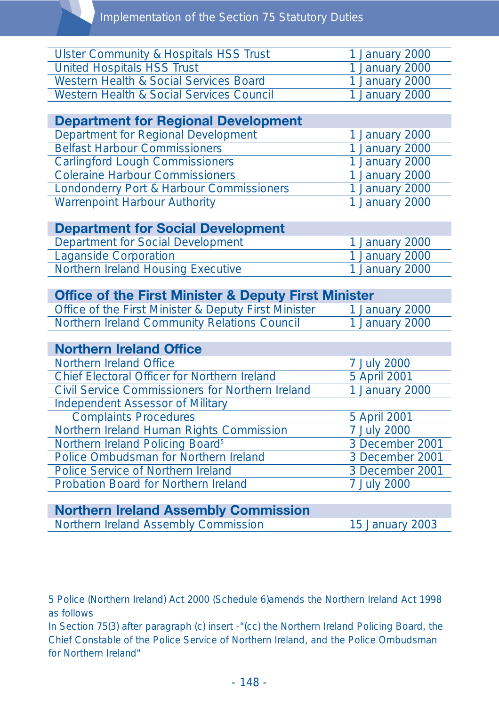| <b>Ulster Community &amp; Hospitals HSS Trust</b> | 1 January 2000 |
|---------------------------------------------------|----------------|
| United Hospitals HSS Trust                        | 1 January 2000 |
| Western Health & Social Services Board            | 1 January 2000 |
| Western Health & Social Services Council          | 1 January 2000 |

| <b>Department for Regional Development</b> |                |
|--------------------------------------------|----------------|
| Department for Regional Development        | 1 January 2000 |
| <b>Belfast Harbour Commissioners</b>       | 1 January 2000 |
| <b>Carlingford Lough Commissioners</b>     | 1 January 2000 |
| <b>Coleraine Harbour Commissioners</b>     | 1 January 2000 |
| Londonderry Port & Harbour Commissioners   | 1 January 2000 |
| <b>Warrenpoint Harbour Authority</b>       | 1 January 2000 |

| <b>Department for Social Development</b>  |                |
|-------------------------------------------|----------------|
| Department for Social Development         | 1 January 2000 |
| Laganside Corporation                     | 1 January 2000 |
| <b>Northern Ireland Housing Executive</b> | 1 January 2000 |

| <b>Office of the First Minister &amp; Deputy First Minister</b> |                |
|-----------------------------------------------------------------|----------------|
| Office of the First Minister & Deputy First Minister            | 1 January 2000 |
| Northern Ireland Community Relations Council                    | 1 January 2000 |

| <b>Northern Ireland Office</b>                          |                 |
|---------------------------------------------------------|-----------------|
| Northern Ireland Office                                 | 7 July 2000     |
| <b>Chief Electoral Officer for Northern Ireland</b>     | 5 April 2001    |
| <b>Civil Service Commissioners for Northern Ireland</b> | 1 January 2000  |
| <b>Independent Assessor of Military</b>                 |                 |
| <b>Complaints Procedures</b>                            | 5 April 2001    |
| Northern Ireland Human Rights Commission                | 7 July 2000     |
| Northern Ireland Policing Board <sup>5</sup>            | 3 December 2001 |
| Police Ombudsman for Northern Ireland                   | 3 December 2001 |
| <b>Police Service of Northern Ireland</b>               | 3 December 2001 |
| <b>Probation Board for Northern Ireland</b>             | 7 July 2000     |
|                                                         |                 |

| <b>Northern Ireland Assembly Commission</b> |                 |
|---------------------------------------------|-----------------|
| Northern Ireland Assembly Commission        | 15 January 2003 |

5 Police (Northern Ireland) Act 2000 (Schedule 6)amends the Northern Ireland Act 1998 as follows

In Section 75(3) after paragraph (c) insert -"(cc) the Northern Ireland Policing Board, the Chief Constable of the Police Service of Northern Ireland, and the Police Ombudsman for Northern Ireland"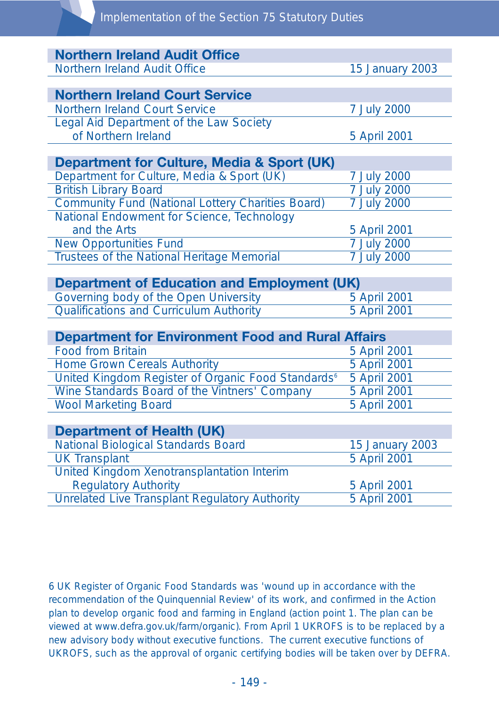| <b>Northern Ireland Audit Office</b>                           |                    |
|----------------------------------------------------------------|--------------------|
| Northern Ireland Audit Office                                  | 15 January 2003    |
|                                                                |                    |
| <b>Northern Ireland Court Service</b>                          |                    |
| <b>Northern Ireland Court Service</b>                          | 7 July 2000        |
| Legal Aid Department of the Law Society                        |                    |
| of Northern Ireland                                            | 5 April 2001       |
|                                                                |                    |
| <b>Department for Culture, Media &amp; Sport (UK)</b>          |                    |
| Department for Culture, Media & Sport (UK)                     | 7 July 2000        |
| <b>British Library Board</b>                                   | 7 July 2000        |
| <b>Community Fund (National Lottery Charities Board)</b>       | <b>7 July 2000</b> |
| National Endowment for Science, Technology                     |                    |
| and the Arts                                                   | 5 April 2001       |
| <b>New Opportunities Fund</b>                                  | 7 July 2000        |
| <b>Trustees of the National Heritage Memorial</b>              | 7 July 2000        |
|                                                                |                    |
| <b>Department of Education and Employment (UK)</b>             |                    |
| Governing body of the Open University                          | 5 April 2001       |
| <b>Qualifications and Curriculum Authority</b>                 | 5 April 2001       |
|                                                                |                    |
| <b>Department for Environment Food and Rural Affairs</b>       |                    |
| <b>Food from Britain</b>                                       | 5 April 2001       |
| <b>Home Grown Cereals Authority</b>                            | 5 April 2001       |
| United Kingdom Register of Organic Food Standards <sup>6</sup> | 5 April 2001       |
| Wine Standards Board of the Vintners' Company                  | 5 April 2001       |
| <b>Wool Marketing Board</b>                                    | 5 April 2001       |
|                                                                |                    |
| <b>Department of Health (UK)</b>                               |                    |
| <b>National Biological Standards Board</b>                     | 15 January 2003    |
| <b>UK Transplant</b>                                           | 5 April 2001       |
| United Kingdom Xenotransplantation Interim                     |                    |
| <b>Regulatory Authority</b>                                    | 5 April 2001       |
| <b>Unrelated Live Transplant Regulatory Authority</b>          | 5 April 2001       |

6 UK Register of Organic Food Standards was 'wound up in accordance with the recommendation of the Quinquennial Review' of its work, and confirmed in the Action plan to develop organic food and farming in England (action point 1. The plan can be viewed at www.defra.gov.uk/farm/organic). From April 1 UKROFS is to be replaced by a new advisory body without executive functions. The current executive functions of UKROFS, such as the approval of organic certifying bodies will be taken over by DEFRA.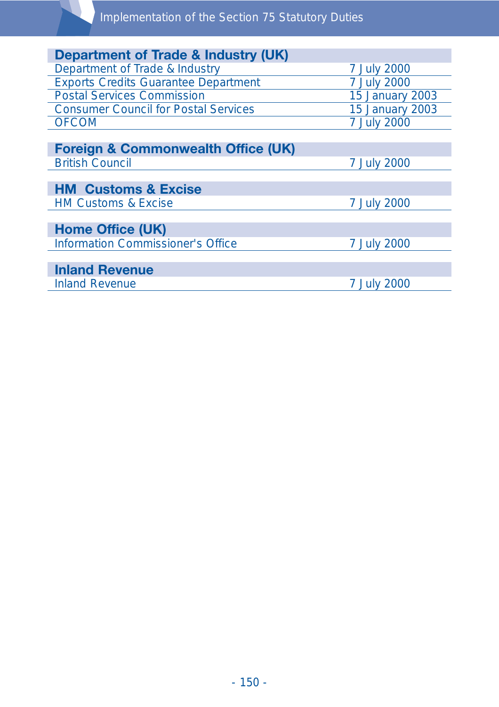| Department of Trade & Industry (UK)           |                        |
|-----------------------------------------------|------------------------|
| Department of Trade & Industry                | 7 July 2000            |
| <b>Exports Credits Guarantee Department</b>   | 7 July 2000            |
| <b>Postal Services Commission</b>             | 15 January 2003        |
| <b>Consumer Council for Postal Services</b>   | <b>15 January 2003</b> |
| <b>OFCOM</b>                                  | 7 July 2000            |
|                                               |                        |
| <b>Foreign &amp; Commonwealth Office (UK)</b> |                        |
| <b>British Council</b>                        | 7 July 2000            |
|                                               |                        |
| <b>HM Customs &amp; Excise</b>                |                        |
| <b>HM Customs &amp; Excise</b>                | 7 July 2000            |
|                                               |                        |
| <b>Home Office (UK)</b>                       |                        |
| <b>Information Commissioner's Office</b>      | 7 July 2000            |
|                                               |                        |
| <b>Inland Revenue</b>                         |                        |
| <b>Inland Revenue</b>                         | 7 July 2000            |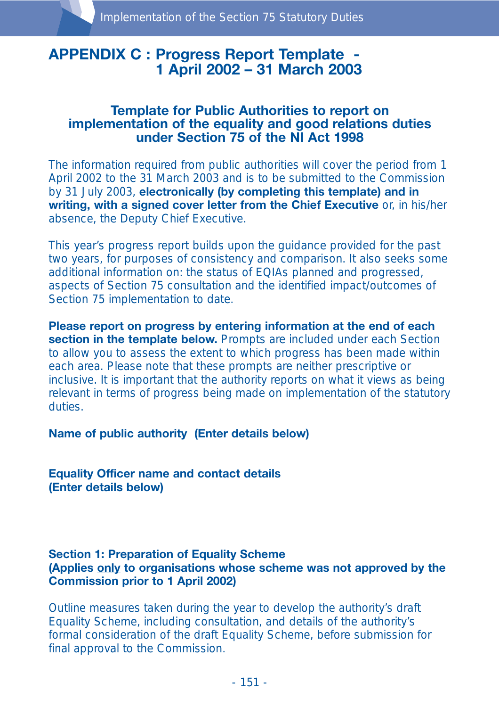## **APPENDIX C : Progress Report Template - 1 April 2002 – 31 March 2003**

## **Template for Public Authorities to report on implementation of the equality and good relations duties under Section 75 of the NI Act 1998**

The information required from public authorities will cover the period from 1 April 2002 to the 31 March 2003 and is to be submitted to the Commission by 31 July 2003, **electronically (by completing this template) and in** writing, with a signed cover letter from the Chief Executive or, in his/her absence, the Deputy Chief Executive.

This year's progress report builds upon the guidance provided for the past two years, for purposes of consistency and comparison. It also seeks some additional information on: the status of EQIAs planned and progressed, aspects of Section 75 consultation and the identified impact/outcomes of Section 75 implementation to date.

**Please report on progress by entering information at the end of each section in the template below.** Prompts are included under each Section to allow you to assess the extent to which progress has been made within each area. Please note that these prompts are neither prescriptive or inclusive. It is important that the authority reports on what it views as being relevant in terms of progress being made on implementation of the statutory duties.

**Name of public authority (Enter details below)**

**Equality Officer name and contact details (Enter details below)**

#### **Section 1: Preparation of Equality Scheme (Applies only to organisations whose scheme was not approved by the Commission prior to 1 April 2002)**

Outline measures taken during the year to develop the authority's draft Equality Scheme, including consultation, and details of the authority's formal consideration of the draft Equality Scheme, before submission for final approval to the Commission.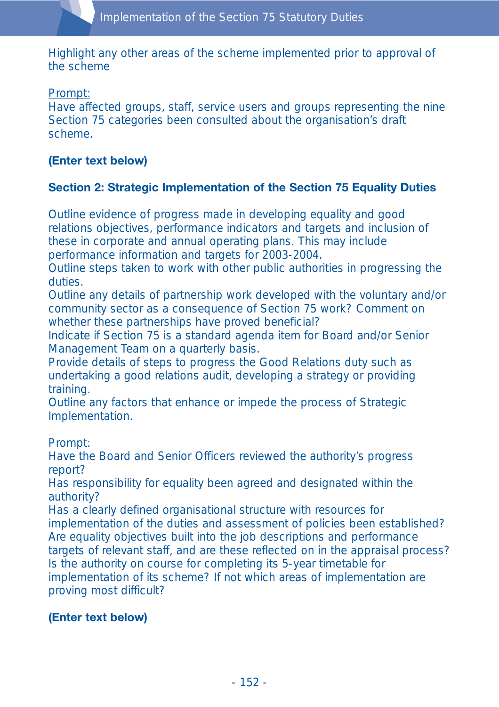Highlight any other areas of the scheme implemented prior to approval of the scheme

Prompt:

Have affected groups, staff, service users and groups representing the nine Section 75 categories been consulted about the organisation's draft scheme.

## **(Enter text below)**

## **Section 2: Strategic Implementation of the Section 75 Equality Duties**

Outline evidence of progress made in developing equality and good relations objectives, performance indicators and targets and inclusion of these in corporate and annual operating plans. This may include performance information and targets for 2003-2004.

Outline steps taken to work with other public authorities in progressing the duties.

Outline any details of partnership work developed with the voluntary and/or community sector as a consequence of Section 75 work? Comment on whether these partnerships have proved beneficial?

Indicate if Section 75 is a standard agenda item for Board and/or Senior Management Team on a quarterly basis.

Provide details of steps to progress the Good Relations duty such as undertaking a good relations audit, developing a strategy or providing training.

Outline any factors that enhance or impede the process of Strategic Implementation.

Prompt:

Have the Board and Senior Officers reviewed the authority's progress report?

Has responsibility for equality been agreed and designated within the authority?

Has a clearly defined organisational structure with resources for implementation of the duties and assessment of policies been established? Are equality objectives built into the job descriptions and performance targets of relevant staff, and are these reflected on in the appraisal process? Is the authority on course for completing its 5-year timetable for implementation of its scheme? If not which areas of implementation are proving most difficult?

## **(Enter text below)**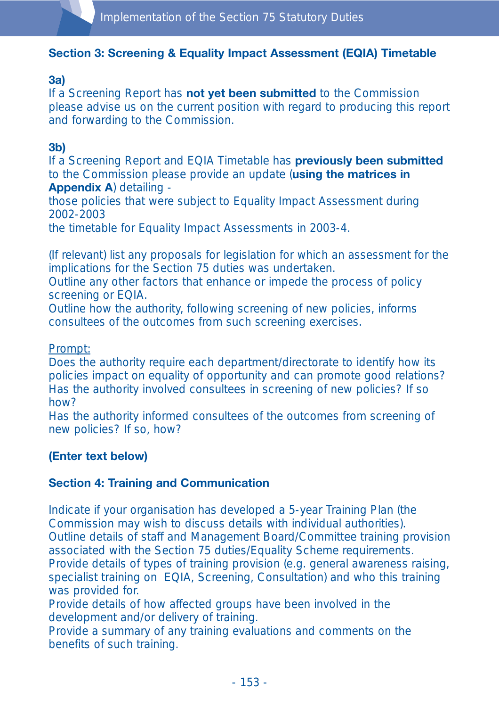## **Section 3: Screening & Equality Impact Assessment (EQIA) Timetable**

#### **3a)**

If a Screening Report has **not yet been submitted** to the Commission please advise us on the current position with regard to producing this report and forwarding to the Commission.

#### **3b)**

If a Screening Report and EQIA Timetable has **previously been submitted** to the Commission please provide an update (**using the matrices in Appendix A**) detailing -

those policies that were subject to Equality Impact Assessment during 2002-2003

the timetable for Equality Impact Assessments in 2003-4.

(If relevant) list any proposals for legislation for which an assessment for the implications for the Section 75 duties was undertaken.

Outline any other factors that enhance or impede the process of policy screening or EQIA.

Outline how the authority, following screening of new policies, informs consultees of the outcomes from such screening exercises.

Prompt:

Does the authority require each department/directorate to identify how its policies impact on equality of opportunity and can promote good relations? Has the authority involved consultees in screening of new policies? If so how?

Has the authority informed consultees of the outcomes from screening of new policies? If so, how?

## **(Enter text below)**

#### **Section 4: Training and Communication**

Indicate if your organisation has developed a 5-year Training Plan (the Commission may wish to discuss details with individual authorities). Outline details of staff and Management Board/Committee training provision associated with the Section 75 duties/Equality Scheme requirements. Provide details of types of training provision (e.g. general awareness raising, specialist training on EQIA, Screening, Consultation) and who this training was provided for.

Provide details of how affected groups have been involved in the development and/or delivery of training.

Provide a summary of any training evaluations and comments on the benefits of such training.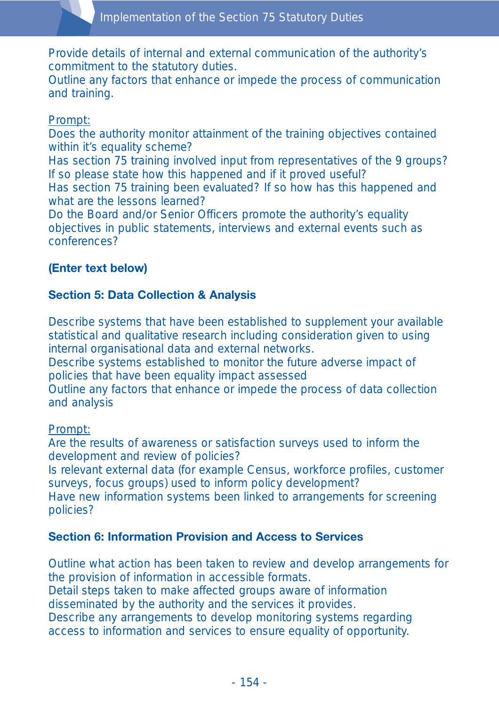Provide details of internal and external communication of the authority's commitment to the statutory duties.

Outline any factors that enhance or impede the process of communication and training.

#### Prompt:

Does the authority monitor attainment of the training objectives contained within it's equality scheme?

Has section 75 training involved input from representatives of the 9 groups? If so please state how this happened and if it proved useful?

Has section 75 training been evaluated? If so how has this happened and what are the lessons learned?

Do the Board and/or Senior Officers promote the authority's equality objectives in public statements, interviews and external events such as conferences?

## **(Enter text below)**

## **Section 5: Data Collection & Analysis**

Describe systems that have been established to supplement your available statistical and qualitative research including consideration given to using internal organisational data and external networks.

Describe systems established to monitor the future adverse impact of policies that have been equality impact assessed

Outline any factors that enhance or impede the process of data collection and analysis

#### Prompt:

Are the results of awareness or satisfaction surveys used to inform the development and review of policies?

Is relevant external data (for example Census, workforce profiles, customer surveys, focus groups) used to inform policy development?

Have new information systems been linked to arrangements for screening policies?

#### **Section 6: Information Provision and Access to Services**

Outline what action has been taken to review and develop arrangements for the provision of information in accessible formats.

Detail steps taken to make affected groups aware of information disseminated by the authority and the services it provides.

Describe any arrangements to develop monitoring systems regarding access to information and services to ensure equality of opportunity.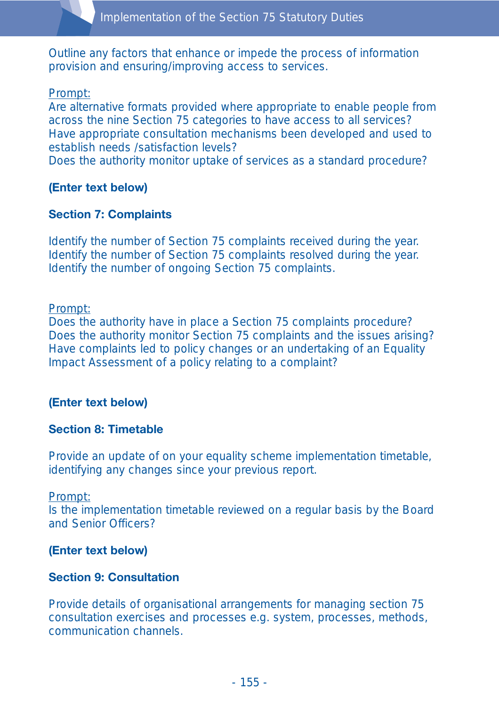Outline any factors that enhance or impede the process of information provision and ensuring/improving access to services.

#### Prompt:

Are alternative formats provided where appropriate to enable people from across the nine Section 75 categories to have access to all services? Have appropriate consultation mechanisms been developed and used to establish needs /satisfaction levels?

Does the authority monitor uptake of services as a standard procedure?

#### **(Enter text below)**

#### **Section 7: Complaints**

Identify the number of Section 75 complaints received during the year. Identify the number of Section 75 complaints resolved during the year. Identify the number of ongoing Section 75 complaints.

#### Prompt:

Does the authority have in place a Section 75 complaints procedure? Does the authority monitor Section 75 complaints and the issues arising? Have complaints led to policy changes or an undertaking of an Equality Impact Assessment of a policy relating to a complaint?

#### **(Enter text below)**

#### **Section 8: Timetable**

Provide an update of on your equality scheme implementation timetable, identifying any changes since your previous report.

#### Prompt:

Is the implementation timetable reviewed on a regular basis by the Board and Senior Officers?

#### **(Enter text below)**

#### **Section 9: Consultation**

Provide details of organisational arrangements for managing section 75 consultation exercises and processes e.g. system, processes, methods, communication channels.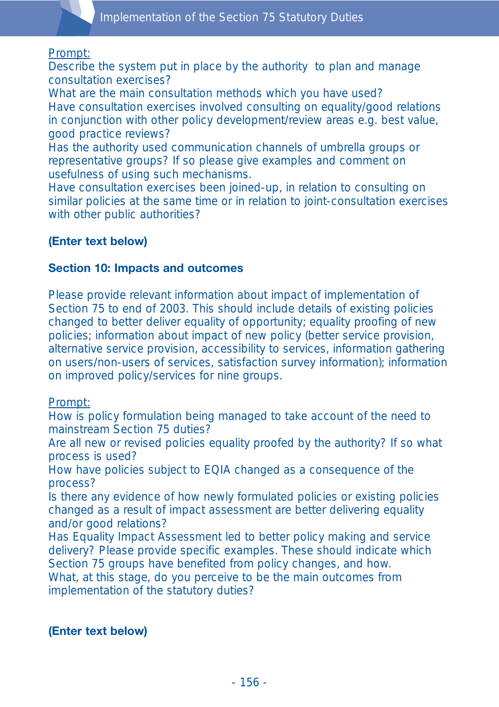#### Prompt:

Describe the system put in place by the authority to plan and manage consultation exercises?

What are the main consultation methods which you have used? Have consultation exercises involved consulting on equality/good relations in conjunction with other policy development/review areas e.g. best value, good practice reviews?

Has the authority used communication channels of umbrella groups or representative groups? If so please give examples and comment on usefulness of using such mechanisms.

Have consultation exercises been joined-up, in relation to consulting on similar policies at the same time or in relation to joint-consultation exercises with other public authorities?

## **(Enter text below)**

#### **Section 10: Impacts and outcomes**

Please provide relevant information about impact of implementation of Section 75 to end of 2003. This should include details of existing policies changed to better deliver equality of opportunity; equality proofing of new policies; information about impact of new policy (better service provision, alternative service provision, accessibility to services, information gathering on users/non-users of services, satisfaction survey information); information on improved policy/services for nine groups.

#### Prompt:

How is policy formulation being managed to take account of the need to mainstream Section 75 duties?

Are all new or revised policies equality proofed by the authority? If so what process is used?

How have policies subject to EQIA changed as a consequence of the process?

Is there any evidence of how newly formulated policies or existing policies changed as a result of impact assessment are better delivering equality and/or good relations?

Has Equality Impact Assessment led to better policy making and service delivery? Please provide specific examples. These should indicate which Section 75 groups have benefited from policy changes, and how. What, at this stage, do you perceive to be the main outcomes from implementation of the statutory duties?

#### **(Enter text below)**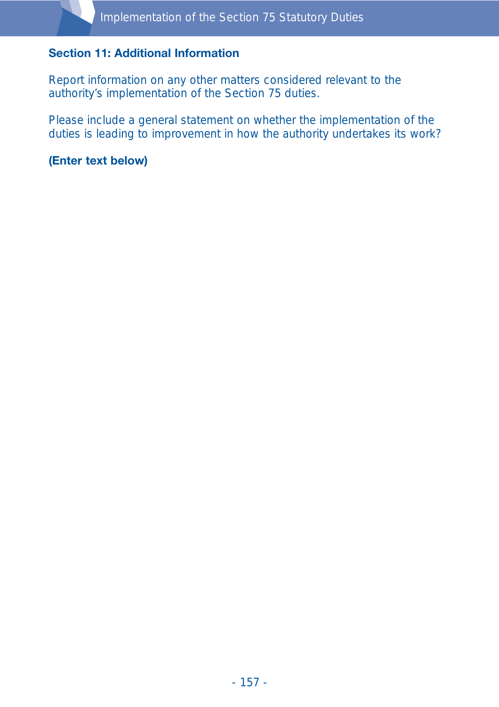#### **Section 11: Additional Information**

Report information on any other matters considered relevant to the authority's implementation of the Section 75 duties.

Please include a general statement on whether the implementation of the duties is leading to improvement in how the authority undertakes its work?

**(Enter text below)**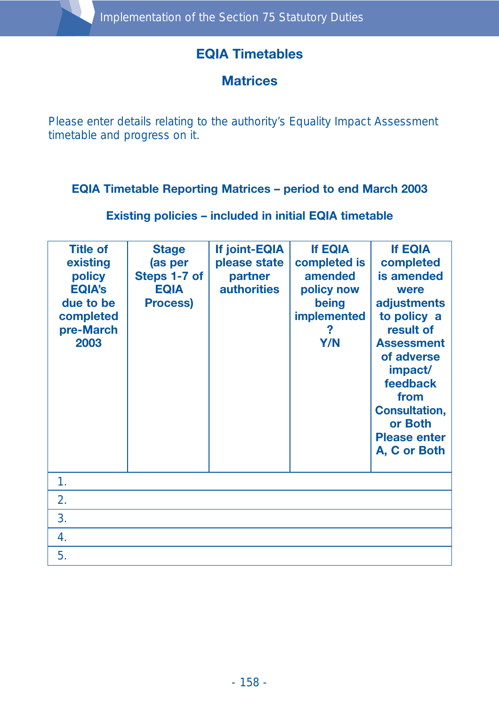# **EQIA Timetables**

## **Matrices**

Please enter details relating to the authority's Equality Impact Assessment timetable and progress on it.

## **EQIA Timetable Reporting Matrices – period to end March 2003**

**Existing policies – included in initial EQIA timetable**

| <b>Title of</b><br>existing<br>policy<br><b>EQIA's</b><br>due to be<br>completed<br>pre-March<br>2003 | <b>Stage</b><br>(as per<br>Steps 1-7 of<br><b>EQIA</b><br><b>Process)</b> | If joint-EQIA<br>please state<br>partner<br><b>authorities</b> | <b>If EQIA</b><br>completed is<br>amended<br>policy now<br>being<br><b>implemented</b><br>?<br>Y/N | <b>If EQIA</b><br>completed<br>is amended<br>were<br>adjustments<br>to policy a<br>result of<br><b>Assessment</b><br>of adverse<br>impact/<br>feedback<br>from<br><b>Consultation,</b><br>or Both<br><b>Please enter</b><br>A, C or Both |
|-------------------------------------------------------------------------------------------------------|---------------------------------------------------------------------------|----------------------------------------------------------------|----------------------------------------------------------------------------------------------------|------------------------------------------------------------------------------------------------------------------------------------------------------------------------------------------------------------------------------------------|
| 1.                                                                                                    |                                                                           |                                                                |                                                                                                    |                                                                                                                                                                                                                                          |
| 2.                                                                                                    |                                                                           |                                                                |                                                                                                    |                                                                                                                                                                                                                                          |
| 3.                                                                                                    |                                                                           |                                                                |                                                                                                    |                                                                                                                                                                                                                                          |
| 4.                                                                                                    |                                                                           |                                                                |                                                                                                    |                                                                                                                                                                                                                                          |
| 5.                                                                                                    |                                                                           |                                                                |                                                                                                    |                                                                                                                                                                                                                                          |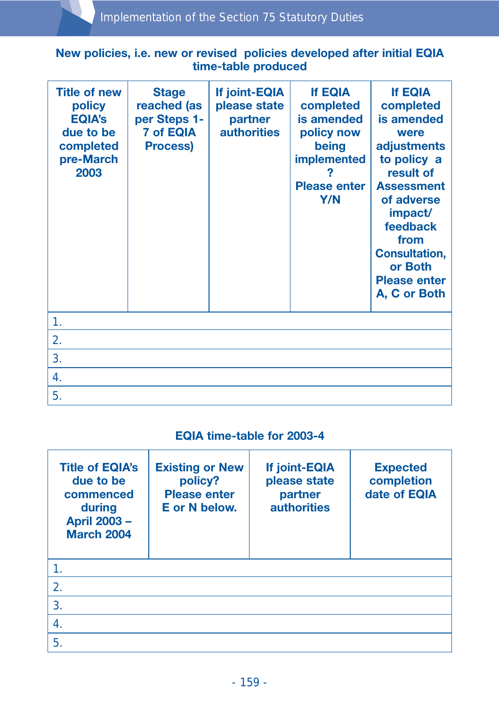## **New policies, i.e. new or revised policies developed after initial EQIA time-table produced**

| <b>Title of new</b><br>policy<br><b>EQIA's</b><br>due to be<br>completed<br>pre-March<br>2003 | <b>Stage</b><br>reached (as<br>per Steps 1-<br><b>7 of EQIA</b><br><b>Process)</b> | If joint-EQIA<br>please state<br>partner<br><b>authorities</b> | <b>If EQIA</b><br>completed<br>is amended<br>policy now<br>being<br><b>implemented</b><br><b>Please enter</b><br>Y/N | <b>If EQIA</b><br>completed<br>is amended<br>were<br>adjustments<br>to policy a<br>result of<br><b>Assessment</b><br>of adverse<br>impact/<br>feedback<br>from<br><b>Consultation,</b><br>or Both<br><b>Please enter</b><br>A, C or Both |
|-----------------------------------------------------------------------------------------------|------------------------------------------------------------------------------------|----------------------------------------------------------------|----------------------------------------------------------------------------------------------------------------------|------------------------------------------------------------------------------------------------------------------------------------------------------------------------------------------------------------------------------------------|
| 1.                                                                                            |                                                                                    |                                                                |                                                                                                                      |                                                                                                                                                                                                                                          |
| 2.                                                                                            |                                                                                    |                                                                |                                                                                                                      |                                                                                                                                                                                                                                          |
| 3.                                                                                            |                                                                                    |                                                                |                                                                                                                      |                                                                                                                                                                                                                                          |
| 4.                                                                                            |                                                                                    |                                                                |                                                                                                                      |                                                                                                                                                                                                                                          |
| 5.                                                                                            |                                                                                    |                                                                |                                                                                                                      |                                                                                                                                                                                                                                          |

#### **EQIA time-table for 2003-4**

| <b>Title of EQIA's</b><br>due to be<br>commenced<br>during<br><b>April 2003 -</b><br><b>March 2004</b> | <b>Existing or New</b><br>policy?<br><b>Please enter</b><br>E or N below. | If joint-EQIA<br>please state<br>partner<br><b>authorities</b> | <b>Expected</b><br>completion<br>date of EQIA |
|--------------------------------------------------------------------------------------------------------|---------------------------------------------------------------------------|----------------------------------------------------------------|-----------------------------------------------|
|                                                                                                        |                                                                           |                                                                |                                               |
| $\overline{2}$ .                                                                                       |                                                                           |                                                                |                                               |
| 3.                                                                                                     |                                                                           |                                                                |                                               |
| 4.                                                                                                     |                                                                           |                                                                |                                               |
| 5.                                                                                                     |                                                                           |                                                                |                                               |